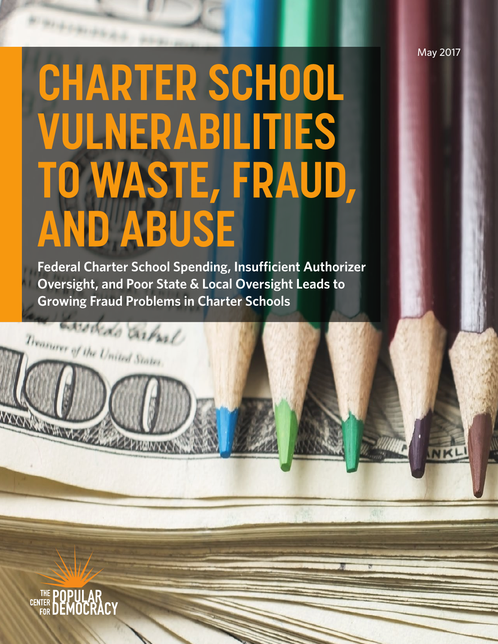May 2017

NKLI

# **CHARTER SCHOOL VULNERABILITIES TO WASTE, FRAUD, AND ABUSE**

**Federal Charter School Spending, Insufficient Authorizer Oversight, and Poor State & Local Oversight Leads to Growing Fraud Problems in Charter Schools**

awodedo carbal

**ACCEPTANCES** 

Treasurer of the United States



WYORKOWIN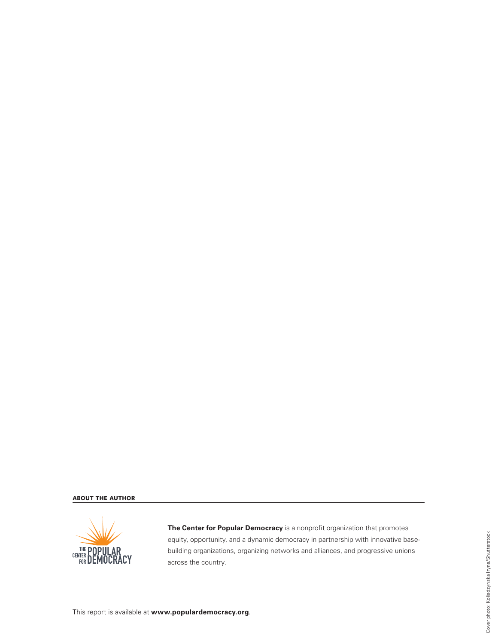#### **ABOUT THE AUTHOR**



**The Center for Popular Democracy** is a nonprofit organization that promotes equity, opportunity, and a dynamic democracy in partnership with innovative basebuilding organizations, organizing networks and alliances, and progressive unions across the country.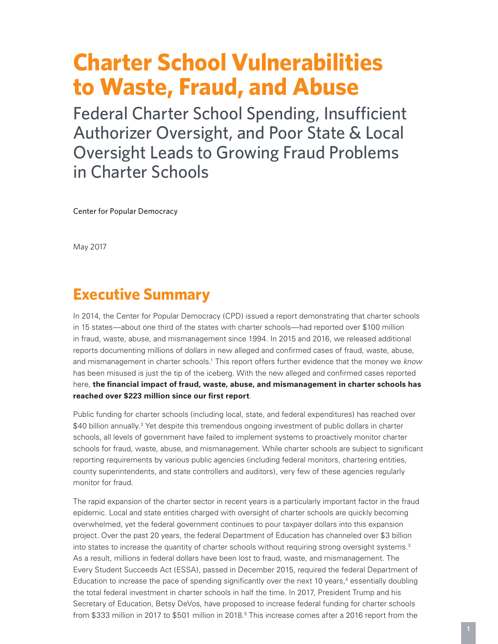# **Charter School Vulnerabilities to Waste, Fraud, and Abuse**

Federal Charter School Spending, Insufficient Authorizer Oversight, and Poor State & Local Oversight Leads to Growing Fraud Problems in Charter Schools

Center for Popular Democracy

May 2017

# **Executive Summary**

In 2014, the Center for Popular Democracy (CPD) issued a report demonstrating that charter schools in 15 states—about one third of the states with charter schools—had reported over \$100 million in fraud, waste, abuse, and mismanagement since 1994. In 2015 and 2016, we released additional reports documenting millions of dollars in new alleged and confirmed cases of fraud, waste, abuse, and mismanagement in charter schools.<sup>1</sup> This report offers further evidence that the money we *know* has been misused is just the tip of the iceberg. With the new alleged and confirmed cases reported here, **the financial impact of fraud, waste, abuse, and mismanagement in charter schools has reached over \$223 million since our first report**.

Public funding for charter schools (including local, state, and federal expenditures) has reached over \$40 billion annually.2 Yet despite this tremendous ongoing investment of public dollars in charter schools, all levels of government have failed to implement systems to proactively monitor charter schools for fraud, waste, abuse, and mismanagement. While charter schools are subject to significant reporting requirements by various public agencies (including federal monitors, chartering entities, county superintendents, and state controllers and auditors), very few of these agencies regularly monitor for fraud.

The rapid expansion of the charter sector in recent years is a particularly important factor in the fraud epidemic. Local and state entities charged with oversight of charter schools are quickly becoming overwhelmed, yet the federal government continues to pour taxpayer dollars into this expansion project. Over the past 20 years, the federal Department of Education has channeled over \$3 billion into states to increase the quantity of charter schools without requiring strong oversight systems.<sup>3</sup> As a result, millions in federal dollars have been lost to fraud, waste, and mismanagement. The Every Student Succeeds Act (ESSA), passed in December 2015, required the federal Department of Education to increase the pace of spending significantly over the next 10 years,<sup>4</sup> essentially doubling the total federal investment in charter schools in half the time. In 2017, President Trump and his Secretary of Education, Betsy DeVos, have proposed to increase federal funding for charter schools from \$333 million in 2017 to \$501 million in 2018.<sup>5</sup> This increase comes after a 2016 report from the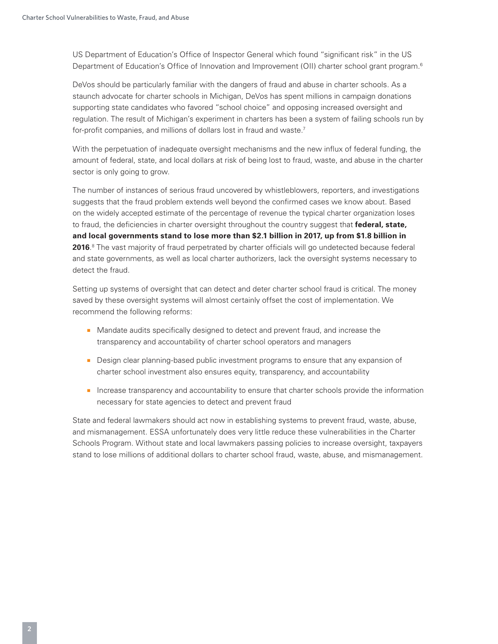US Department of Education's Office of Inspector General which found "significant risk" in the US Department of Education's Office of Innovation and Improvement (OII) charter school grant program.<sup>6</sup>

DeVos should be particularly familiar with the dangers of fraud and abuse in charter schools. As a staunch advocate for charter schools in Michigan, DeVos has spent millions in campaign donations supporting state candidates who favored "school choice" and opposing increased oversight and regulation. The result of Michigan's experiment in charters has been a system of failing schools run by for-profit companies, and millions of dollars lost in fraud and waste.<sup>7</sup>

With the perpetuation of inadequate oversight mechanisms and the new influx of federal funding, the amount of federal, state, and local dollars at risk of being lost to fraud, waste, and abuse in the charter sector is only going to grow.

The number of instances of serious fraud uncovered by whistleblowers, reporters, and investigations suggests that the fraud problem extends well beyond the confirmed cases we know about. Based on the widely accepted estimate of the percentage of revenue the typical charter organization loses to fraud, the deficiencies in charter oversight throughout the country suggest that **federal, state, and local governments stand to lose more than \$2.1 billion in 2017, up from \$1.8 billion in 2016**. 8 The vast majority of fraud perpetrated by charter officials will go undetected because federal and state governments, as well as local charter authorizers, lack the oversight systems necessary to detect the fraud.

Setting up systems of oversight that can detect and deter charter school fraud is critical. The money saved by these oversight systems will almost certainly offset the cost of implementation. We recommend the following reforms:

- Mandate audits specifically designed to detect and prevent fraud, and increase the transparency and accountability of charter school operators and managers
- Design clear planning-based public investment programs to ensure that any expansion of charter school investment also ensures equity, transparency, and accountability
- Increase transparency and accountability to ensure that charter schools provide the information necessary for state agencies to detect and prevent fraud

State and federal lawmakers should act now in establishing systems to prevent fraud, waste, abuse, and mismanagement. ESSA unfortunately does very little reduce these vulnerabilities in the Charter Schools Program. Without state and local lawmakers passing policies to increase oversight, taxpayers stand to lose millions of additional dollars to charter school fraud, waste, abuse, and mismanagement.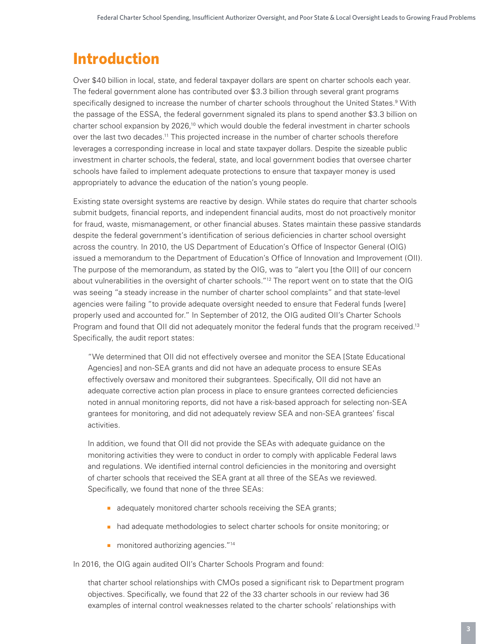# **Introduction**

Over \$40 billion in local, state, and federal taxpayer dollars are spent on charter schools each year. The federal government alone has contributed over \$3.3 billion through several grant programs specifically designed to increase the number of charter schools throughout the United States.<sup>9</sup> With the passage of the ESSA, the federal government signaled its plans to spend another \$3.3 billion on charter school expansion by 2026,<sup>10</sup> which would double the federal investment in charter schools over the last two decades.<sup>11</sup> This projected increase in the number of charter schools therefore leverages a corresponding increase in local and state taxpayer dollars. Despite the sizeable public investment in charter schools, the federal, state, and local government bodies that oversee charter schools have failed to implement adequate protections to ensure that taxpayer money is used appropriately to advance the education of the nation's young people.

Existing state oversight systems are reactive by design. While states do require that charter schools submit budgets, financial reports, and independent financial audits, most do not proactively monitor for fraud, waste, mismanagement, or other financial abuses. States maintain these passive standards despite the federal government's identification of serious deficiencies in charter school oversight across the country. In 2010, the US Department of Education's Office of Inspector General (OIG) issued a memorandum to the Department of Education's Office of Innovation and Improvement (OII). The purpose of the memorandum, as stated by the OIG, was to "alert you [the OII] of our concern about vulnerabilities in the oversight of charter schools."<sup>12</sup> The report went on to state that the OIG was seeing "a steady increase in the number of charter school complaints" and that state-level agencies were failing "to provide adequate oversight needed to ensure that Federal funds [were] properly used and accounted for." In September of 2012, the OIG audited OII's Charter Schools Program and found that OII did not adequately monitor the federal funds that the program received.<sup>13</sup> Specifically, the audit report states:

"We determined that OII did not effectively oversee and monitor the SEA [State Educational Agencies] and non-SEA grants and did not have an adequate process to ensure SEAs effectively oversaw and monitored their subgrantees. Specifically, OII did not have an adequate corrective action plan process in place to ensure grantees corrected deficiencies noted in annual monitoring reports, did not have a risk-based approach for selecting non-SEA grantees for monitoring, and did not adequately review SEA and non-SEA grantees' fiscal activities.

In addition, we found that OII did not provide the SEAs with adequate guidance on the monitoring activities they were to conduct in order to comply with applicable Federal laws and regulations. We identified internal control deficiencies in the monitoring and oversight of charter schools that received the SEA grant at all three of the SEAs we reviewed. Specifically, we found that none of the three SEAs:

- adequately monitored charter schools receiving the SEA grants;
- had adequate methodologies to select charter schools for onsite monitoring; or
- monitored authorizing agencies."<sup>14</sup>

In 2016, the OIG again audited OII's Charter Schools Program and found:

that charter school relationships with CMOs posed a significant risk to Department program objectives. Specifically, we found that 22 of the 33 charter schools in our review had 36 examples of internal control weaknesses related to the charter schools' relationships with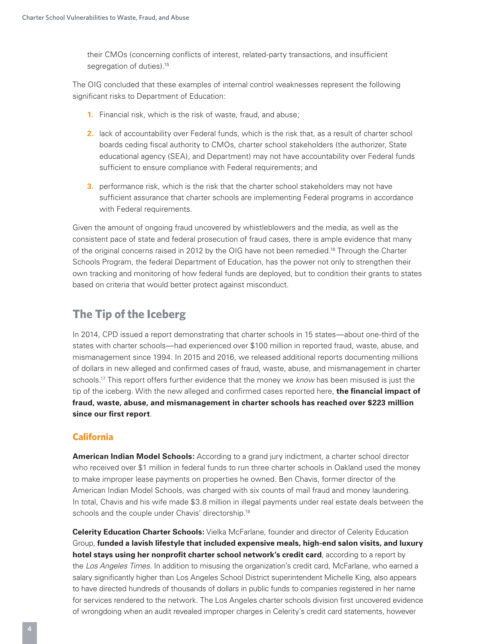their CMOs (concerning conflicts of interest, related-party transactions, and insufficient segregation of duties).<sup>15</sup>

The OIG concluded that these examples of internal control weaknesses represent the following significant risks to Department of Education:

- **1.** Financial risk, which is the risk of waste, fraud, and abuse;
- **2.** lack of accountability over Federal funds, which is the risk that, as a result of charter school boards ceding fiscal authority to CMOs, charter school stakeholders (the authorizer, State educational agency (SEA), and Department) may not have accountability over Federal funds sufficient to ensure compliance with Federal requirements; and
- **3.** performance risk, which is the risk that the charter school stakeholders may not have sufficient assurance that charter schools are implementing Federal programs in accordance with Federal requirements.

Given the amount of ongoing fraud uncovered by whistleblowers and the media, as well as the consistent pace of state and federal prosecution of fraud cases, there is ample evidence that many of the original concerns raised in 2012 by the OIG have not been remedied.<sup>16</sup> Through the Charter Schools Program, the federal Department of Education, has the power not only to strengthen their own tracking and monitoring of how federal funds are deployed, but to condition their grants to states based on criteria that would better protect against misconduct.

# **The Tip of the Iceberg**

In 2014, CPD issued a report demonstrating that charter schools in 15 states—about one-third of the states with charter schools—had experienced over \$100 million in reported fraud, waste, abuse, and mismanagement since 1994. In 2015 and 2016, we released additional reports documenting millions of dollars in new alleged and confirmed cases of fraud, waste, abuse, and mismanagement in charter schools.17 This report offers further evidence that the money we *know* has been misused is just the tip of the iceberg. With the new alleged and confirmed cases reported here, **the financial impact of fraud, waste, abuse, and mismanagement in charter schools has reached over \$223 million since our first report**.

# **California**

**American Indian Model Schools:** According to a grand jury indictment, a charter school director who received over \$1 million in federal funds to run three charter schools in Oakland used the money to make improper lease payments on properties he owned. Ben Chavis, former director of the American Indian Model Schools, was charged with six counts of mail fraud and money laundering. In total, Chavis and his wife made \$3.8 million in illegal payments under real estate deals between the schools and the couple under Chavis' directorship.<sup>18</sup>

**Celerity Education Charter Schools:** Vielka McFarlane, founder and director of Celerity Education Group, **funded a lavish lifestyle that included expensive meals, high-end salon visits, and luxury hotel stays using her nonprofit charter school network's credit card**, according to a report by the *Los Angeles Times*. In addition to misusing the organization's credit card, McFarlane, who earned a salary significantly higher than Los Angeles School District superintendent Michelle King, also appears to have directed hundreds of thousands of dollars in public funds to companies registered in her name for services rendered to the network. The Los Angeles charter schools division first uncovered evidence of wrongdoing when an audit revealed improper charges in Celerity's credit card statements, however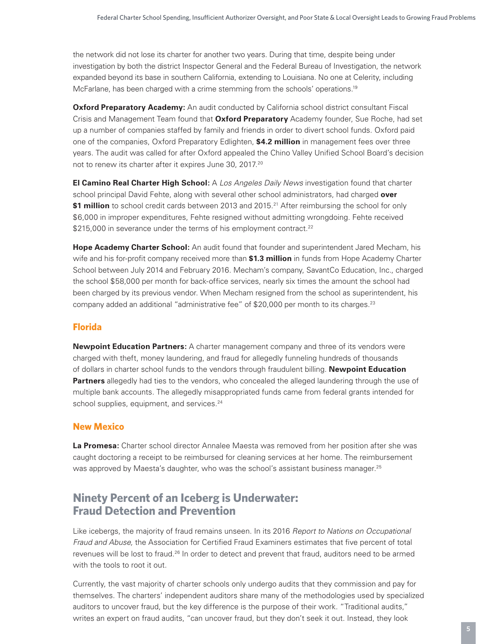the network did not lose its charter for another two years. During that time, despite being under investigation by both the district Inspector General and the Federal Bureau of Investigation, the network expanded beyond its base in southern California, extending to Louisiana. No one at Celerity, including McFarlane, has been charged with a crime stemming from the schools' operations.<sup>19</sup>

**Oxford Preparatory Academy:** An audit conducted by California school district consultant Fiscal Crisis and Management Team found that **Oxford Preparatory** Academy founder, Sue Roche, had set up a number of companies staffed by family and friends in order to divert school funds. Oxford paid one of the companies, Oxford Preparatory Edlighten, **\$4.2 million** in management fees over three years. The audit was called for after Oxford appealed the Chino Valley Unified School Board's decision not to renew its charter after it expires June 30, 2017.<sup>20</sup>

**El Camino Real Charter High School:** A *Los Angeles Daily News* investigation found that charter school principal David Fehte, along with several other school administrators, had charged **over \$1 million** to school credit cards between 2013 and 2015.<sup>21</sup> After reimbursing the school for only \$6,000 in improper expenditures, Fehte resigned without admitting wrongdoing. Fehte received \$215,000 in severance under the terms of his employment contract.<sup>22</sup>

**Hope Academy Charter School:** An audit found that founder and superintendent Jared Mecham, his wife and his for-profit company received more than **\$1.3 million** in funds from Hope Academy Charter School between July 2014 and February 2016. Mecham's company, SavantCo Education, Inc., charged the school \$58,000 per month for back-office services, nearly six times the amount the school had been charged by its previous vendor. When Mecham resigned from the school as superintendent, his company added an additional "administrative fee" of \$20,000 per month to its charges. $23$ 

# **Florida**

**Newpoint Education Partners:** A charter management company and three of its vendors were charged with theft, money laundering, and fraud for allegedly funneling hundreds of thousands of dollars in charter school funds to the vendors through fraudulent billing. **Newpoint Education**  Partners allegedly had ties to the vendors, who concealed the alleged laundering through the use of multiple bank accounts. The allegedly misappropriated funds came from federal grants intended for school supplies, equipment, and services.<sup>24</sup>

# **New Mexico**

**La Promesa:** Charter school director Annalee Maesta was removed from her position after she was caught doctoring a receipt to be reimbursed for cleaning services at her home. The reimbursement was approved by Maesta's daughter, who was the school's assistant business manager.<sup>25</sup>

# **Ninety Percent of an Iceberg is Underwater: Fraud Detection and Prevention**

Like icebergs, the majority of fraud remains unseen. In its 2016 *Report to Nations on Occupational Fraud and Abuse,* the Association for Certified Fraud Examiners estimates that five percent of total revenues will be lost to fraud.<sup>26</sup> In order to detect and prevent that fraud, auditors need to be armed with the tools to root it out.

Currently, the vast majority of charter schools only undergo audits that they commission and pay for themselves. The charters' independent auditors share many of the methodologies used by specialized auditors to uncover fraud, but the key difference is the purpose of their work. "Traditional audits," writes an expert on fraud audits, "can uncover fraud, but they don't seek it out. Instead, they look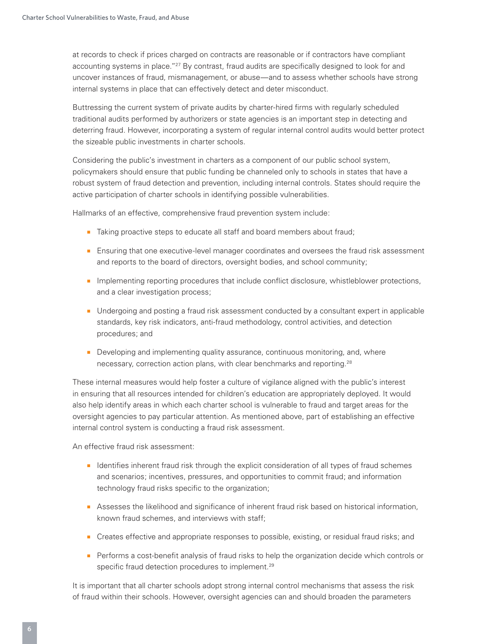at records to check if prices charged on contracts are reasonable or if contractors have compliant accounting systems in place."<sup>27</sup> By contrast, fraud audits are specifically designed to look for and uncover instances of fraud, mismanagement, or abuse—and to assess whether schools have strong internal systems in place that can effectively detect and deter misconduct.

Buttressing the current system of private audits by charter-hired firms with regularly scheduled traditional audits performed by authorizers or state agencies is an important step in detecting and deterring fraud. However, incorporating a system of regular internal control audits would better protect the sizeable public investments in charter schools.

Considering the public's investment in charters as a component of our public school system, policymakers should ensure that public funding be channeled only to schools in states that have a robust system of fraud detection and prevention, including internal controls. States should require the active participation of charter schools in identifying possible vulnerabilities.

Hallmarks of an effective, comprehensive fraud prevention system include:

- Taking proactive steps to educate all staff and board members about fraud;
- Ensuring that one executive-level manager coordinates and oversees the fraud risk assessment and reports to the board of directors, oversight bodies, and school community;
- Implementing reporting procedures that include conflict disclosure, whistleblower protections, and a clear investigation process;
- Undergoing and posting a fraud risk assessment conducted by a consultant expert in applicable standards, key risk indicators, anti-fraud methodology, control activities, and detection procedures; and
- Developing and implementing quality assurance, continuous monitoring, and, where necessary, correction action plans, with clear benchmarks and reporting.28

These internal measures would help foster a culture of vigilance aligned with the public's interest in ensuring that all resources intended for children's education are appropriately deployed. It would also help identify areas in which each charter school is vulnerable to fraud and target areas for the oversight agencies to pay particular attention. As mentioned above, part of establishing an effective internal control system is conducting a fraud risk assessment.

An effective fraud risk assessment:

- Identifies inherent fraud risk through the explicit consideration of all types of fraud schemes and scenarios; incentives, pressures, and opportunities to commit fraud; and information technology fraud risks specific to the organization;
- Assesses the likelihood and significance of inherent fraud risk based on historical information, known fraud schemes, and interviews with staff;
- Creates effective and appropriate responses to possible, existing, or residual fraud risks; and
- Performs a cost-benefit analysis of fraud risks to help the organization decide which controls or specific fraud detection procedures to implement.<sup>29</sup>

It is important that all charter schools adopt strong internal control mechanisms that assess the risk of fraud within their schools. However, oversight agencies can and should broaden the parameters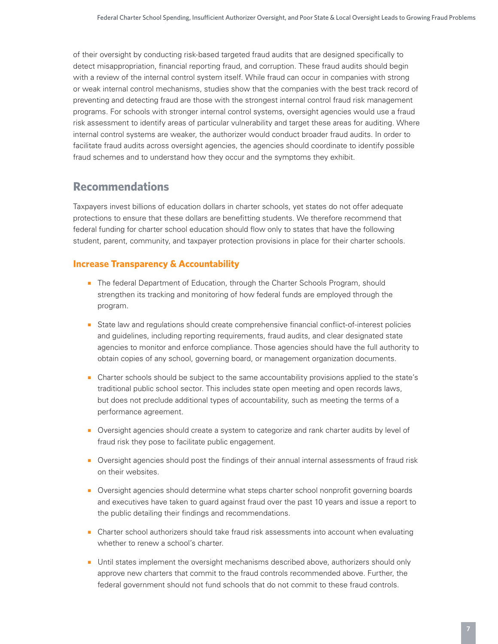of their oversight by conducting risk-based targeted fraud audits that are designed specifically to detect misappropriation, financial reporting fraud, and corruption. These fraud audits should begin with a review of the internal control system itself. While fraud can occur in companies with strong or weak internal control mechanisms, studies show that the companies with the best track record of preventing and detecting fraud are those with the strongest internal control fraud risk management programs. For schools with stronger internal control systems, oversight agencies would use a fraud risk assessment to identify areas of particular vulnerability and target these areas for auditing. Where internal control systems are weaker, the authorizer would conduct broader fraud audits. In order to facilitate fraud audits across oversight agencies, the agencies should coordinate to identify possible fraud schemes and to understand how they occur and the symptoms they exhibit.

# **Recommendations**

Taxpayers invest billions of education dollars in charter schools, yet states do not offer adequate protections to ensure that these dollars are benefitting students. We therefore recommend that federal funding for charter school education should flow only to states that have the following student, parent, community, and taxpayer protection provisions in place for their charter schools.

# **Increase Transparency & Accountability**

- The federal Department of Education, through the Charter Schools Program, should strengthen its tracking and monitoring of how federal funds are employed through the program.
- State law and regulations should create comprehensive financial conflict-of-interest policies and guidelines, including reporting requirements, fraud audits, and clear designated state agencies to monitor and enforce compliance. Those agencies should have the full authority to obtain copies of any school, governing board, or management organization documents.
- Charter schools should be subject to the same accountability provisions applied to the state's traditional public school sector. This includes state open meeting and open records laws, but does not preclude additional types of accountability, such as meeting the terms of a performance agreement.
- Oversight agencies should create a system to categorize and rank charter audits by level of fraud risk they pose to facilitate public engagement.
- Oversight agencies should post the findings of their annual internal assessments of fraud risk on their websites.
- Oversight agencies should determine what steps charter school nonprofit governing boards and executives have taken to guard against fraud over the past 10 years and issue a report to the public detailing their findings and recommendations.
- Charter school authorizers should take fraud risk assessments into account when evaluating whether to renew a school's charter.
- Until states implement the oversight mechanisms described above, authorizers should only approve new charters that commit to the fraud controls recommended above. Further, the federal government should not fund schools that do not commit to these fraud controls.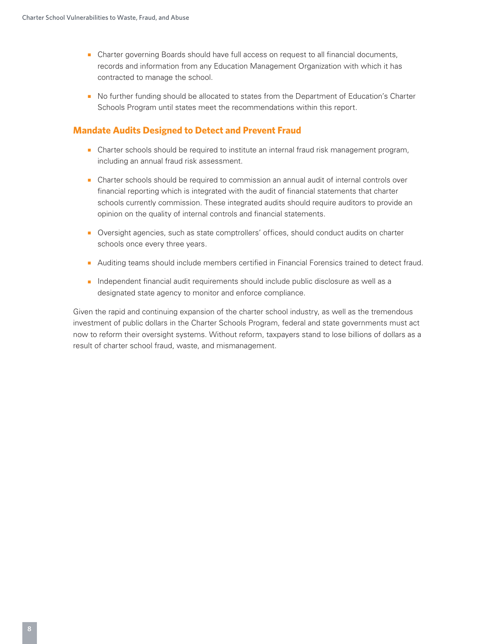- Charter governing Boards should have full access on request to all financial documents, records and information from any Education Management Organization with which it has contracted to manage the school.
- No further funding should be allocated to states from the Department of Education's Charter Schools Program until states meet the recommendations within this report.

# **Mandate Audits Designed to Detect and Prevent Fraud**

- Charter schools should be required to institute an internal fraud risk management program, including an annual fraud risk assessment.
- Charter schools should be required to commission an annual audit of internal controls over financial reporting which is integrated with the audit of financial statements that charter schools currently commission. These integrated audits should require auditors to provide an opinion on the quality of internal controls and financial statements.
- Oversight agencies, such as state comptrollers' offices, should conduct audits on charter schools once every three years.
- Auditing teams should include members certified in Financial Forensics trained to detect fraud.
- Independent financial audit requirements should include public disclosure as well as a designated state agency to monitor and enforce compliance.

Given the rapid and continuing expansion of the charter school industry, as well as the tremendous investment of public dollars in the Charter Schools Program, federal and state governments must act now to reform their oversight systems. Without reform, taxpayers stand to lose billions of dollars as a result of charter school fraud, waste, and mismanagement.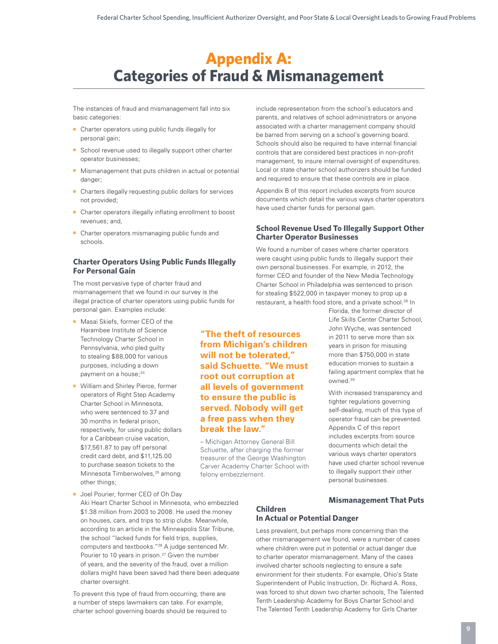# **Appendix A: Categories of Fraud & Mismanagement**

The instances of fraud and mismanagement fall into six basic categories:

- Charter operators using public funds illegally for personal gain;
- School revenue used to illegally support other charter operator businesses;
- Mismanagement that puts children in actual or potential danger;
- Charters illegally requesting public dollars for services not provided;
- Charter operators illegally inflating enrollment to boost revenues; and,
- Charter operators mismanaging public funds and schools.

# **Charter Operators Using Public Funds Illegally For Personal Gain**

The most pervasive type of charter fraud and mismanagement that we found in our survey is the illegal practice of charter operators using public funds for personal gain. Examples include:

- Masai Skiefs, former CEO of the Harambee Institute of Science Technology Charter School in Pennsylvania, who pled guilty to stealing \$88,000 for various purposes, including a down payment on a house;<sup>24</sup>
- William and Shirley Pierce, former operators of Right Step Academy Charter School in Minnesota, who were sentenced to 37 and 30 months in federal prison, respectively, for using public dollars for a Caribbean cruise vacation, \$17,561.87 to pay off personal credit card debt, and \$11,125.00 to purchase season tickets to the Minnesota Timberwolves,<sup>25</sup> among other things;

**from Michigan's children will not be tolerated," said Schuette. "We must root out corruption at all levels of government to ensure the public is served. Nobody will get a free pass when they break the law."**

**"The theft of resources** 

– Michigan Attorney General Bill Schuette, after charging the former treasurer of the George Washington Carver Academy Charter School with felony embezzlement.

include representation from the school's educators and parents, and relatives of school administrators or anyone associated with a charter management company should be barred from serving on a school's governing board. Schools should also be required to have internal financial controls that are considered best practices in non-profit management, to insure internal oversight of expenditures. Local or state charter school authorizers should be funded and required to ensure that these controls are in place.

Appendix B of this report includes excerpts from source documents which detail the various ways charter operators have used charter funds for personal gain.

### **School Revenue Used To Illegally Support Other Charter Operator Businesses**

We found a number of cases where charter operators were caught using public funds to illegally support their own personal businesses. For example, in 2012, the former CEO and founder of the New Media Technology Charter School in Philadelphia was sentenced to prison for stealing \$522,000 in taxpayer money to prop up a restaurant, a health food store, and a private school.<sup>28</sup> In

> Florida, the former director of Life Skills Center Charter School, John Wyche, was sentenced in 2011 to serve more than six years in prison for misusing more than \$750,000 in state education monies to sustain a failing apartment complex that he owned.29

> With increased transparency and tighter regulations governing self-dealing, much of this type of operator fraud can be prevented. Appendix C of this report includes excerpts from source documents which detail the various ways charter operators have used charter school revenue to illegally support their other personal businesses.

■ Joel Pourier, former CEO of Oh Day

Aki Heart Charter School in Minnesota, who embezzled \$1.38 million from 2003 to 2008. He used the money on houses, cars, and trips to strip clubs. Meanwhile, according to an article in the Minneapolis Star Tribune, the school "lacked funds for field trips, supplies, computers and textbooks."26 A judge sentenced Mr. Pourier to 10 years in prison.<sup>27</sup> Given the number of years, and the severity of the fraud, over a million dollars might have been saved had there been adequate charter oversight.

To prevent this type of fraud from occurring, there are a number of steps lawmakers can take. For example, charter school governing boards should be required to

#### **Mismanagement That Puts Children In Actual or Potential Danger**

Less prevalent, but perhaps more concerning than the other mismanagement we found, were a number of cases where children were put in potential or actual danger due to charter operator mismanagement. Many of the cases involved charter schools neglecting to ensure a safe environment for their students. For example, Ohio's State Superintendent of Public Instruction, Dr. Richard A. Ross, was forced to shut down two charter schools, The Talented Tenth Leadership Academy for Boys Charter School and The Talented Tenth Leadership Academy for Girls Charter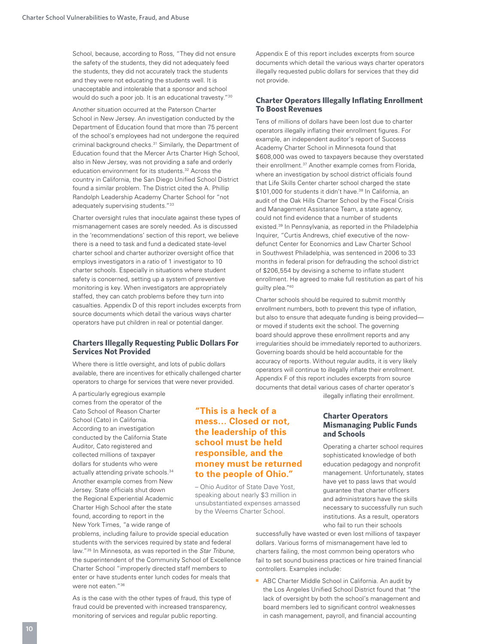School, because, according to Ross, "They did not ensure the safety of the students, they did not adequately feed the students, they did not accurately track the students and they were not educating the students well. It is unacceptable and intolerable that a sponsor and school would do such a poor job. It is an educational travesty."30

Another situation occurred at the Paterson Charter School in New Jersey. An investigation conducted by the Department of Education found that more than 75 percent of the school's employees had not undergone the required criminal background checks.<sup>31</sup> Similarly, the Department of Education found that the Mercer Arts Charter High School, also in New Jersey, was not providing a safe and orderly education environment for its students.<sup>32</sup> Across the country in California, the San Diego Unified School District found a similar problem. The District cited the A. Phillip Randolph Leadership Academy Charter School for "not adequately supervising students."33

Charter oversight rules that inoculate against these types of mismanagement cases are sorely needed. As is discussed in the 'recommendations' section of this report, we believe there is a need to task and fund a dedicated state-level charter school and charter authorizer oversight office that employs investigators in a ratio of 1 investigator to 10 charter schools. Especially in situations where student safety is concerned, setting up a system of preventive monitoring is key. When investigators are appropriately staffed, they can catch problems before they turn into casualties. Appendix D of this report includes excerpts from source documents which detail the various ways charter operators have put children in real or potential danger.

#### **Charters Illegally Requesting Public Dollars For Services Not Provided**

Where there is little oversight, and lots of public dollars available, there are incentives for ethically challenged charter operators to charge for services that were never provided.

A particularly egregious example comes from the operator of the Cato School of Reason Charter School (Cato) in California. According to an investigation conducted by the California State Auditor, Cato registered and collected millions of taxpayer dollars for students who were actually attending private schools.<sup>34</sup> Another example comes from New Jersey. State officials shut down the Regional Experiential Academic Charter High School after the state found, according to report in the New York Times, "a wide range of

were not eaten."36

**"This is a heck of a mess… Closed or not, the leadership of this school must be held responsible, and the money must be returned to the people of Ohio."**

– Ohio Auditor of State Dave Yost, speaking about nearly \$3 million in unsubstantiated expenses amassed by the Weems Charter School.

Appendix E of this report includes excerpts from source documents which detail the various ways charter operators illegally requested public dollars for services that they did not provide.

#### **Charter Operators Illegally Inflating Enrollment To Boost Revenues**

Tens of millions of dollars have been lost due to charter operators illegally inflating their enrollment figures. For example, an independent auditor's report of Success Academy Charter School in Minnesota found that \$608,000 was owed to taxpayers because they overstated their enrollment.37 Another example comes from Florida, where an investigation by school district officials found that Life Skills Center charter school charged the state \$101,000 for students it didn't have.<sup>38</sup> In California, an audit of the Oak Hills Charter School by the Fiscal Crisis and Management Assistance Team, a state agency, could not find evidence that a number of students existed.39 In Pennsylvania, as reported in the Philadelphia Inquirer, "Curtis Andrews, chief executive of the nowdefunct Center for Economics and Law Charter School in Southwest Philadelphia, was sentenced in 2006 to 33 months in federal prison for defrauding the school district of \$206,554 by devising a scheme to inflate student enrollment. He agreed to make full restitution as part of his guilty plea."40

Charter schools should be required to submit monthly enrollment numbers, both to prevent this type of inflation, but also to ensure that adequate funding is being provided or moved if students exit the school. The governing board should approve these enrollment reports and any irregularities should be immediately reported to authorizers. Governing boards should be held accountable for the accuracy of reports. Without regular audits, it is very likely operators will continue to illegally inflate their enrollment. Appendix F of this report includes excerpts from source documents that detail various cases of charter operator's illegally inflating their enrollment.

> **Charter Operators Mismanaging Public Funds and Schools**

Operating a charter school requires sophisticated knowledge of both education pedagogy and nonprofit management. Unfortunately, states have yet to pass laws that would guarantee that charter officers and administrators have the skills necessary to successfully run such institutions. As a result, operators who fail to run their schools

successfully have wasted or even lost millions of taxpayer dollars. Various forms of mismanagement have led to charters failing, the most common being operators who fail to set sound business practices or hire trained financial controllers. Examples include:

■ ABC Charter Middle School in California. An audit by the Los Angeles Unified School District found that "the lack of oversight by both the school's management and board members led to significant control weaknesses in cash management, payroll, and financial accounting

As is the case with the other types of fraud, this type of fraud could be prevented with increased transparency, monitoring of services and regular public reporting.

problems, including failure to provide special education students with the services required by state and federal law."35 In Minnesota, as was reported in the *Star Tribune,* the superintendent of the Community School of Excellence Charter School "improperly directed staff members to enter or have students enter lunch codes for meals that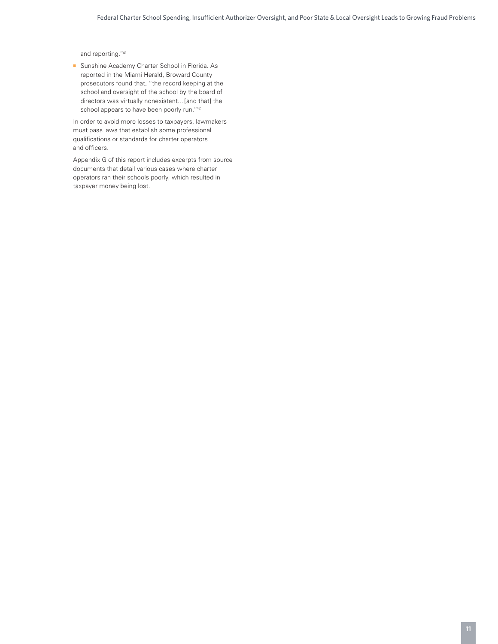and reporting."41

■ Sunshine Academy Charter School in Florida. As reported in the Miami Herald, Broward County prosecutors found that, "the record keeping at the school and oversight of the school by the board of directors was virtually nonexistent…[and that] the school appears to have been poorly run."42

In order to avoid more losses to taxpayers, lawmakers must pass laws that establish some professional qualifications or standards for charter operators and officers.

Appendix G of this report includes excerpts from source documents that detail various cases where charter operators ran their schools poorly, which resulted in taxpayer money being lost.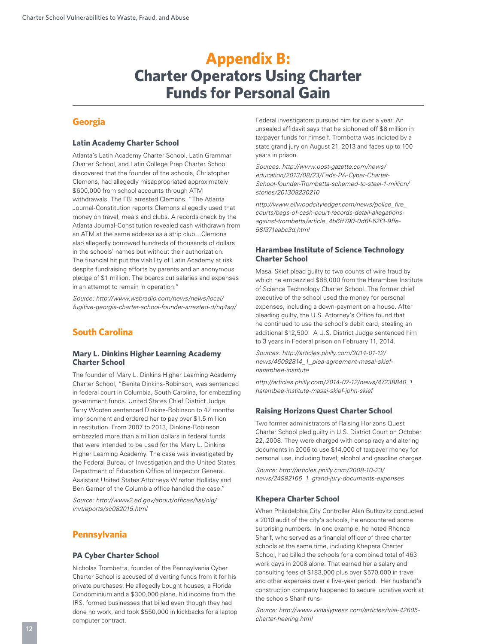# **Appendix B: Charter Operators Using Charter Funds for Personal Gain**

# **Georgia**

### **Latin Academy Charter School**

Atlanta's Latin Academy Charter School, Latin Grammar Charter School, and Latin College Prep Charter School discovered that the founder of the schools, Christopher Clemons, had allegedly misappropriated approximately \$600,000 from school accounts through ATM withdrawals. The FBI arrested Clemons. "The Atlanta Journal-Constitution reports Clemons allegedly used that money on travel, meals and clubs. A records check by the Atlanta Journal-Constitution revealed cash withdrawn from an ATM at the same address as a strip club…Clemons also allegedly borrowed hundreds of thousands of dollars in the schools' names but without their authorization. The financial hit put the viability of Latin Academy at risk despite fundraising efforts by parents and an anonymous pledge of \$1 million. The boards cut salaries and expenses in an attempt to remain in operation."

*Source: http://www.wsbradio.com/news/news/local/ fugitive-georgia-charter-school-founder-arrested-d/nq4sq/* 

# **South Carolina**

#### **Mary L. Dinkins Higher Learning Academy Charter School**

The founder of Mary L. Dinkins Higher Learning Academy Charter School, "Benita Dinkins-Robinson, was sentenced in federal court in Columbia, South Carolina, for embezzling government funds. United States Chief District Judge Terry Wooten sentenced Dinkins-Robinson to 42 months imprisonment and ordered her to pay over \$1.5 million in restitution. From 2007 to 2013, Dinkins-Robinson embezzled more than a million dollars in federal funds that were intended to be used for the Mary L. Dinkins Higher Learning Academy. The case was investigated by the Federal Bureau of Investigation and the United States Department of Education Office of Inspector General. Assistant United States Attorneys Winston Holliday and Ben Garner of the Columbia office handled the case."

*Source: http://www2.ed.gov/about/offices/list/oig/ invtreports/sc082015.html* 

# **Pennsylvania**

#### **PA Cyber Charter School**

Nicholas Trombetta, founder of the Pennsylvania Cyber Charter School is accused of diverting funds from it for his private purchases. He allegedly bought houses, a Florida Condominium and a \$300,000 plane, hid income from the IRS, formed businesses that billed even though they had done no work, and took \$550,000 in kickbacks for a laptop computer contract.

Federal investigators pursued him for over a year. An unsealed affidavit says that he siphoned off \$8 million in taxpayer funds for himself. Trombetta was indicted by a state grand jury on August 21, 2013 and faces up to 100 years in prison.

*Sources: http://www.post-gazette.com/news/ education/2013/08/23/Feds-PA-Cyber-Charter-School-founder-Trombetta-schemed-to-steal-1-million/ stories/201308230210* 

*http://www.ellwoodcityledger.com/news/police\_fire\_ courts/bags-of-cash-court-records-detail-allegationsagainst-trombetta/article\_4b6ff790-0d6f-52f3-9ffe-58f371aabc3d.html*

#### **Harambee Institute of Science Technology Charter School**

Masai Skief plead guilty to two counts of wire fraud by which he embezzled \$88,000 from the Harambee Institute of Science Technology Charter School. The former chief executive of the school used the money for personal expenses, including a down-payment on a house. After pleading guilty, the U.S. Attorney's Office found that he continued to use the school's debit card, stealing an additional \$12,500. A U.S. District Judge sentenced him to 3 years in Federal prison on February 11, 2014.

*Sources: http://articles.philly.com/2014-01-12/ news/46092814\_1\_plea-agreement-masai-skiefharambee-institute* 

*http://articles.philly.com/2014-02-12/news/47238840\_1\_ harambee-institute-masai-skief-john-skief*

# **Raising Horizons Quest Charter School**

Two former administrators of Raising Horizons Quest Charter School pled guilty in U.S. District Court on October 22, 2008. They were charged with conspiracy and altering documents in 2006 to use \$14,000 of taxpayer money for personal use, including travel, alcohol and gasoline charges.

*Source: http://articles.philly.com/2008-10-23/ news/24992166\_1\_grand-jury-documents-expenses* 

#### **Khepera Charter School**

When Philadelphia City Controller Alan Butkovitz conducted a 2010 audit of the city's schools, he encountered some surprising numbers. In one example, he noted Rhonda Sharif, who served as a financial officer of three charter schools at the same time, including Khepera Charter School, had billed the schools for a combined total of 463 work days in 2008 alone. That earned her a salary and consulting fees of \$183,000 plus over \$570,000 in travel and other expenses over a five-year period. Her husband's construction company happened to secure lucrative work at the schools Sharif runs.

*Source: http://www.vvdailypress.com/articles/trial-42605 charter-hearing.html*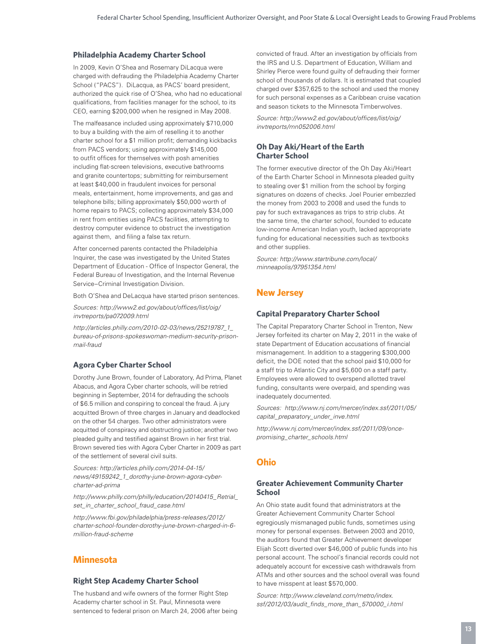#### **Philadelphia Academy Charter School**

In 2009, Kevin O'Shea and Rosemary DiLacqua were charged with defrauding the Philadelphia Academy Charter School ("PACS"). DiLacqua, as PACS' board president, authorized the quick rise of O'Shea, who had no educational qualifications, from facilities manager for the school, to its CEO, earning \$200,000 when he resigned in May 2008.

The malfeasance included using approximately \$710,000 to buy a building with the aim of reselling it to another charter school for a \$1 million profit; demanding kickbacks from PACS vendors; using approximately \$145,000 to outfit offices for themselves with posh amenities including flat-screen televisions, executive bathrooms and granite countertops; submitting for reimbursement at least \$40,000 in fraudulent invoices for personal meals, entertainment, home improvements, and gas and telephone bills; billing approximately \$50,000 worth of home repairs to PACS; collecting approximately \$34,000 in rent from entities using PACS facilities, attempting to destroy computer evidence to obstruct the investigation against them, and filing a false tax return.

After concerned parents contacted the Philadelphia Inquirer, the case was investigated by the United States Department of Education - Office of Inspector General, the Federal Bureau of Investigation, and the Internal Revenue Service–Criminal Investigation Division.

Both O'Shea and DeLacqua have started prison sentences.

*Sources: http://www2.ed.gov/about/offices/list/oig/ invtreports/pa072009.html* 

*http://articles.philly.com/2010-02-03/news/25219787\_1\_ bureau-of-prisons-spokeswoman-medium-security-prisonmail-fraud* 

#### **Agora Cyber Charter School**

Dorothy June Brown, founder of Laboratory, Ad Prima, Planet Abacus, and Agora Cyber charter schools, will be retried beginning in September, 2014 for defrauding the schools of \$6.5 million and conspiring to conceal the fraud. A jury acquitted Brown of three charges in January and deadlocked on the other 54 charges. Two other administrators were acquitted of conspiracy and obstructing justice; another two pleaded guilty and testified against Brown in her first trial. Brown severed ties with Agora Cyber Charter in 2009 as part of the settlement of several civil suits.

*Sources: http://articles.philly.com/2014-04-15/ news/49159242\_1\_dorothy-june-brown-agora-cybercharter-ad-prima*

*http://www.philly.com/philly/education/20140415\_Retrial\_ set\_in\_charter\_school\_fraud\_case.html*

*http://www.fbi.gov/philadelphia/press-releases/2012/ charter-school-founder-dorothy-june-brown-charged-in-6 million-fraud-scheme* 

# **Minnesota**

#### **Right Step Academy Charter School**

The husband and wife owners of the former Right Step Academy charter school in St. Paul, Minnesota were sentenced to federal prison on March 24, 2006 after being convicted of fraud. After an investigation by officials from the IRS and U.S. Department of Education, William and Shirley Pierce were found guilty of defrauding their former school of thousands of dollars. It is estimated that coupled charged over \$357,625 to the school and used the money for such personal expenses as a Caribbean cruise vacation and season tickets to the Minnesota Timberwolves.

*Source: http://www2.ed.gov/about/offices/list/oig/ invtreports/mn052006.html*

#### **Oh Day Aki/Heart of the Earth Charter School**

The former executive director of the Oh Day Aki/Heart of the Earth Charter School in Minnesota pleaded guilty to stealing over \$1 million from the school by forging signatures on dozens of checks. Joel Pourier embezzled the money from 2003 to 2008 and used the funds to pay for such extravagances as trips to strip clubs. At the same time, the charter school, founded to educate low-income American Indian youth, lacked appropriate funding for educational necessities such as textbooks and other supplies.

*Source: http://www.startribune.com/local/ minneapolis/97951354.html* 

# **New Jersey**

#### **Capital Preparatory Charter School**

The Capital Preparatory Charter School in Trenton, New Jersey forfeited its charter on May 2, 2011 in the wake of state Department of Education accusations of financial mismanagement. In addition to a staggering \$300,000 deficit, the DOE noted that the school paid \$10,000 for a staff trip to Atlantic City and \$5,600 on a staff party. Employees were allowed to overspend allotted travel funding, consultants were overpaid, and spending was inadequately documented.

*Sources: http://www.nj.com/mercer/index.ssf/2011/05/ capital\_preparatory\_under\_inve.html*

*http://www.nj.com/mercer/index.ssf/2011/09/oncepromising\_charter\_schools.html*

# **Ohio**

#### **Greater Achievement Community Charter School**

An Ohio state audit found that administrators at the Greater Achievement Community Charter School egregiously mismanaged public funds, sometimes using money for personal expenses. Between 2003 and 2010, the auditors found that Greater Achievement developer Elijah Scott diverted over \$46,000 of public funds into his personal account. The school's financial records could not adequately account for excessive cash withdrawals from ATMs and other sources and the school overall was found to have misspent at least \$570,000.

*Source: http://www.cleveland.com/metro/index. ssf/2012/03/audit\_finds\_more\_than\_570000\_i.html*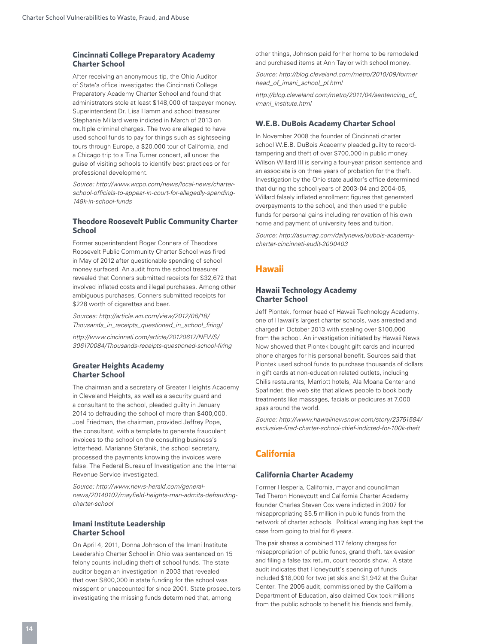#### **Cincinnati College Preparatory Academy Charter School**

After receiving an anonymous tip, the Ohio Auditor of State's office investigated the Cincinnati College Preparatory Academy Charter School and found that administrators stole at least \$148,000 of taxpayer money. Superintendent Dr. Lisa Hamm and school treasurer Stephanie Millard were indicted in March of 2013 on multiple criminal charges. The two are alleged to have used school funds to pay for things such as sightseeing tours through Europe, a \$20,000 tour of California, and a Chicago trip to a Tina Turner concert, all under the guise of visiting schools to identify best practices or for professional development.

*Source: http://www.wcpo.com/news/local-news/charterschool-officials-to-appear-in-court-for-allegedly-spending-148k-in-school-funds*

#### **Theodore Roosevelt Public Community Charter School**

Former superintendent Roger Conners of Theodore Roosevelt Public Community Charter School was fired in May of 2012 after questionable spending of school money surfaced. An audit from the school treasurer revealed that Conners submitted receipts for \$32,672 that involved inflated costs and illegal purchases. Among other ambiguous purchases, Conners submitted receipts for \$228 worth of cigarettes and beer.

*Sources: http://article.wn.com/view/2012/06/18/ Thousands\_in\_receipts\_questioned\_in\_school\_firing/ http://www.cincinnati.com/article/20120617/NEWS/ 306170084/Thousands-receipts-questioned-school-firing* 

#### **Greater Heights Academy Charter School**

The chairman and a secretary of Greater Heights Academy in Cleveland Heights, as well as a security guard and a consultant to the school, pleaded guilty in January 2014 to defrauding the school of more than \$400,000. Joel Friedman, the chairman, provided Jeffrey Pope, the consultant, with a template to generate fraudulent invoices to the school on the consulting business's letterhead. Marianne Stefanik, the school secretary, processed the payments knowing the invoices were false. The Federal Bureau of Investigation and the Internal Revenue Service investigated.

*Source: http://www.news-herald.com/generalnews/20140107/mayfield-heights-man-admits-defraudingcharter-school*

#### **Imani Institute Leadership Charter School**

On April 4, 2011, Donna Johnson of the Imani Institute Leadership Charter School in Ohio was sentenced on 15 felony counts including theft of school funds. The state auditor began an investigation in 2003 that revealed that over \$800,000 in state funding for the school was misspent or unaccounted for since 2001. State prosecutors investigating the missing funds determined that, among

other things, Johnson paid for her home to be remodeled and purchased items at Ann Taylor with school money.

*Source: http://blog.cleveland.com/metro/2010/09/former\_ head\_of\_imani\_school\_pl.html*

*http://blog.cleveland.com/metro/2011/04/sentencing\_of\_ imani\_institute.html* 

#### **W.E.B. DuBois Academy Charter School**

In November 2008 the founder of Cincinnati charter school W.E.B. DuBois Academy pleaded guilty to recordtampering and theft of over \$700,000 in public money. Wilson Willard III is serving a four-year prison sentence and an associate is on three years of probation for the theft. Investigation by the Ohio state auditor's office determined that during the school years of 2003-04 and 2004-05, Willard falsely inflated enrollment figures that generated overpayments to the school, and then used the public funds for personal gains including renovation of his own home and payment of university fees and tuition.

*Source: http://asumag.com/dailynews/dubois-academycharter-cincinnati-audit-2090403* 

# **Hawaii**

#### **Hawaii Technology Academy Charter School**

Jeff Piontek, former head of Hawaii Technology Academy, one of Hawaii's largest charter schools, was arrested and charged in October 2013 with stealing over \$100,000 from the school. An investigation initiated by Hawaii News Now showed that Piontek bought gift cards and incurred phone charges for his personal benefit. Sources said that Piontek used school funds to purchase thousands of dollars in gift cards at non-education related outlets, including Chilis restaurants, Marriott hotels, Ala Moana Center and Spafinder, the web site that allows people to book body treatments like massages, facials or pedicures at 7,000 spas around the world.

*Source: http://www.hawaiinewsnow.com/story/23751584/ exclusive-fired-charter-school-chief-indicted-for-100k-theft* 

# **California**

#### **California Charter Academy**

Former Hesperia, California, mayor and councilman Tad Theron Honeycutt and California Charter Academy founder Charles Steven Cox were indicted in 2007 for misappropriating \$5.5 million in public funds from the network of charter schools. Political wrangling has kept the case from going to trial for 6 years.

The pair shares a combined 117 felony charges for misappropriation of public funds, grand theft, tax evasion and filing a false tax return, court records show. A state audit indicates that Honeycutt's spending of funds included \$18,000 for two jet skis and \$1,942 at the Guitar Center. The 2005 audit, commissioned by the California Department of Education, also claimed Cox took millions from the public schools to benefit his friends and family,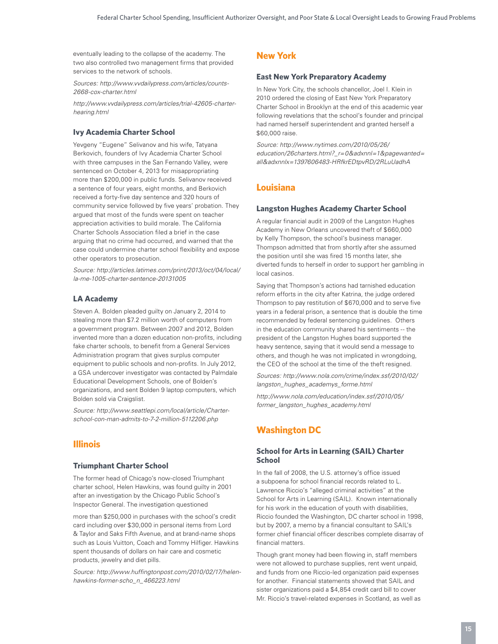eventually leading to the collapse of the academy. The two also controlled two management firms that provided services to the network of schools.

*Sources: http://www.vvdailypress.com/articles/counts-2668-cox-charter.html* 

*http://www.vvdailypress.com/articles/trial-42605-charterhearing.html* 

#### **Ivy Academia Charter School**

Yevgeny "Eugene" Selivanov and his wife, Tatyana Berkovich, founders of Ivy Academia Charter School with three campuses in the San Fernando Valley, were sentenced on October 4, 2013 for misappropriating more than \$200,000 in public funds. Selivanov received a sentence of four years, eight months, and Berkovich received a forty-five day sentence and 320 hours of community service followed by five years' probation. They argued that most of the funds were spent on teacher appreciation activities to build morale. The California Charter Schools Association filed a brief in the case arguing that no crime had occurred, and warned that the case could undermine charter school flexibility and expose other operators to prosecution.

*Source: http://articles.latimes.com/print/2013/oct/04/local/ la-me-1005-charter-sentence-20131005*

#### **LA Academy**

Steven A. Bolden pleaded guilty on January 2, 2014 to stealing more than \$7.2 million worth of computers from a government program. Between 2007 and 2012, Bolden invented more than a dozen education non-profits, including fake charter schools, to benefit from a General Services Administration program that gives surplus computer equipment to public schools and non-profits. In July 2012, a GSA undercover investigator was contacted by Palmdale Educational Development Schools, one of Bolden's organizations, and sent Bolden 9 laptop computers, which Bolden sold via Craigslist.

*Source: http://www.seattlepi.com/local/article/Charterschool-con-man-admits-to-7-2-million-5112206.php* 

# **Illinois**

#### **Triumphant Charter School**

The former head of Chicago's now-closed Triumphant charter school, Helen Hawkins, was found guilty in 2001 after an investigation by the Chicago Public School's Inspector General. The investigation questioned

more than \$250,000 in purchases with the school's credit card including over \$30,000 in personal items from Lord & Taylor and Saks Fifth Avenue, and at brand-name shops such as Louis Vuitton, Coach and Tommy Hilfiger. Hawkins spent thousands of dollars on hair care and cosmetic products, jewelry and diet pills.

*Source: http://www.huffingtonpost.com/2010/02/17/helenhawkins-former-scho\_n\_466223.html* 

# **New York**

#### **East New York Preparatory Academy**

In New York City, the schools chancellor, Joel I. Klein in 2010 ordered the closing of East New York Preparatory Charter School in Brooklyn at the end of this academic year following revelations that the school's founder and principal had named herself superintendent and granted herself a \$60,000 raise.

*Source: http://www.nytimes.com/2010/05/26/ education/26charters.html?\_r=0&adxnnl=1&pagewanted= all&adxnnlx=1397606483-HRfkrEDtpvRD/2RLuUadhA* 

# **Louisiana**

#### **Langston Hughes Academy Charter School**

A regular financial audit in 2009 of the Langston Hughes Academy in New Orleans uncovered theft of \$660,000 by Kelly Thompson, the school's business manager. Thompson admitted that from shortly after she assumed the position until she was fired 15 months later, she diverted funds to herself in order to support her gambling in local casinos.

Saying that Thompson's actions had tarnished education reform efforts in the city after Katrina, the judge ordered Thompson to pay restitution of \$670,000 and to serve five years in a federal prison, a sentence that is double the time recommended by federal sentencing guidelines. Others in the education community shared his sentiments -- the president of the Langston Hughes board supported the heavy sentence, saying that it would send a message to others, and though he was not implicated in wrongdoing, the CEO of the school at the time of the theft resigned.

*Sources: http://www.nola.com/crime/index.ssf/2010/02/ langston\_hughes\_academys\_forme.html* 

*http://www.nola.com/education/index.ssf/2010/05/ former\_langston\_hughes\_academy.html* 

# **Washington DC**

#### **School for Arts in Learning (SAIL) Charter School**

In the fall of 2008, the U.S. attorney's office issued a subpoena for school financial records related to L. Lawrence Riccio's "alleged criminal activities" at the School for Arts in Learning (SAIL). Known internationally for his work in the education of youth with disabilities, Riccio founded the Washington, DC charter school in 1998, but by 2007, a memo by a financial consultant to SAIL's former chief financial officer describes complete disarray of financial matters.

Though grant money had been flowing in, staff members were not allowed to purchase supplies, rent went unpaid, and funds from one Riccio-led organization paid expenses for another. Financial statements showed that SAIL and sister organizations paid a \$4,854 credit card bill to cover Mr. Riccio's travel-related expenses in Scotland, as well as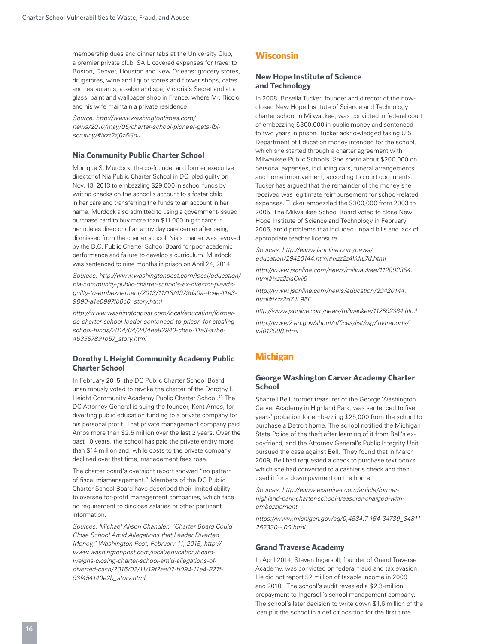membership dues and dinner tabs at the University Club, a premier private club. SAIL covered expenses for travel to Boston, Denver, Houston and New Orleans; grocery stores, drugstores, wine and liquor stores and flower shops, cafes and restaurants, a salon and spa, Victoria's Secret and at a glass, paint and wallpaper shop in France, where Mr. Riccio and his wife maintain a private residence.

*Source: http://www.washingtontimes.com/ news/2010/may/05/charter-school-pioneer-gets-fbiscrutiny/#ixzz2zj0z6GdJ* 

#### **Nia Community Public Charter School**

Monique S. Murdock, the co-founder and former executive director of Nia Public Charter School in DC, pled guilty on Nov. 13, 2013 to embezzling \$29,000 in school funds by writing checks on the school's account to a foster child in her care and transferring the funds to an account in her name. Murdock also admitted to using a government-issued purchase card to buy more than \$11,000 in gift cards in her role as director of an army day care center after being dismissed from the charter school. Nia's charter was revoked by the D.C. Public Charter School Board for poor academic performance and failure to develop a curriculum. Murdock was sentenced to nine months in prison on April 24, 2014.

*Sources: http://www.washingtonpost.com/local/education/ nia-community-public-charter-schools-ex-director-pleadsguilty-to-embezzlement/2013/11/13/4979da0a-4cae-11e3- 9890-a1e0997fb0c0\_story.html* 

*http://www.washingtonpost.com/local/education/formerdc-charter-school-leader-sentenced-to-prison-for-stealingschool-funds/2014/04/24/4ee82940-cbe5-11e3-a75e-463587891b57\_story.html* 

#### **Dorothy I. Height Community Academy Public Charter School**

In February 2015, the DC Public Charter School Board unanimously voted to revoke the charter of the Dorothy I. Height Community Academy Public Charter School.<sup>43</sup> The DC Attorney General is suing the founder, Kent Amos, for diverting public education funding to a private company for his personal profit. That private management company paid Amos more than \$2.5 million over the last 2 years. Over the past 10 years, the school has paid the private entity more than \$14 million and, while costs to the private company declined over that time, management fees rose.

The charter board's oversight report showed "no pattern of fiscal mismanagement." Members of the DC Public Charter School Board have described their limited ability to oversee for-profit management companies, which face no requirement to disclose salaries or other pertinent information.

*Sources: Michael Alison Chandler, "Charter Board Could Close School Amid Allegations that Leader Diverted Money," Washington Post, February 11, 2015, http:// www.washingtonpost.com/local/education/boardweighs-closing-charter-school-amid-allegations-ofdiverted-cash/2015/02/11/19f2ee02-b094-11e4-827f-93f454140e2b\_story.html.*

# **Wisconsin**

#### **New Hope Institute of Science and Technology**

In 2008, Rosella Tucker, founder and director of the nowclosed New Hope Institute of Science and Technology charter school in Milwaukee, was convicted in federal court of embezzling \$300,000 in public money and sentenced to two years in prison. Tucker acknowledged taking U.S. Department of Education money intended for the school, which she started through a charter agreement with Milwaukee Public Schools. She spent about \$200,000 on personal expenses, including cars, funeral arrangements and home improvement, according to court documents. Tucker has argued that the remainder of the money she received was legitimate reimbursement for school-related expenses. Tucker embezzled the \$300,000 from 2003 to 2005. The Milwaukee School Board voted to close New Hope Institute of Science and Technology in February 2006, amid problems that included unpaid bills and lack of appropriate teacher licensure.

*Sources: http://www.jsonline.com/news/ education/29420144.html#ixzz2z4VdIL7d.html* 

*http://www.jsonline.com/news/milwaukee/112892364. html#ixzz2ziaCvli9* 

*http://www.jsonline.com/news/education/29420144. html#ixzz2ziZJL95F* 

*http://www.jsonline.com/news/milwaukee/112892364.html*

*http://www2.ed.gov/about/offices/list/oig/invtreports/ wi012008.html* 

# **Michigan**

#### **George Washington Carver Academy Charter School**

Shantell Bell, former treasurer of the George Washington Carver Academy in Highland Park, was sentenced to five years' probation for embezzling \$25,000 from the school to purchase a Detroit home. The school notified the Michigan State Police of the theft after learning of it from Bell's exboyfriend, and the Attorney General's Public Integrity Unit pursued the case against Bell. They found that in March 2009, Bell had requested a check to purchase text books, which she had converted to a cashier's check and then used it for a down payment on the home.

*Sources: http://www.examiner.com/article/formerhighland-park-charter-school-treasurer-charged-withembezzlement* 

*https://www.michigan.gov/ag/0,4534,7-164-34739\_34811- 262330--,00.html*

#### **Grand Traverse Academy**

In April 2014, Steven Ingersoll, founder of Grand Traverse Academy, was convicted on federal fraud and tax evasion. He did not report \$2 million of taxable income in 2009 and 2010. The school's audit revealed a \$2.3-million prepayment to Ingersoll's school management company. The school's later decision to write down \$1.6 million of the loan put the school in a deficit position for the first time.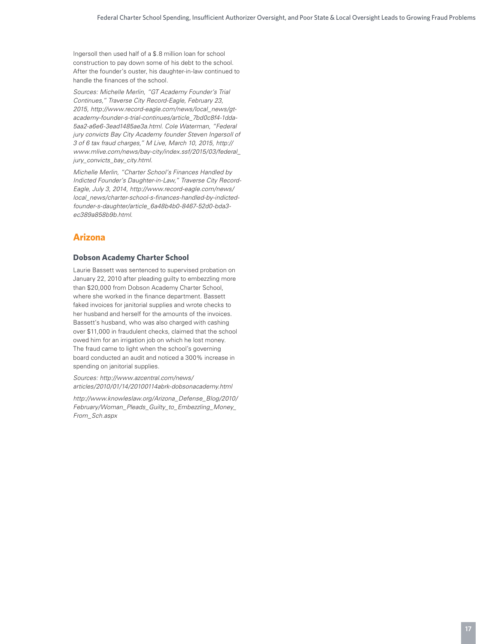Ingersoll then used half of a \$.8 million loan for school construction to pay down some of his debt to the school. After the founder's ouster, his daughter-in-law continued to handle the finances of the school.

*Sources: Michelle Merlin, "GT Academy Founder's Trial Continues," Traverse City Record-Eagle, February 23, 2015, http://www.record-eagle.com/news/local\_news/gtacademy-founder-s-trial-continues/article\_7bd0c8f4-1dda-5aa2-a6e6-3ead1485ae3a.html. Cole Waterman, "Federal jury convicts Bay City Academy founder Steven Ingersoll of 3 of 6 tax fraud charges," M Live, March 10, 2015, http:// www.mlive.com/news/bay-city/index.ssf/2015/03/federal\_ jury\_convicts\_bay\_city.html.* 

*Michelle Merlin, "Charter School's Finances Handled by Indicted Founder's Daughter-in-Law," Traverse City Record-Eagle, July 3, 2014, http://www.record-eagle.com/news/ local\_news/charter-school-s-finances-handled-by-indictedfounder-s-daughter/article\_6a48b4b0-8467-52d0-bda3 ec389a858b9b.html.*

# **Arizona**

# **Dobson Academy Charter School**

Laurie Bassett was sentenced to supervised probation on January 22, 2010 after pleading guilty to embezzling more than \$20,000 from Dobson Academy Charter School, where she worked in the finance department. Bassett faked invoices for janitorial supplies and wrote checks to her husband and herself for the amounts of the invoices. Bassett's husband, who was also charged with cashing over \$11,000 in fraudulent checks, claimed that the school owed him for an irrigation job on which he lost money. The fraud came to light when the school's governing board conducted an audit and noticed a 300% increase in spending on janitorial supplies.

*Sources: http://www.azcentral.com/news/ articles/2010/01/14/20100114abrk-dobsonacademy.html* 

*http://www.knowleslaw.org/Arizona\_Defense\_Blog/2010/ February/Woman\_Pleads\_Guilty\_to\_Embezzling\_Money\_ From\_Sch.aspx*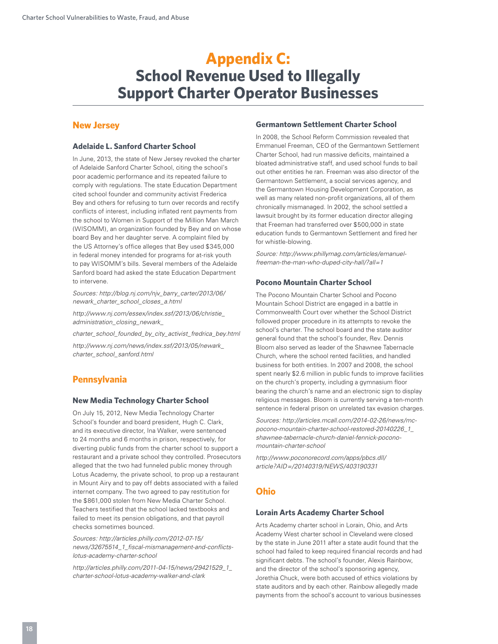# **Appendix C: School Revenue Used to Illegally Support Charter Operator Businesses**

# **New Jersey**

#### **Adelaide L. Sanford Charter School**

In June, 2013, the state of New Jersey revoked the charter of Adelaide Sanford Charter School, citing the school's poor academic performance and its repeated failure to comply with regulations. The state Education Department cited school founder and community activist Frederica Bey and others for refusing to turn over records and rectify conflicts of interest, including inflated rent payments from the school to Women in Support of the Million Man March (WISOMM), an organization founded by Bey and on whose board Bey and her daughter serve. A complaint filed by the US Attorney's office alleges that Bey used \$345,000 in federal money intended for programs for at-risk youth to pay WISOMM's bills. Several members of the Adelaide Sanford board had asked the state Education Department to intervene.

*Sources: http://blog.nj.com/njv\_barry\_carter/2013/06/ newark\_charter\_school\_closes\_a.html*

*http://www.nj.com/essex/index.ssf/2013/06/christie\_ administration\_closing\_newark\_*

*charter\_school\_founded\_by\_city\_activist\_fredrica\_bey.html http://www.nj.com/news/index.ssf/2013/05/newark\_ charter\_school\_sanford.html*

# **Pennsylvania**

#### **New Media Technology Charter School**

On July 15, 2012, New Media Technology Charter School's founder and board president, Hugh C. Clark, and its executive director, Ina Walker, were sentenced to 24 months and 6 months in prison, respectively, for diverting public funds from the charter school to support a restaurant and a private school they controlled. Prosecutors alleged that the two had funneled public money through Lotus Academy, the private school, to prop up a restaurant in Mount Airy and to pay off debts associated with a failed internet company. The two agreed to pay restitution for the \$861,000 stolen from New Media Charter School. Teachers testified that the school lacked textbooks and failed to meet its pension obligations, and that payroll checks sometimes bounced.

*Sources: http://articles.philly.com/2012-07-15/ news/32675514\_1\_fiscal-mismanagement-and-conflictslotus-academy-charter-school*

*http://articles.philly.com/2011-04-15/news/29421529\_1\_ charter-school-lotus-academy-walker-and-clark* 

#### **Germantown Settlement Charter School**

In 2008, the School Reform Commission revealed that Emmanuel Freeman, CEO of the Germantown Settlement Charter School, had run massive deficits, maintained a bloated administrative staff, and used school funds to bail out other entities he ran. Freeman was also director of the Germantown Settlement, a social services agency, and the Germantown Housing Development Corporation, as well as many related non-profit organizations, all of them chronically mismanaged. In 2002, the school settled a lawsuit brought by its former education director alleging that Freeman had transferred over \$500,000 in state education funds to Germantown Settlement and fired her for whistle-blowing.

*Source: http://www.phillymag.com/articles/emanuelfreeman-the-man-who-duped-city-hall/?all=1*

#### **Pocono Mountain Charter School**

The Pocono Mountain Charter School and Pocono Mountain School District are engaged in a battle in Commonwealth Court over whether the School District followed proper procedure in its attempts to revoke the school's charter. The school board and the state auditor general found that the school's founder, Rev. Dennis Bloom also served as leader of the Shawnee Tabernacle Church, where the school rented facilities, and handled business for both entities. In 2007 and 2008, the school spent nearly \$2.6 million in public funds to improve facilities on the church's property, including a gymnasium floor bearing the church's name and an electronic sign to display religious messages. Bloom is currently serving a ten-month sentence in federal prison on unrelated tax evasion charges.

*Sources: http://articles.mcall.com/2014-02-26/news/mcpocono-mountain-charter-school-restored-20140226\_1\_ shawnee-tabernacle-church-daniel-fennick-poconomountain-charter-school*

*http://www.poconorecord.com/apps/pbcs.dll/ article?AID=/20140319/NEWS/403190331* 

# **Ohio**

#### **Lorain Arts Academy Charter School**

Arts Academy charter school in Lorain, Ohio, and Arts Academy West charter school in Cleveland were closed by the state in June 2011 after a state audit found that the school had failed to keep required financial records and had significant debts. The school's founder, Alexis Rainbow, and the director of the school's sponsoring agency, Jorethia Chuck, were both accused of ethics violations by state auditors and by each other. Rainbow allegedly made payments from the school's account to various businesses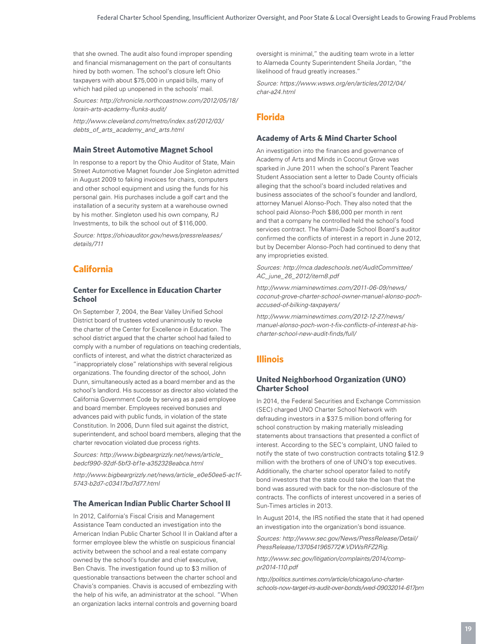that she owned. The audit also found improper spending and financial mismanagement on the part of consultants hired by both women. The school's closure left Ohio taxpayers with about \$75,000 in unpaid bills, many of which had piled up unopened in the schools' mail.

*Sources: http://chronicle.northcoastnow.com/2012/05/18/ lorain-arts-academy-flunks-audit/* 

*http://www.cleveland.com/metro/index.ssf/2012/03/ debts\_of\_arts\_academy\_and\_arts.html*

#### **Main Street Automotive Magnet School**

In response to a report by the Ohio Auditor of State, Main Street Automotive Magnet founder Joe Singleton admitted in August 2009 to faking invoices for chairs, computers and other school equipment and using the funds for his personal gain. His purchases include a golf cart and the installation of a security system at a warehouse owned by his mother. Singleton used his own company, RJ Investments, to bilk the school out of \$116,000.

*Source: https://ohioauditor.gov/news/pressreleases/ details/711* 

# **California**

#### **Center for Excellence in Education Charter School**

On September 7, 2004, the Bear Valley Unified School District board of trustees voted unanimously to revoke the charter of the Center for Excellence in Education. The school district argued that the charter school had failed to comply with a number of regulations on teaching credentials, conflicts of interest, and what the district characterized as "inappropriately close" relationships with several religious organizations. The founding director of the school, John Dunn, simultaneously acted as a board member and as the school's landlord. His successor as director also violated the California Government Code by serving as a paid employee and board member. Employees received bonuses and advances paid with public funds, in violation of the state Constitution. In 2006, Dunn filed suit against the district, superintendent, and school board members, alleging that the charter revocation violated due process rights.

*Sources: http://www.bigbeargrizzly.net/news/article\_ bedcf990-92df-5bf3-bf1e-a352328eabca.html* 

*http://www.bigbeargrizzly.net/news/article\_e0e50ee5-ac1f-5743-b2d7-c03417bd7d77.html*

#### **The American Indian Public Charter School II**

In 2012, California's Fiscal Crisis and Management Assistance Team conducted an investigation into the American Indian Public Charter School II in Oakland after a former employee blew the whistle on suspicious financial activity between the school and a real estate company owned by the school's founder and chief executive, Ben Chavis. The investigation found up to \$3 million of questionable transactions between the charter school and Chavis's companies. Chavis is accused of embezzling with the help of his wife, an administrator at the school. "When an organization lacks internal controls and governing board

oversight is minimal," the auditing team wrote in a letter to Alameda County Superintendent Sheila Jordan, "the likelihood of fraud greatly increases."

*Source: https://www.wsws.org/en/articles/2012/04/ char-a24.html*

# **Florida**

#### **Academy of Arts & Mind Charter School**

An investigation into the finances and governance of Academy of Arts and Minds in Coconut Grove was sparked in June 2011 when the school's Parent Teacher Student Association sent a letter to Dade County officials alleging that the school's board included relatives and business associates of the school's founder and landlord, attorney Manuel Alonso-Poch. They also noted that the school paid Alonso-Poch \$86,000 per month in rent and that a company he controlled held the school's food services contract. The Miami-Dade School Board's auditor confirmed the conflicts of interest in a report in June 2012, but by December Alonso-Poch had continued to deny that any improprieties existed.

*Sources: http://mca.dadeschools.net/AuditCommittee/ AC\_june\_26\_2012/item8.pdf* 

*http://www.miaminewtimes.com/2011-06-09/news/ coconut-grove-charter-school-owner-manuel-alonso-pochaccused-of-bilking-taxpayers/* 

*http://www.miaminewtimes.com/2012-12-27/news/ manuel-alonso-poch-won-t-fix-conflicts-of-interest-at-hischarter-school-new-audit-finds/full/*

# **Illinois**

#### **United Neighborhood Organization (UNO) Charter School**

In 2014, the Federal Securities and Exchange Commission (SEC) charged UNO Charter School Network with defrauding investors in a \$37.5 million bond offering for school construction by making materially misleading statements about transactions that presented a conflict of interest. According to the SEC's complaint, UNO failed to notify the state of two construction contracts totaling \$12.9 million with the brothers of one of UNO's top executives. Additionally, the charter school operator failed to notify bond investors that the state could take the loan that the bond was assured with back for the non-disclosure of the contracts. The conflicts of interest uncovered in a series of Sun-Times articles in 2013.

In August 2014, the IRS notified the state that it had opened an investigation into the organization's bond issuance.

*Sources: http://www.sec.gov/News/PressRelease/Detail/ PressRelease/1370541965772#.VDWsRFZ2Rig.*

*http://www.sec.gov/litigation/complaints/2014/comppr2014-110.pdf*

*http://politics.suntimes.com/article/chicago/uno-charterschools-now-target-irs-audit-over-bonds/wed-09032014-617pm*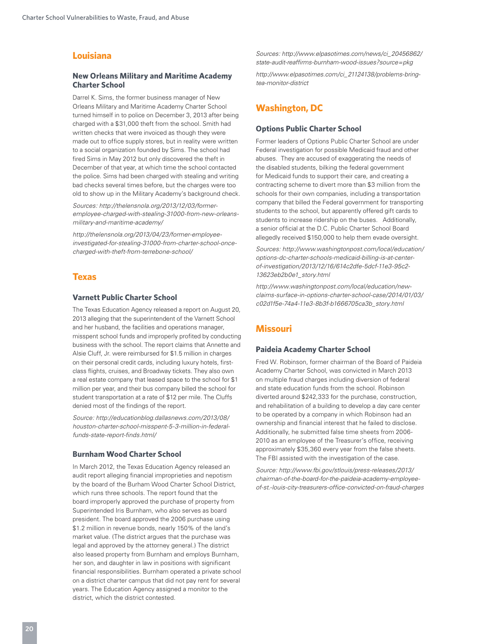# **Louisiana**

#### **New Orleans Military and Maritime Academy Charter School**

Darrel K. Sims, the former business manager of New Orleans Military and Maritime Academy Charter School turned himself in to police on December 3, 2013 after being charged with a \$31,000 theft from the school. Smith had written checks that were invoiced as though they were made out to office supply stores, but in reality were written to a social organization founded by Sims. The school had fired Sims in May 2012 but only discovered the theft in December of that year, at which time the school contacted the police. Sims had been charged with stealing and writing bad checks several times before, but the charges were too old to show up in the Military Academy's background check.

*Sources: http://thelensnola.org/2013/12/03/formeremployee-charged-with-stealing-31000-from-new-orleansmilitary-and-maritime-academy/*

*http://thelensnola.org/2013/04/23/former-employeeinvestigated-for-stealing-31000-from-charter-school-oncecharged-with-theft-from-terrebone-school/* 

# **Texas**

#### **Varnett Public Charter School**

The Texas Education Agency released a report on August 20, 2013 alleging that the superintendent of the Varnett School and her husband, the facilities and operations manager, misspent school funds and improperly profited by conducting business with the school. The report claims that Annette and Alsie Cluff, Jr. were reimbursed for \$1.5 million in charges on their personal credit cards, including luxury hotels, firstclass flights, cruises, and Broadway tickets. They also own a real estate company that leased space to the school for \$1 million per year, and their bus company billed the school for student transportation at a rate of \$12 per mile. The Cluffs denied most of the findings of the report.

*Source: http://educationblog.dallasnews.com/2013/08/ houston-charter-school-misspent-5-3-million-in-federalfunds-state-report-finds.html/* 

#### **Burnham Wood Charter School**

In March 2012, the Texas Education Agency released an audit report alleging financial improprieties and nepotism by the board of the Burham Wood Charter School District, which runs three schools. The report found that the board improperly approved the purchase of property from Superintended Iris Burnham, who also serves as board president. The board approved the 2006 purchase using \$1.2 million in revenue bonds, nearly 150% of the land's market value. (The district argues that the purchase was legal and approved by the attorney general.) The district also leased property from Burnham and employs Burnham, her son, and daughter in law in positions with significant financial responsibilities. Burnham operated a private school on a district charter campus that did not pay rent for several years. The Education Agency assigned a monitor to the district, which the district contested.

*Sources: http://www.elpasotimes.com/news/ci\_20456862/ state-audit-reaffirms-burnham-wood-issues?source=pkg*

*http://www.elpasotimes.com/ci\_21124138/problems-bringtea-monitor-district*

# **Washington, DC**

#### **Options Public Charter School**

Former leaders of Options Public Charter School are under Federal investigation for possible Medicaid fraud and other abuses. They are accused of exaggerating the needs of the disabled students, bilking the federal government for Medicaid funds to support their care, and creating a contracting scheme to divert more than \$3 million from the schools for their own companies, including a transportation company that billed the Federal government for transporting students to the school, but apparently offered gift cards to students to increase ridership on the buses. Additionally, a senior official at the D.C. Public Charter School Board allegedly received \$150,000 to help them evade oversight.

*Sources: http://www.washingtonpost.com/local/education/ options-dc-charter-schools-medicaid-billing-is-at-centerof-investigation/2013/12/16/614c2dfe-5dcf-11e3-95c2- 13623eb2b0e1\_story.html* 

*http://www.washingtonpost.com/local/education/newclaims-surface-in-options-charter-school-case/2014/01/03/ c02d1f5e-74a4-11e3-8b3f-b1666705ca3b\_story.html*

# **Missouri**

#### **Paideia Academy Charter School**

Fred W. Robinson, former chairman of the Board of Paideia Academy Charter School, was convicted in March 2013 on multiple fraud charges including diversion of federal and state education funds from the school. Robinson diverted around \$242,333 for the purchase, construction, and rehabilitation of a building to develop a day care center to be operated by a company in which Robinson had an ownership and financial interest that he failed to disclose. Additionally, he submitted false time sheets from 2006- 2010 as an employee of the Treasurer's office, receiving approximately \$35,360 every year from the false sheets. The FBI assisted with the investigation of the case.

*Source: http://www.fbi.gov/stlouis/press-releases/2013/ chairman-of-the-board-for-the-paideia-academy-employeeof-st.-louis-city-treasurers-office-convicted-on-fraud-charges*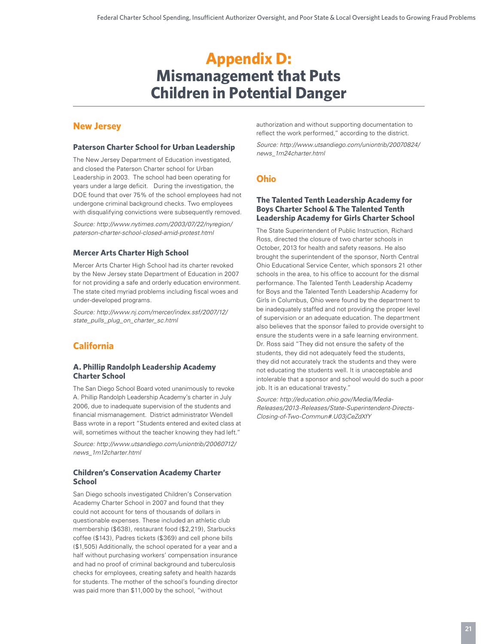# **Appendix D: Mismanagement that Puts Children in Potential Danger**

# **New Jersey**

#### **Paterson Charter School for Urban Leadership**

The New Jersey Department of Education investigated, and closed the Paterson Charter school for Urban Leadership in 2003. The school had been operating for years under a large deficit. During the investigation, the DOE found that over 75% of the school employees had not undergone criminal background checks. Two employees with disqualifying convictions were subsequently removed.

*Source: http://www.nytimes.com/2003/07/22/nyregion/ paterson-charter-school-closed-amid-protest.html* 

# **Mercer Arts Charter High School**

Mercer Arts Charter High School had its charter revoked by the New Jersey state Department of Education in 2007 for not providing a safe and orderly education environment. The state cited myriad problems including fiscal woes and under-developed programs.

*Source: http://www.nj.com/mercer/index.ssf/2007/12/ state\_pulls\_plug\_on\_charter\_sc.html* 

# **California**

#### **A. Phillip Randolph Leadership Academy Charter School**

The San Diego School Board voted unanimously to revoke A. Phillip Randolph Leadership Academy's charter in July 2006, due to inadequate supervision of the students and financial mismanagement. District administrator Wendell Bass wrote in a report "Students entered and exited class at will, sometimes without the teacher knowing they had left."

*Source: http://www.utsandiego.com/uniontrib/20060712/ news\_1m12charter.html* 

#### **Children's Conservation Academy Charter School**

San Diego schools investigated Children's Conservation Academy Charter School in 2007 and found that they could not account for tens of thousands of dollars in questionable expenses. These included an athletic club membership (\$638), restaurant food (\$2,219), Starbucks coffee (\$143), Padres tickets (\$369) and cell phone bills (\$1,505) Additionally, the school operated for a year and a half without purchasing workers' compensation insurance and had no proof of criminal background and tuberculosis checks for employees, creating safety and health hazards for students. The mother of the school's founding director was paid more than \$11,000 by the school, "without

authorization and without supporting documentation to reflect the work performed," according to the district.

*Source: http://www.utsandiego.com/uniontrib/20070824/ news\_1m24charter.html* 

# **Ohio**

#### **The Talented Tenth Leadership Academy for Boys Charter School & The Talented Tenth Leadership Academy for Girls Charter School**

The State Superintendent of Public Instruction, Richard Ross, directed the closure of two charter schools in October, 2013 for health and safety reasons. He also brought the superintendent of the sponsor, North Central Ohio Educational Service Center, which sponsors 21 other schools in the area, to his office to account for the dismal performance. The Talented Tenth Leadership Academy for Boys and the Talented Tenth Leadership Academy for Girls in Columbus, Ohio were found by the department to be inadequately staffed and not providing the proper level of supervision or an adequate education. The department also believes that the sponsor failed to provide oversight to ensure the students were in a safe learning environment. Dr. Ross said "They did not ensure the safety of the students, they did not adequately feed the students, they did not accurately track the students and they were not educating the students well. It is unacceptable and intolerable that a sponsor and school would do such a poor job. It is an educational travesty."

*Source: http://education.ohio.gov/Media/Media-Releases/2013-Releases/State-Superintendent-Directs-Closing-of-Two-Commun#.U03jCeZdXfY*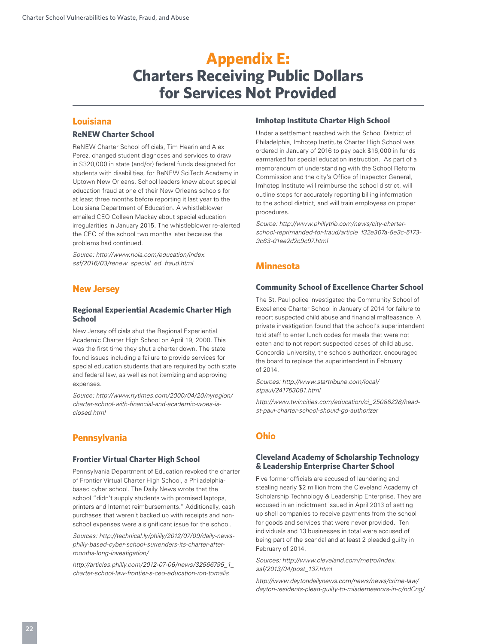# **Appendix E: Charters Receiving Public Dollars for Services Not Provided**

# **Louisiana**

# **ReNEW Charter School**

ReNEW Charter School officials, Tim Hearin and Alex Perez, changed student diagnoses and services to draw in \$320,000 in state (and/or) federal funds designated for students with disabilities, for ReNEW SciTech Academy in Uptown New Orleans. School leaders knew about special education fraud at one of their New Orleans schools for at least three months before reporting it last year to the Louisiana Department of Education. A whistleblower emailed CEO Colleen Mackay about special education irregularities in January 2015. The whistleblower re-alerted the CEO of the school two months later because the problems had continued.

*Source: http://www.nola.com/education/index. ssf/2016/03/renew\_special\_ed\_fraud.html*

# **New Jersey**

#### **Regional Experiential Academic Charter High School**

New Jersey officials shut the Regional Experiential Academic Charter High School on April 19, 2000. This was the first time they shut a charter down. The state found issues including a failure to provide services for special education students that are required by both state and federal law, as well as not itemizing and approving expenses.

*Source: http://www.nytimes.com/2000/04/20/nyregion/ charter-school-with-financial-and-academic-woes-isclosed.html*

# **Pennsylvania**

#### **Frontier Virtual Charter High School**

Pennsylvania Department of Education revoked the charter of Frontier Virtual Charter High School, a Philadelphiabased cyber school. The Daily News wrote that the school "didn't supply students with promised laptops, printers and Internet reimbursements." Additionally, cash purchases that weren't backed up with receipts and nonschool expenses were a significant issue for the school.

*Sources: http://technical.ly/philly/2012/07/09/daily-newsphilly-based-cyber-school-surrenders-its-charter-aftermonths-long-investigation/* 

*http://articles.philly.com/2012-07-06/news/32566795\_1\_ charter-school-law-frontier-s-ceo-education-ron-tomalis* 

# **Imhotep Institute Charter High School**

Under a settlement reached with the School District of Philadelphia, Imhotep Institute Charter High School was ordered in January of 2016 to pay back \$16,000 in funds earmarked for special education instruction. As part of a memorandum of understanding with the School Reform Commission and the city's Office of Inspector General, Imhotep Institute will reimburse the school district, will outline steps for accurately reporting billing information to the school district, and will train employees on proper procedures.

*Source: http://www.phillytrib.com/news/city-charterschool-reprimanded-for-fraud/article\_f32e307a-5e3c-5173- 9c63-01ee2d2c9c97.html*

# **Minnesota**

#### **Community School of Excellence Charter School**

The St. Paul police investigated the Community School of Excellence Charter School in January of 2014 for failure to report suspected child abuse and financial malfeasance. A private investigation found that the school's superintendent told staff to enter lunch codes for meals that were not eaten and to not report suspected cases of child abuse. Concordia University, the schools authorizer, encouraged the board to replace the superintendent in February of 2014.

*Sources: http://www.startribune.com/local/ stpaul/241753081.html* 

*http://www.twincities.com/education/ci\_25088228/headst-paul-charter-school-should-go-authorizer* 

# **Ohio**

#### **Cleveland Academy of Scholarship Technology & Leadership Enterprise Charter School**

Five former officials are accused of laundering and stealing nearly \$2 million from the Cleveland Academy of Scholarship Technology & Leadership Enterprise. They are accused in an indictment issued in April 2013 of setting up shell companies to receive payments from the school for goods and services that were never provided. Ten individuals and 13 businesses in total were accused of being part of the scandal and at least 2 pleaded guilty in February of 2014.

*Sources: http://www.cleveland.com/metro/index. ssf/2013/04/post\_137.html* 

*http://www.daytondailynews.com/news/news/crime-law/ dayton-residents-plead-guilty-to-misdemeanors-in-c/ndCng/*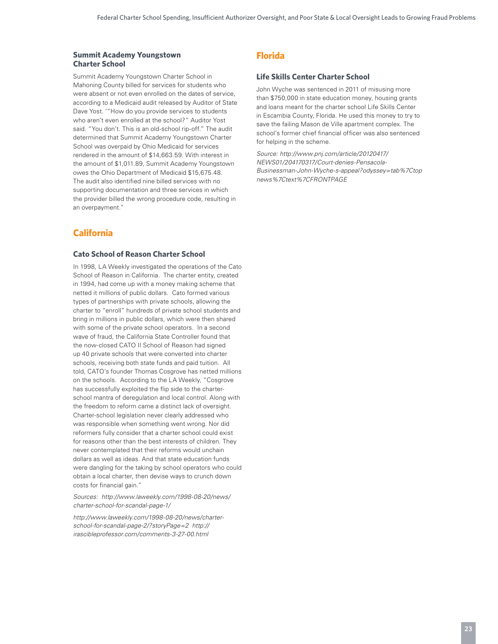#### **Summit Academy Youngstown Charter School**

Summit Academy Youngstown Charter School in Mahoning County billed for services for students who were absent or not even enrolled on the dates of service, according to a Medicaid audit released by Auditor of State Dave Yost. '"How do you provide services to students who aren't even enrolled at the school?" Auditor Yost said. "You don't. This is an old-school rip-off." The audit determined that Summit Academy Youngstown Charter School was overpaid by Ohio Medicaid for services rendered in the amount of \$14,663.59. With interest in the amount of \$1,011.89, Summit Academy Youngstown owes the Ohio Department of Medicaid \$15,675.48. The audit also identified nine billed services with no supporting documentation and three services in which the provider billed the wrong procedure code, resulting in an overpayment."

# **California**

#### **Cato School of Reason Charter School**

In 1998, LA Weekly investigated the operations of the Cato School of Reason in California. The charter entity, created in 1994, had come up with a money making scheme that netted it millions of public dollars. Cato formed various types of partnerships with private schools, allowing the charter to "enroll" hundreds of private school students and bring in millions in public dollars, which were then shared with some of the private school operators. In a second wave of fraud, the California State Controller found that the now-closed CATO II School of Reason had signed up 40 private schools that were converted into charter schools, receiving both state funds and paid tuition. All told, CATO's founder Thomas Cosgrove has netted millions on the schools. According to the LA Weekly, "Cosgrove has successfully exploited the flip side to the charterschool mantra of deregulation and local control. Along with the freedom to reform came a distinct lack of oversight. Charter-school legislation never clearly addressed who was responsible when something went wrong. Nor did reformers fully consider that a charter school could exist for reasons other than the best interests of children. They never contemplated that their reforms would unchain dollars as well as ideas. And that state education funds were dangling for the taking by school operators who could obtain a local charter, then devise ways to crunch down costs for financial gain."

*Sources: http://www.laweekly.com/1998-08-20/news/ charter-school-for-scandal-page-1/* 

*http://www.laweekly.com/1998-08-20/news/charterschool-for-scandal-page-2/?storyPage=2 http:// irascibleprofessor.com/comments-3-27-00.html* 

# **Florida**

#### **Life Skills Center Charter School**

John Wyche was sentenced in 2011 of misusing more than \$750,000 in state education money, housing grants and loans meant for the charter school Life Skills Center in Escambia County, Florida. He used this money to try to save the failing Mason de Ville apartment complex. The school's former chief financial officer was also sentenced for helping in the scheme.

*Source: http://www.pnj.com/article/20120417/ NEWS01/204170317/Court-denies-Pensacola-Businessman-John-Wyche-s-appeal?odyssey=tab%7Ctop news%7Ctext%7CFRONTPAGE*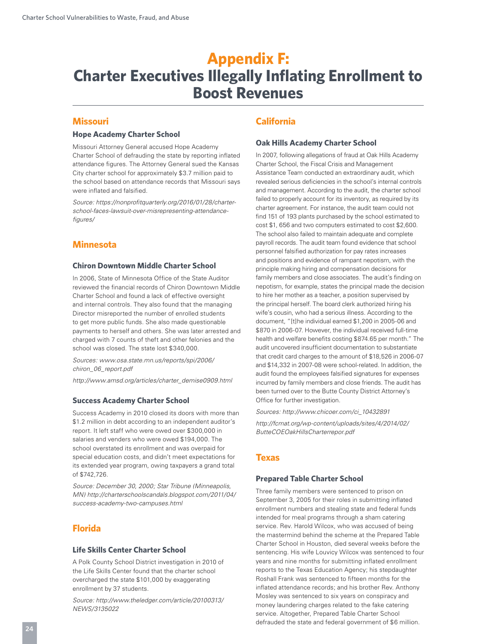# **Appendix F: Charter Executives Illegally Inflating Enrollment to Boost Revenues**

# **Missouri**

#### **Hope Academy Charter School**

Missouri Attorney General accused Hope Academy Charter School of defrauding the state by reporting inflated attendance figures. The Attorney General sued the Kansas City charter school for approximately \$3.7 million paid to the school based on attendance records that Missouri says were inflated and falsified.

*Source: https://nonprofitquarterly.org/2016/01/28/charterschool-faces-lawsuit-over-misrepresenting-attendancefigures/* 

# **Minnesota**

#### **Chiron Downtown Middle Charter School**

In 2006, State of Minnesota Office of the State Auditor reviewed the financial records of Chiron Downtown Middle Charter School and found a lack of effective oversight and internal controls. They also found that the managing Director misreported the number of enrolled students to get more public funds. She also made questionable payments to herself and others. She was later arrested and charged with 7 counts of theft and other felonies and the school was closed. The state lost \$340,000.

*Sources: www.osa.state.mn.us/reports/spi/2006/ chiron\_06\_report.pdf*

*http://www.amsd.org/articles/charter\_demise0909.html* 

#### **Success Academy Charter School**

Success Academy in 2010 closed its doors with more than \$1.2 million in debt according to an independent auditor's report. It left staff who were owed over \$300,000 in salaries and venders who were owed \$194,000. The school overstated its enrollment and was overpaid for special education costs, and didn't meet expectations for its extended year program, owing taxpayers a grand total of \$742,726.

*Source: December 30, 2000; Star Tribune (Minneapolis, MN) http://charterschoolscandals.blogspot.com/2011/04/ success-academy-two-campuses.html* 

# **Florida**

#### **Life Skills Center Charter School**

A Polk County School District investigation in 2010 of the Life Skills Center found that the charter school overcharged the state \$101,000 by exaggerating enrollment by 37 students.

*Source: http://www.theledger.com/article/20100313/ NEWS/3135022* 

# **California**

#### **Oak Hills Academy Charter School**

In 2007, following allegations of fraud at Oak Hills Academy Charter School, the Fiscal Crisis and Management Assistance Team conducted an extraordinary audit, which revealed serious deficiencies in the school's internal controls and management. According to the audit, the charter school failed to properly account for its inventory, as required by its charter agreement. For instance, the audit team could not find 151 of 193 plants purchased by the school estimated to cost \$1, 656 and two computers estimated to cost \$2,600. The school also failed to maintain adequate and complete payroll records. The audit team found evidence that school personnel falsified authorization for pay rates increases and positions and evidence of rampant nepotism, with the principle making hiring and compensation decisions for family members and close associates. The audit's finding on nepotism, for example, states the principal made the decision to hire her mother as a teacher, a position supervised by the principal herself. The board clerk authorized hiring his wife's cousin, who had a serious illness. According to the document, "[t]he individual earned \$1,200 in 2005-06 and \$870 in 2006-07. However, the individual received full-time health and welfare benefits costing \$874.65 per month." The audit uncovered insufficient documentation to substantiate that credit card charges to the amount of \$18,526 in 2006-07 and \$14,332 in 2007-08 were school-related. In addition, the audit found the employees falsified signatures for expenses incurred by family members and close friends. The audit has been turned over to the Butte County District Attorney's Office for further investigation.

*Sources: http://www.chicoer.com/ci\_10432891* 

*http://fcmat.org/wp-content/uploads/sites/4/2014/02/ ButteCOEOakHillsCharterrepor.pdf* 

# **Texas**

#### **Prepared Table Charter School**

Three family members were sentenced to prison on September 3, 2005 for their roles in submitting inflated enrollment numbers and stealing state and federal funds intended for meal programs through a sham catering service. Rev. Harold Wilcox, who was accused of being the mastermind behind the scheme at the Prepared Table Charter School in Houston, died several weeks before the sentencing. His wife Louvicy Wilcox was sentenced to four years and nine months for submitting inflated enrollment reports to the Texas Education Agency; his stepdaughter Roshall Frank was sentenced to fifteen months for the inflated attendance records; and his brother Rev. Anthony Mosley was sentenced to six years on conspiracy and money laundering charges related to the fake catering service. Altogether, Prepared Table Charter School defrauded the state and federal government of \$6 million.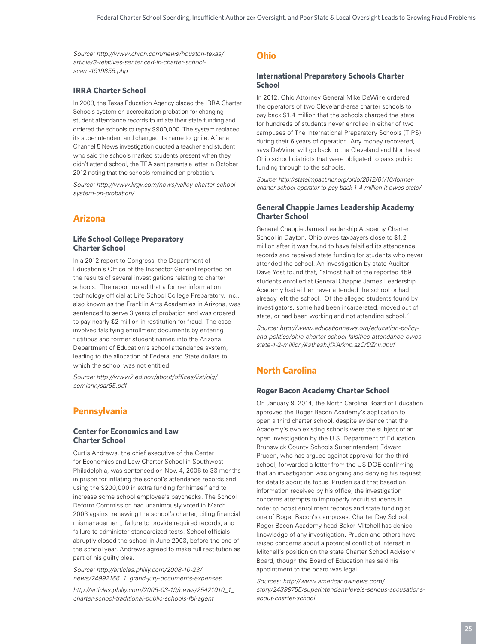*Source: http://www.chron.com/news/houston-texas/ article/3-relatives-sentenced-in-charter-schoolscam-1919855.php* 

#### **IRRA Charter School**

In 2009, the Texas Education Agency placed the IRRA Charter Schools system on accreditation probation for changing student attendance records to inflate their state funding and ordered the schools to repay \$900,000. The system replaced its superintendent and changed its name to Ignite. After a Channel 5 News investigation quoted a teacher and student who said the schools marked students present when they didn't attend school, the TEA sent parents a letter in October 2012 noting that the schools remained on probation.

*Source: http://www.krgv.com/news/valley-charter-schoolsystem-on-probation/* 

# **Arizona**

#### **Life School College Preparatory Charter School**

In a 2012 report to Congress, the Department of Education's Office of the Inspector General reported on the results of several investigations relating to charter schools. The report noted that a former information technology official at Life School College Preparatory, Inc., also known as the Franklin Arts Academies in Arizona, was sentenced to serve 3 years of probation and was ordered to pay nearly \$2 million in restitution for fraud. The case involved falsifying enrollment documents by entering fictitious and former student names into the Arizona Department of Education's school attendance system, leading to the allocation of Federal and State dollars to which the school was not entitled.

*Source: http://www2.ed.gov/about/offices/list/oig/ semiann/sar65.pdf* 

# **Pennsylvania**

#### **Center for Economics and Law Charter School**

Curtis Andrews, the chief executive of the Center for Economics and Law Charter School in Southwest Philadelphia, was sentenced on Nov. 4, 2006 to 33 months in prison for inflating the school's attendance records and using the \$200,000 in extra funding for himself and to increase some school employee's paychecks. The School Reform Commission had unanimously voted in March 2003 against renewing the school's charter, citing financial mismanagement, failure to provide required records, and failure to administer standardized tests. School officials abruptly closed the school in June 2003, before the end of the school year. Andrews agreed to make full restitution as part of his guilty plea.

*Source: http://articles.philly.com/2008-10-23/ news/24992166\_1\_grand-jury-documents-expenses* 

*http://articles.philly.com/2005-03-19/news/25421010\_1\_ charter-school-traditional-public-schools-fbi-agent* 

# **Ohio**

#### **International Preparatory Schools Charter School**

In 2012, Ohio Attorney General Mike DeWine ordered the operators of two Cleveland-area charter schools to pay back \$1.4 million that the schools charged the state for hundreds of students never enrolled in either of two campuses of The International Preparatory Schools (TIPS) during their 6 years of operation. Any money recovered, says DeWine, will go back to the Cleveland and Northeast Ohio school districts that were obligated to pass public funding through to the schools.

*Source: http://stateimpact.npr.org/ohio/2012/01/10/formercharter-school-operator-to-pay-back-1-4-million-it-owes-state/* 

#### **General Chappie James Leadership Academy Charter School**

General Chappie James Leadership Academy Charter School in Dayton, Ohio owes taxpayers close to \$1.2 million after it was found to have falsified its attendance records and received state funding for students who never attended the school. An investigation by state Auditor Dave Yost found that, "almost half of the reported 459 students enrolled at General Chappie James Leadership Academy had either never attended the school or had already left the school. Of the alleged students found by investigators, some had been incarcerated, moved out of state, or had been working and not attending school."

*Source: http://www.educationnews.org/education-policyand-politics/ohio-charter-school-falsifies-attendance-owesstate-1-2-million/#sthash.jfXArknp.azCrDZnv.dpuf*

# **North Carolina**

#### **Roger Bacon Academy Charter School**

On January 9, 2014, the North Carolina Board of Education approved the Roger Bacon Academy's application to open a third charter school, despite evidence that the Academy's two existing schools were the subject of an open investigation by the U.S. Department of Education. Brunswick County Schools Superintendent Edward Pruden, who has argued against approval for the third school, forwarded a letter from the US DOE confirming that an investigation was ongoing and denying his request for details about its focus. Pruden said that based on information received by his office, the investigation concerns attempts to improperly recruit students in order to boost enrollment records and state funding at one of Roger Bacon's campuses, Charter Day School. Roger Bacon Academy head Baker Mitchell has denied knowledge of any investigation. Pruden and others have raised concerns about a potential conflict of interest in Mitchell's position on the state Charter School Advisory Board, though the Board of Education has said his appointment to the board was legal.

*Sources: http://www.americanownews.com/ story/24399755/superintendent-levels-serious-accusationsabout-charter-school*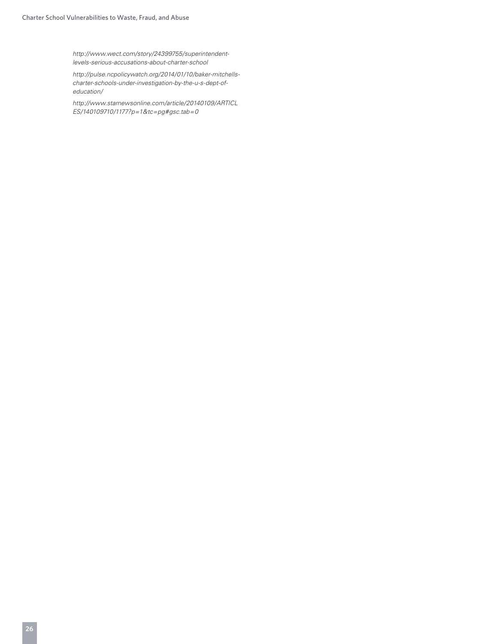*http://www.wect.com/story/24399755/superintendentlevels-serious-accusations-about-charter-school* 

*http://pulse.ncpolicywatch.org/2014/01/10/baker-mitchellscharter-schools-under-investigation-by-the-u-s-dept-ofeducation/*

*http://www.starnewsonline.com/article/20140109/ARTICL ES/140109710/1177?p=1&tc=pg#gsc.tab=0*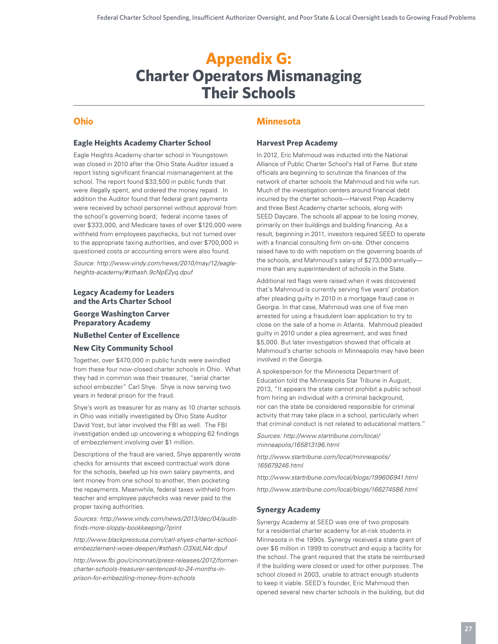# **Appendix G: Charter Operators Mismanaging Their Schools**

# **Ohio**

#### **Eagle Heights Academy Charter School**

Eagle Heights Academy charter school in Youngstown was closed in 2010 after the Ohio State Auditor issued a report listing significant financial mismanagement at the school. The report found \$33,500 in public funds that were illegally spent, and ordered the money repaid. In addition the Auditor found that federal grant payments were received by school personnel without approval from the school's governing board; federal income taxes of over \$333,000, and Medicare taxes of over \$120,000 were withheld from employees paychecks, but not turned over to the appropriate taxing authorities, and over \$700,000 in questioned costs or accounting errors were also found.

*Source: http://www.vindy.com/news/2010/may/12/eagleheights-academy/#sthash.9cNpE2yq.dpuf* 

#### **Legacy Academy for Leaders and the Arts Charter School**

# **George Washington Carver Preparatory Academy**

#### **NuBethel Center of Excellence**

#### **New City Community School**

Together, over \$470,000 in public funds were swindled from these four now-closed charter schools in Ohio. What they had in common was their treasurer, "serial charter school embezzler" Carl Shye. Shye is now serving two years in federal prison for the fraud.

Shye's work as treasurer for as many as 10 charter schools in Ohio was initially investigated by Ohio State Auditor David Yost, but later involved the FBI as well. The FBI investigation ended up uncovering a whopping 62 findings of embezzlement involving over \$1 million.

Descriptions of the fraud are varied, Shye apparently wrote checks for amounts that exceed contractual work done for the schools, beefed up his own salary payments, and lent money from one school to another, then pocketing the repayments. Meanwhile, federal taxes withheld from teacher and employee paychecks was never paid to the proper taxing authorities.

#### *Sources: http://www.vindy.com/news/2013/dec/04/auditfinds-more-sloppy-bookkeeping/?print*

*http://www.blackpressusa.com/carl-shyes-charter-schoolembezzlement-woes-deepen/#sthash.O3XdLN4r.dpuf* 

*http://www.fbi.gov/cincinnati/press-releases/2012/formercharter-schools-treasurer-sentenced-to-24-months-inprison-for-embezzling-money-from-schools* 

# **Minnesota**

#### **Harvest Prep Academy**

In 2012, Eric Mahmoud was inducted into the National Alliance of Public Charter School's Hall of Fame. But state officials are beginning to scrutinize the finances of the network of charter schools the Mahmoud and his wife run. Much of the investigation centers around financial debt incurred by the charter schools—Harvest Prep Academy and three Best Academy charter schools, along with SEED Daycare. The schools all appear to be losing money, primarily on their buildings and building financing. As a result, beginning in 2011, investors required SEED to operate with a financial consulting firm on-site. Other concerns raised have to do with nepotism on the governing boards of the schools, and Mahmoud's salary of \$273,000 annually more than any superintendent of schools in the State.

Additional red flags were raised when it was discovered that's Mahmoud is currently serving five years' probation after pleading guilty in 2010 in a mortgage fraud case in Georgia. In that case, Mahmoud was one of five men arrested for using a fraudulent loan application to try to close on the sale of a home in Atlanta. Mahmoud pleaded guilty in 2010 under a plea agreement, and was fined \$5,000. But later investigation showed that officials at Mahmoud's charter schools in Minneapolis may have been involved in the Georgia.

A spokesperson for the Minnesota Department of Education told the Minneapolis Star Tribune in August, 2013, "It appears the state cannot prohibit a public school from hiring an individual with a criminal background, nor can the state be considered responsible for criminal activity that may take place in a school, particularly when that criminal conduct is not related to educational matters."

*Sources: http://www.startribune.com/local/ minneapolis/165813196.html* 

*http://www.startribune.com/local/minneapolis/ 165679246.html* 

*http://www.startribune.com/local/blogs/199606941.html* 

*http://www.startribune.com/local/blogs/166274586.html*

#### **Synergy Academy**

Synergy Academy at SEED was one of two proposals for a residential charter academy for at-risk students in Minnesota in the 1990s. Synergy received a state grant of over \$6 million in 1999 to construct and equip a facility for the school. The grant required that the state be reimbursed if the building were closed or used for other purposes. The school closed in 2003, unable to attract enough students to keep it viable. SEED's founder, Eric Mahmoud then opened several new charter schools in the building, but did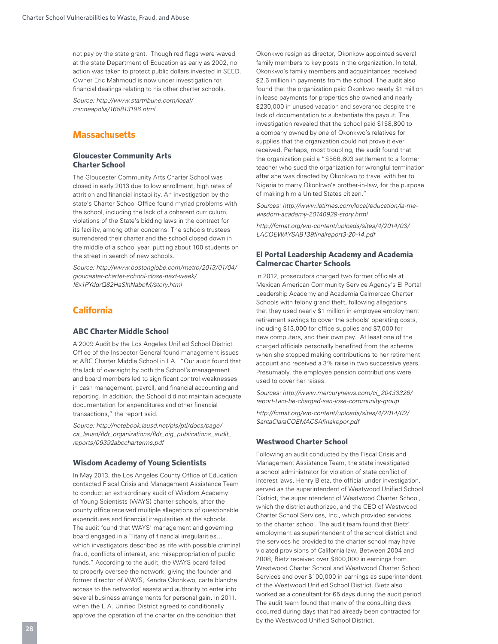not pay by the state grant. Though red flags were waved at the state Department of Education as early as 2002, no action was taken to protect public dollars invested in SEED. Owner Eric Mahmoud is now under investigation for financial dealings relating to his other charter schools.

*Source: http://www.startribune.com/local/ minneapolis/165813196.html* 

# **Massachusetts**

#### **Gloucester Community Arts Charter School**

The Gloucester Community Arts Charter School was closed in early 2013 due to low enrollment, high rates of attrition and financial instability. An investigation by the state's Charter School Office found myriad problems with the school, including the lack of a coherent curriculum, violations of the State's bidding laws in the contract for its facility, among other concerns. The schools trustees surrendered their charter and the school closed down in the middle of a school year, putting about 100 students on the street in search of new schools.

*Source: http://www.bostonglobe.com/metro/2013/01/04/ gloucester-charter-school-close-next-week/ I6x1PYddrQ82HaSlhNaboM/story.html* 

# **California**

#### **ABC Charter Middle School**

A 2009 Audit by the Los Angeles Unified School District Office of the Inspector General found management issues at ABC Charter Middle School in LA. "Our audit found that the lack of oversight by both the School's management and board members led to significant control weaknesses in cash management, payroll, and financial accounting and reporting. In addition, the School did not maintain adequate documentation for expenditures and other financial transactions," the report said.

*Source: http://notebook.lausd.net/pls/ptl/docs/page/ ca\_lausd/fldr\_organizations/fldr\_oig\_publications\_audit\_ reports/09392abccharterms.pdf* 

#### **Wisdom Academy of Young Scientists**

In May 2013, the Los Angeles County Office of Education contacted Fiscal Crisis and Management Assistance Team to conduct an extraordinary audit of Wisdom Academy of Young Scientists (WAYS) charter schools, after the county office received multiple allegations of questionable expenditures and financial irregularities at the schools. The audit found that WAYS' management and governing board engaged in a "litany of financial irregularities… which investigators described as rife with possible criminal fraud, conflicts of interest, and misappropriation of public funds." According to the audit, the WAYS board failed to properly oversee the network, giving the founder and former director of WAYS, Kendra Okonkwo, carte blanche access to the networks' assets and authority to enter into several business arrangements for personal gain. In 2011, when the L.A. Unified District agreed to conditionally approve the operation of the charter on the condition that

Okonkwo resign as director, Okonkow appointed several family members to key posts in the organization. In total, Okonkwo's family members and acquaintances received \$2.6 million in payments from the school. The audit also found that the organization paid Okonkwo nearly \$1 million in lease payments for properties she owned and nearly \$230,000 in unused vacation and severance despite the lack of documentation to substantiate the payout. The investigation revealed that the school paid \$158,800 to a company owned by one of Okonkwo's relatives for supplies that the organization could not prove it ever received. Perhaps, most troubling, the audit found that the organization paid a "\$566,803 settlement to a former teacher who sued the organization for wrongful termination after she was directed by Okonkwo to travel with her to Nigeria to marry Okonkwo's brother-in-law, for the purpose of making him a United States citizen."

*Sources: http://www.latimes.com/local/education/la-mewisdom-academy-20140929-story.html*

*http://fcmat.org/wp-content/uploads/sites/4/2014/03/ LACOEWAYSAB139finalreport3-20-14.pdf*

#### **El Portal Leadership Academy and Academia Calmercac Charter Schools**

In 2012, prosecutors charged two former officials at Mexican American Community Service Agency's El Portal Leadership Academy and Academia Calmercac Charter Schools with felony grand theft, following allegations that they used nearly \$1 million in employee employment retirement savings to cover the schools' operating costs, including \$13,000 for office supplies and \$7,000 for new computers, and their own pay. At least one of the charged officials personally benefited from the scheme when she stopped making contributions to her retirement account and received a 3% raise in two successive years. Presumably, the employee pension contributions were used to cover her raises.

*Sources: http://www.mercurynews.com/ci\_20433326/ report-two-be-charged-san-jose-community-group*

*http://fcmat.org/wp-content/uploads/sites/4/2014/02/ SantaClaraCOEMACSAfinalrepor.pdf* 

#### **Westwood Charter School**

Following an audit conducted by the Fiscal Crisis and Management Assistance Team, the state investigated a school administrator for violation of state conflict of interest laws. Henry Bietz, the official under investigation, served as the superintendent of Westwood Unified School District, the superintendent of Westwood Charter School, which the district authorized, and the CEO of Westwood Charter School Services, Inc., which provided services to the charter school. The audit team found that Bietz' employment as superintendent of the school district and the services he provided to the charter school may have violated provisions of California law. Between 2004 and 2008, Bietz received over \$800,000 in earnings from Westwood Charter School and Westwood Charter School Services and over \$100,000 in earnings as superintendent of the Westwood Unified School District. Bietz also worked as a consultant for 65 days during the audit period. The audit team found that many of the consulting days occurred during days that had already been contracted for by the Westwood Unified School District.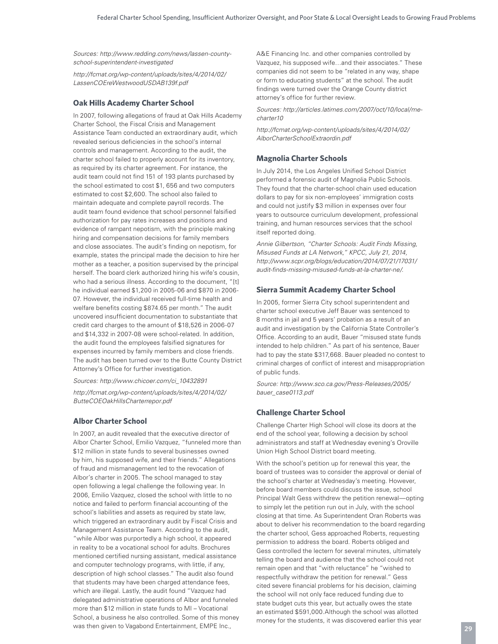*Sources: http://www.redding.com/news/lassen-countyschool-superintendent-investigated* 

*http://fcmat.org/wp-content/uploads/sites/4/2014/02/ LassenCOEreWestwoodUSDAB139f.pdf* 

#### **Oak Hills Academy Charter School**

In 2007, following allegations of fraud at Oak Hills Academy Charter School, the Fiscal Crisis and Management Assistance Team conducted an extraordinary audit, which revealed serious deficiencies in the school's internal controls and management. According to the audit, the charter school failed to properly account for its inventory, as required by its charter agreement. For instance, the audit team could not find 151 of 193 plants purchased by the school estimated to cost \$1, 656 and two computers estimated to cost \$2,600. The school also failed to maintain adequate and complete payroll records. The audit team found evidence that school personnel falsified authorization for pay rates increases and positions and evidence of rampant nepotism, with the principle making hiring and compensation decisions for family members and close associates. The audit's finding on nepotism, for example, states the principal made the decision to hire her mother as a teacher, a position supervised by the principal herself. The board clerk authorized hiring his wife's cousin, who had a serious illness. According to the document, "[t] he individual earned \$1,200 in 2005-06 and \$870 in 2006- 07. However, the individual received full-time health and welfare benefits costing \$874.65 per month." The audit uncovered insufficient documentation to substantiate that credit card charges to the amount of \$18,526 in 2006-07 and \$14,332 in 2007-08 were school-related. In addition, the audit found the employees falsified signatures for expenses incurred by family members and close friends. The audit has been turned over to the Butte County District Attorney's Office for further investigation.

*Sources: http://www.chicoer.com/ci\_10432891*

*http://fcmat.org/wp-content/uploads/sites/4/2014/02/ ButteCOEOakHillsCharterrepor.pdf* 

#### **Albor Charter School**

In 2007, an audit revealed that the executive director of Albor Charter School, Emilio Vazquez, "funneled more than \$12 million in state funds to several businesses owned by him, his supposed wife, and their friends." Allegations of fraud and mismanagement led to the revocation of Albor's charter in 2005. The school managed to stay open following a legal challenge the following year. In 2006, Emilio Vazquez, closed the school with little to no notice and failed to perform financial accounting of the school's liabilities and assets as required by state law, which triggered an extraordinary audit by Fiscal Crisis and Management Assistance Team. According to the audit, "while Albor was purportedly a high school, it appeared in reality to be a vocational school for adults. Brochures mentioned certified nursing assistant, medical assistance and computer technology programs, with little, if any, description of high school classes." The audit also found that students may have been charged attendance fees, which are illegal. Lastly, the audit found "Vazquez had delegated administrative operations of Albor and funneled more than \$12 million in state funds to MI – Vocational School, a business he also controlled. Some of this money was then given to Vagabond Entertainment, EMPE Inc.,

A&E Financing Inc. and other companies controlled by Vazquez, his supposed wife…and their associates." These companies did not seem to be "related in any way, shape or form to educating students" at the school. The audit findings were turned over the Orange County district attorney's office for further review.

*Sources: http://articles.latimes.com/2007/oct/10/local/mecharter10*

*http://fcmat.org/wp-content/uploads/sites/4/2014/02/ AlborCharterSchoolExtraordin.pdf*

#### **Magnolia Charter Schools**

In July 2014, the Los Angeles Unified School District performed a forensic audit of Magnolia Public Schools. They found that the charter-school chain used education dollars to pay for six non-employees' immigration costs and could not justify \$3 million in expenses over four years to outsource curriculum development, professional training, and human resources services that the school itself reported doing.

*Annie Gilbertson, "Charter Schools: Audit Finds Missing, Misused Funds at LA Network," KPCC, July 21, 2014, http://www.scpr.org/blogs/education/2014/07/21/17031/ audit-finds-missing-misused-funds-at-la-charter-ne/.*

#### **Sierra Summit Academy Charter School**

In 2005, former Sierra City school superintendent and charter school executive Jeff Bauer was sentenced to 8 months in jail and 5 years' probation as a result of an audit and investigation by the California State Controller's Office. According to an audit, Bauer "misused state funds intended to help children." As part of his sentence, Bauer had to pay the state \$317,668. Bauer pleaded no contest to criminal charges of conflict of interest and misappropriation of public funds.

*Source: http://www.sco.ca.gov/Press-Releases/2005/ bauer\_case0113.pdf* 

#### **Challenge Charter School**

Challenge Charter High School will close its doors at the end of the school year, following a decision by school administrators and staff at Wednesday evening's Oroville Union High School District board meeting.

With the school's petition up for renewal this year, the board of trustees was to consider the approval or denial of the school's charter at Wednesday's meeting. However, before board members could discuss the issue, school Principal Walt Gess withdrew the petition renewal—opting to simply let the petition run out in July, with the school closing at that time. As Superintendent Oran Roberts was about to deliver his recommendation to the board regarding the charter school, Gess approached Roberts, requesting permission to address the board. Roberts obliged and Gess controlled the lectern for several minutes, ultimately telling the board and audience that the school could not remain open and that "with reluctance" he "wished to respectfully withdraw the petition for renewal." Gess cited severe financial problems for his decision, claiming the school will not only face reduced funding due to state budget cuts this year, but actually owes the state an estimated \$591,000.Although the school was allotted money for the students, it was discovered earlier this year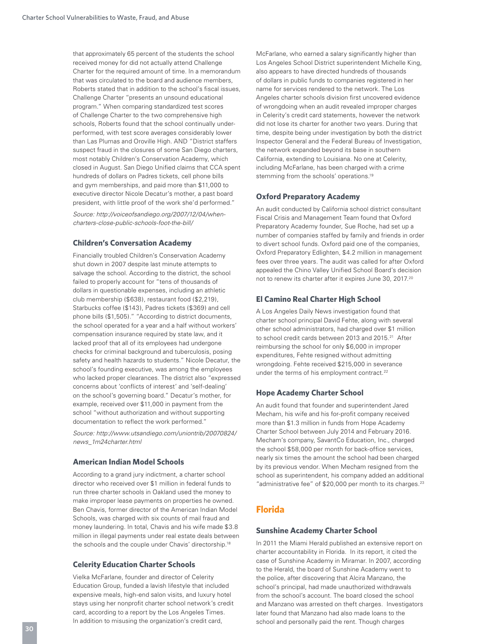that approximately 65 percent of the students the school received money for did not actually attend Challenge Charter for the required amount of time. In a memorandum that was circulated to the board and audience members, Roberts stated that in addition to the school's fiscal issues, Challenge Charter "presents an unsound educational program." When comparing standardized test scores of Challenge Charter to the two comprehensive high schools, Roberts found that the school continually underperformed, with test score averages considerably lower than Las Plumas and Oroville High. AND "District staffers suspect fraud in the closures of some San Diego charters, most notably Children's Conservation Academy, which closed in August. San Diego Unified claims that CCA spent hundreds of dollars on Padres tickets, cell phone bills and gym memberships, and paid more than \$11,000 to executive director Nicole Decatur's mother, a past board president, with little proof of the work she'd performed."

*Source: http://voiceofsandiego.org/2007/12/04/whencharters-close-public-schools-foot-the-bill/* 

#### **Children's Conversation Academy**

Financially troubled Children's Conservation Academy shut down in 2007 despite last minute attempts to salvage the school. According to the district, the school failed to properly account for "tens of thousands of dollars in questionable expenses, including an athletic club membership (\$638), restaurant food (\$2,219), Starbucks coffee (\$143), Padres tickets (\$369) and cell phone bills (\$1,505)." "According to district documents, the school operated for a year and a half without workers' compensation insurance required by state law, and it lacked proof that all of its employees had undergone checks for criminal background and tuberculosis, posing safety and health hazards to students." Nicole Decatur, the school's founding executive, was among the employees who lacked proper clearances. The district also "expressed concerns about 'conflicts of interest' and 'self-dealing' on the school's governing board." Decatur's mother, for example, received over \$11,000 in payment from the school "without authorization and without supporting documentation to reflect the work performed."

*Source: http://www.utsandiego.com/uniontrib/20070824/ news\_1m24charter.html* 

#### **American Indian Model Schools**

According to a grand jury indictment, a charter school director who received over \$1 million in federal funds to run three charter schools in Oakland used the money to make improper lease payments on properties he owned. Ben Chavis, former director of the American Indian Model Schools, was charged with six counts of mail fraud and money laundering. In total, Chavis and his wife made \$3.8 million in illegal payments under real estate deals between the schools and the couple under Chavis' directorship.<sup>18</sup>

#### **Celerity Education Charter Schools**

Vielka McFarlane, founder and director of Celerity Education Group, funded a lavish lifestyle that included expensive meals, high-end salon visits, and luxury hotel stays using her nonprofit charter school network's credit card, according to a report by the Los Angeles Times. In addition to misusing the organization's credit card,

McFarlane, who earned a salary significantly higher than Los Angeles School District superintendent Michelle King, also appears to have directed hundreds of thousands of dollars in public funds to companies registered in her name for services rendered to the network. The Los Angeles charter schools division first uncovered evidence of wrongdoing when an audit revealed improper charges in Celerity's credit card statements, however the network did not lose its charter for another two years. During that time, despite being under investigation by both the district Inspector General and the Federal Bureau of Investigation, the network expanded beyond its base in southern California, extending to Louisiana. No one at Celerity, including McFarlane, has been charged with a crime stemming from the schools' operations.<sup>19</sup>

#### **Oxford Preparatory Academy**

An audit conducted by California school district consultant Fiscal Crisis and Management Team found that Oxford Preparatory Academy founder, Sue Roche, had set up a number of companies staffed by family and friends in order to divert school funds. Oxford paid one of the companies, Oxford Preparatory Edlighten, \$4.2 million in management fees over three years. The audit was called for after Oxford appealed the Chino Valley Unified School Board's decision not to renew its charter after it expires June 30, 2017.20

#### **El Camino Real Charter High School**

A Los Angeles Daily News investigation found that charter school principal David Fehte, along with several other school administrators, had charged over \$1 million to school credit cards between 2013 and 2015.<sup>21</sup> After reimbursing the school for only \$6,000 in improper expenditures, Fehte resigned without admitting wrongdoing. Fehte received \$215,000 in severance under the terms of his employment contract.<sup>22</sup>

#### **Hope Academy Charter School**

An audit found that founder and superintendent Jared Mecham, his wife and his for-profit company received more than \$1.3 million in funds from Hope Academy Charter School between July 2014 and February 2016. Mecham's company, SavantCo Education, Inc., charged the school \$58,000 per month for back-office services, nearly six times the amount the school had been charged by its previous vendor. When Mecham resigned from the school as superintendent, his company added an additional "administrative fee" of \$20,000 per month to its charges.<sup>23</sup>

# **Florida**

#### **Sunshine Academy Charter School**

In 2011 the Miami Herald published an extensive report on charter accountability in Florida. In its report, it cited the case of Sunshine Academy in Miramar. In 2007, according to the Herald, the board of Sunshine Academy went to the police, after discovering that Alcira Manzano, the school's principal, had made unauthorized withdrawals from the school's account. The board closed the school and Manzano was arrested on theft charges. Investigators later found that Manzano had also made loans to the school and personally paid the rent. Though charges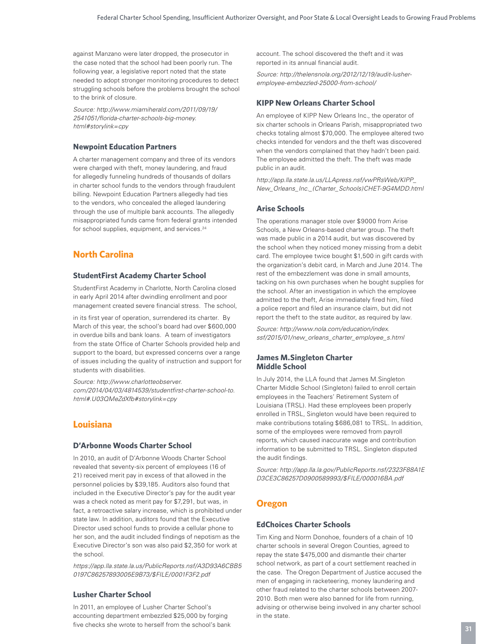against Manzano were later dropped, the prosecutor in the case noted that the school had been poorly run. The following year, a legislative report noted that the state needed to adopt stronger monitoring procedures to detect struggling schools before the problems brought the school to the brink of closure.

*Source: http://www.miamiherald.com/2011/09/19/ 2541051/florida-charter-schools-big-money. html#storylink=cpy* 

#### **Newpoint Education Partners**

A charter management company and three of its vendors were charged with theft, money laundering, and fraud for allegedly funneling hundreds of thousands of dollars in charter school funds to the vendors through fraudulent billing. Newpoint Education Partners allegedly had ties to the vendors, who concealed the alleged laundering through the use of multiple bank accounts. The allegedly misappropriated funds came from federal grants intended for school supplies, equipment, and services.<sup>24</sup>

# **North Carolina**

#### **StudentFirst Academy Charter School**

StudentFirst Academy in Charlotte, North Carolina closed in early April 2014 after dwindling enrollment and poor management created severe financial stress. The school,

in its first year of operation, surrendered its charter. By March of this year, the school's board had over \$600,000 in overdue bills and bank loans. A team of investigators from the state Office of Charter Schools provided help and support to the board, but expressed concerns over a range of issues including the quality of instruction and support for students with disabilities.

*Source: http://www.charlotteobserver. com/2014/04/03/4814539/studentfirst-charter-school-to. html#.U03QMeZdXfb#storylink=cpy* 

# **Louisiana**

#### **D'Arbonne Woods Charter School**

In 2010, an audit of D'Arbonne Woods Charter School revealed that seventy-six percent of employees (16 of 21) received merit pay in excess of that allowed in the personnel policies by \$39,185. Auditors also found that included in the Executive Director's pay for the audit year was a check noted as merit pay for \$7,291, but was, in fact, a retroactive salary increase, which is prohibited under state law. In addition, auditors found that the Executive Director used school funds to provide a cellular phone to her son, and the audit included findings of nepotism as the Executive Director's son was also paid \$2,350 for work at the school.

*https://app.lla.state.la.us/PublicReports.nsf/A3D93A6CBB5 0197C86257893005E9B73/\$FILE/0001F3F2.pdf*

#### **Lusher Charter School**

In 2011, an employee of Lusher Charter School's accounting department embezzled \$25,000 by forging five checks she wrote to herself from the school's bank account. The school discovered the theft and it was reported in its annual financial audit.

*Source: http://thelensnola.org/2012/12/19/audit-lusheremployee-embezzled-25000-from-school/*

#### **KIPP New Orleans Charter School**

An employee of KIPP New Orleans Inc., the operator of six charter schools in Orleans Parish, misappropriated two checks totaling almost \$70,000. The employee altered two checks intended for vendors and the theft was discovered when the vendors complained that they hadn't been paid. The employee admitted the theft. The theft was made public in an audit.

*http://app.lla.state.la.us/LLApress.nsf/vwPRsWeb/KIPP\_ New\_Orleans\_Inc.\_(Charter\_Schools)CHET-9G4MDD.html* 

#### **Arise Schools**

The operations manager stole over \$9000 from Arise Schools, a New Orleans-based charter group. The theft was made public in a 2014 audit, but was discovered by the school when they noticed money missing from a debit card. The employee twice bought \$1,500 in gift cards with the organization's debit card, in March and June 2014. The rest of the embezzlement was done in small amounts, tacking on his own purchases when he bought supplies for the school. After an investigation in which the employee admitted to the theft, Arise immediately fired him, filed a police report and filed an insurance claim, but did not report the theft to the state auditor, as required by law.

*Source: http://www.nola.com/education/index. ssf/2015/01/new\_orleans\_charter\_employee\_s.html*

#### **James M.Singleton Charter Middle School**

In July 2014, the LLA found that James M.Singleton Charter Middle School (Singleton) failed to enroll certain employees in the Teachers' Retirement System of Louisiana (TRSL). Had these employees been properly enrolled in TRSL, Singleton would have been required to make contributions totaling \$686,081 to TRSL. In addition, some of the employees were removed from payroll reports, which caused inaccurate wage and contribution information to be submitted to TRSL. Singleton disputed the audit findings.

*Source: http://app.lla.la.gov/PublicReports.nsf/2323F88A1E D3CE3C86257D0900589993/\$FILE/000016BA.pdf* 

# **Oregon**

#### **EdChoices Charter Schools**

Tim King and Norm Donohoe, founders of a chain of 10 charter schools in several Oregon Counties, agreed to repay the state \$475,000 and dismantle their charter school network, as part of a court settlement reached in the case. The Oregon Department of Justice accused the men of engaging in racketeering, money laundering and other fraud related to the charter schools between 2007- 2010. Both men were also banned for life from running, advising or otherwise being involved in any charter school in the state.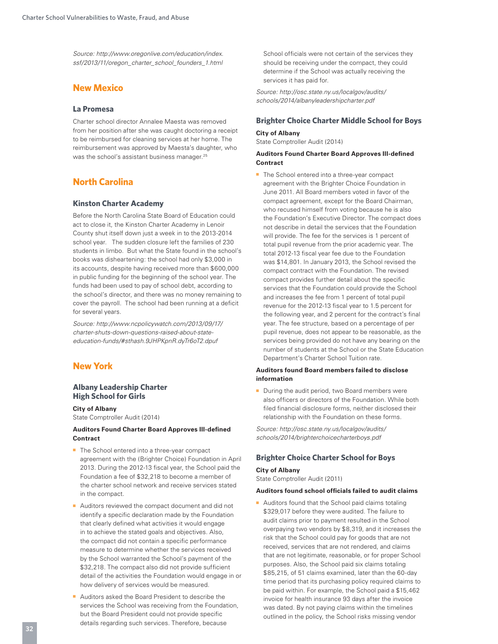*Source: http://www.oregonlive.com/education/index. ssf/2013/11/oregon\_charter\_school\_founders\_1.html* 

# **New Mexico**

#### **La Promesa**

Charter school director Annalee Maesta was removed from her position after she was caught doctoring a receipt to be reimbursed for cleaning services at her home. The reimbursement was approved by Maesta's daughter, who was the school's assistant business manager.<sup>25</sup>

# **North Carolina**

#### **Kinston Charter Academy**

Before the North Carolina State Board of Education could act to close it, the Kinston Charter Academy in Lenoir County shut itself down just a week in to the 2013-2014 school year. The sudden closure left the families of 230 students in limbo. But what the State found in the school's books was disheartening: the school had only \$3,000 in its accounts, despite having received more than \$600,000 in public funding for the beginning of the school year. The funds had been used to pay of school debt, according to the school's director, and there was no money remaining to cover the payroll. The school had been running at a deficit for several years.

*Source: http://www.ncpolicywatch.com/2013/09/17/ charter-shuts-down-questions-raised-about-stateeducation-funds/#sthash.9JHPKpnR.dyTr6oT2.dpuf* 

# **New York**

#### **Albany Leadership Charter High School for Girls**

#### **City of Albany**

State Comptroller Audit (2014)

#### **Auditors Found Charter Board Approves Ill-defined Contract**

- The School entered into a three-year compact agreement with the (Brighter Choice) Foundation in April 2013. During the 2012-13 fiscal year, the School paid the Foundation a fee of \$32,218 to become a member of the charter school network and receive services stated in the compact.
- Auditors reviewed the compact document and did not identify a specific declaration made by the Foundation that clearly defined what activities it would engage in to achieve the stated goals and objectives. Also, the compact did not contain a specific performance measure to determine whether the services received by the School warranted the School's payment of the \$32,218. The compact also did not provide sufficient detail of the activities the Foundation would engage in or how delivery of services would be measured.
- Auditors asked the Board President to describe the services the School was receiving from the Foundation, but the Board President could not provide specific details regarding such services. Therefore, because

School officials were not certain of the services they should be receiving under the compact, they could determine if the School was actually receiving the services it has paid for.

*Source: http://osc.state.ny.us/localgov/audits/ schools/2014/albanyleadershipcharter.pdf* 

#### **Brighter Choice Charter Middle School for Boys**

**City of Albany**  State Comptroller Audit (2014)

#### **Auditors Found Charter Board Approves Ill-defined Contract**

■ The School entered into a three-year compact agreement with the Brighter Choice Foundation in June 2011. All Board members voted in favor of the compact agreement, except for the Board Chairman, who recused himself from voting because he is also the Foundation's Executive Director. The compact does not describe in detail the services that the Foundation will provide. The fee for the services is 1 percent of total pupil revenue from the prior academic year. The total 2012-13 fiscal year fee due to the Foundation was \$14,801. In January 2013, the School revised the compact contract with the Foundation. The revised compact provides further detail about the specific services that the Foundation could provide the School and increases the fee from 1 percent of total pupil revenue for the 2012-13 fiscal year to 1.5 percent for the following year, and 2 percent for the contract's final year. The fee structure, based on a percentage of per pupil revenue, does not appear to be reasonable, as the services being provided do not have any bearing on the number of students at the School or the State Education Department's Charter School Tuition rate.

#### **Auditors found Board members failed to disclose information**

■ During the audit period, two Board members were also officers or directors of the Foundation. While both filed financial disclosure forms, neither disclosed their relationship with the Foundation on these forms.

*Source: http://osc.state.ny.us/localgov/audits/ schools/2014/brighterchoicecharterboys.pdf* 

#### **Brighter Choice Charter School for Boys**

#### **City of Albany**

State Comptroller Audit (2011)

#### **Auditors found school officials failed to audit claims**

■ Auditors found that the School paid claims totaling \$329,017 before they were audited. The failure to audit claims prior to payment resulted in the School overpaying two vendors by \$8,319, and it increases the risk that the School could pay for goods that are not received, services that are not rendered, and claims that are not legitimate, reasonable, or for proper School purposes. Also, the School paid six claims totaling \$85,215, of 51 claims examined, later than the 60-day time period that its purchasing policy required claims to be paid within. For example, the School paid a \$15,462 invoice for health insurance 93 days after the invoice was dated. By not paying claims within the timelines outlined in the policy, the School risks missing vendor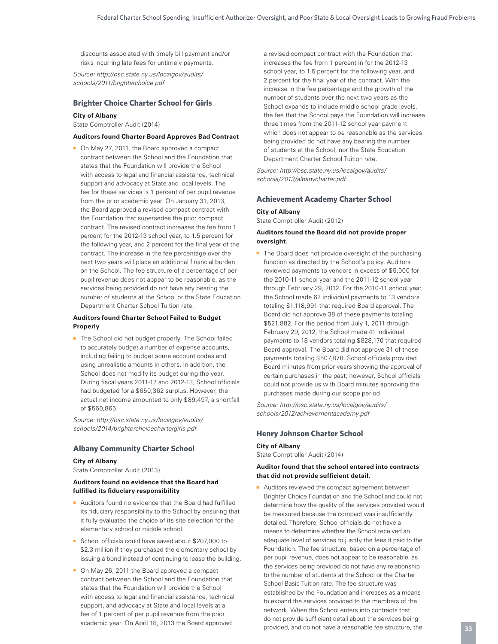discounts associated with timely bill payment and/or risks incurring late fees for untimely payments.

*Source: http://osc.state.ny.us/localgov/audits/ schools/2011/brighterchoice.pdf*

#### **Brighter Choice Charter School for Girls**

#### **City of Albany**

State Comptroller Audit (2014)

#### **Auditors found Charter Board Approves Bad Contract**

■ On May 27, 2011, the Board approved a compact contract between the School and the Foundation that states that the Foundation will provide the School with access to legal and financial assistance, technical support and advocacy at State and local levels. The fee for these services is 1 percent of per pupil revenue from the prior academic year. On January 31, 2013, the Board approved a revised compact contract with the Foundation that supersedes the prior compact contract. The revised contract increases the fee from 1 percent for the 2012-13 school year, to 1.5 percent for the following year, and 2 percent for the final year of the contract. The increase in the fee percentage over the next two years will place an additional financial burden on the School. The fee structure of a percentage of per pupil revenue does not appear to be reasonable, as the services being provided do not have any bearing the number of students at the School or the State Education Department Charter School Tuition rate.

#### **Auditors found Charter School Failed to Budget Properly**

■ The School did not budget properly. The School failed to accurately budget a number of expense accounts, including failing to budget some account codes and using unrealistic amounts in others. In addition, the School does not modify its budget during the year. During fiscal years 2011-12 and 2012-13, School officials had budgeted for a \$650,362 surplus. However, the actual net income amounted to only \$89,497, a shortfall of \$560,865.

*Source: http://osc.state.ny.us/localgov/audits/ schools/2014/brighterchoicechartergirls.pdf* 

#### **Albany Community Charter School**

#### **City of Albany**

State Comptroller Audit (2013)

#### **Auditors found no evidence that the Board had fulfilled its fiduciary responsibility**

- Auditors found no evidence that the Board had fulfilled its fiduciary responsibility to the School by ensuring that it fully evaluated the choice of its site selection for the elementary school or middle school.
- School officials could have saved about \$207,000 to \$2.3 million if they purchased the elementary school by issuing a bond instead of continuing to lease the building.
- On May 26, 2011 the Board approved a compact contract between the School and the Foundation that states that the Foundation will provide the School with access to legal and financial assistance, technical support, and advocacy at State and local levels at a fee of 1 percent of per pupil revenue from the prior academic year. On April 18, 2013 the Board approved

a revised compact contract with the Foundation that increases the fee from 1 percent in for the 2012-13 school year, to 1.5 percent for the following year, and 2 percent for the final year of the contract. With the increase in the fee percentage and the growth of the number of students over the next two years as the School expands to include middle school grade levels, the fee that the School pays the Foundation will increase three times from the 2011-12 school year payment which does not appear to be reasonable as the services being provided do not have any bearing the number of students at the School, nor the State Education Department Charter School Tuition rate.

*Source: http://osc.state.ny.us/localgov/audits/ schools/2013/albanycharter.pdf*

#### **Achievement Academy Charter School**

# **City of Albany**

State Comptroller Audit (2012)

#### **Auditors found the Board did not provide proper oversight.**

■ The Board does not provide oversight of the purchasing function as directed by the School's policy. Auditors reviewed payments to vendors in excess of \$5,000 for the 2010-11 school year and the 2011-12 school year through February 29, 2012. For the 2010-11 school year, the School made 62 individual payments to 13 vendors totaling \$1,118,991 that required Board approval. The Board did not approve 38 of these payments totaling \$521,882. For the period from July 1, 2011 through February 29, 2012, the School made 41 individual payments to 18 vendors totaling \$828,170 that required Board approval. The Board did not approve 31 of these payments totaling \$507,878. School officials provided Board minutes from prior years showing the approval of certain purchases in the past; however, School officials could not provide us with Board minutes approving the purchases made during our scope period.

*Source: http://osc.state.ny.us/localgov/audits/ schools/2012/achievementacademy.pdf* 

#### **Henry Johnson Charter School**

#### **City of Albany**

State Comptroller Audit (2014)

#### **Auditor found that the school entered into contracts that did not provide sufficient detail.**

■ Auditors reviewed the compact agreement between Brighter Choice Foundation and the School and could not determine how the quality of the services provided would be measured because the compact was insufficiently detailed. Therefore, School officials do not have a means to determine whether the School received an adequate level of services to justify the fees it paid to the Foundation. The fee structure, based on a percentage of per pupil revenue, does not appear to be reasonable, as the services being provided do not have any relationship to the number of students at the School or the Charter School Basic Tuition rate. The fee structure was established by the Foundation and increases as a means to expand the services provided to the members of the network. When the School enters into contracts that do not provide sufficient detail about the services being provided, and do not have a reasonable fee structure, the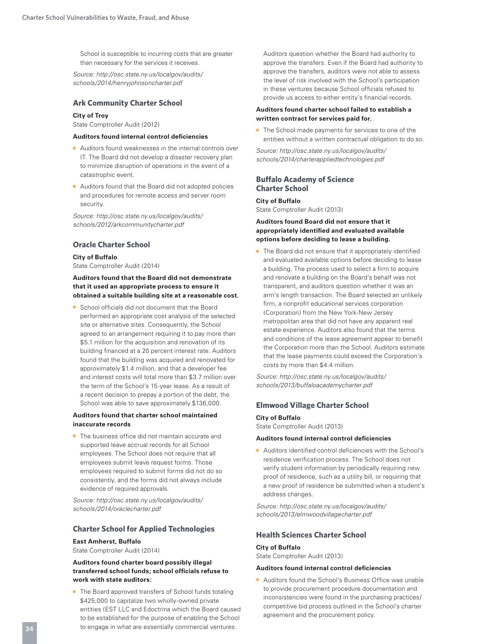School is susceptible to incurring costs that are greater than necessary for the services it receives.

*Source: http://osc.state.ny.us/localgov/audits/ schools/2014/henryjohnsoncharter.pdf* 

#### **Ark Community Charter School**

#### **City of Troy**

State Comptroller Audit (2012)

#### **Auditors found internal control deficiencies**

- Auditors found weaknesses in the internal controls over IT. The Board did not develop a disaster recovery plan to minimize disruption of operations in the event of a catastrophic event.
- Auditors found that the Board did not adopted policies and procedures for remote access and server room security.

*Source: http://osc.state.ny.us/localgov/audits/ schools/2012/arkcommunitycharter.pdf* 

#### **Oracle Charter School**

#### **City of Buffalo** State Comptroller Audit (2014)

#### **Auditors found that the Board did not demonstrate that it used an appropriate process to ensure it obtained a suitable building site at a reasonable cost.**

■ School officials did not document that the Board performed an appropriate cost analysis of the selected site or alternative sites. Consequently, the School agreed to an arrangement requiring it to pay more than \$5.1 million for the acquisition and renovation of its building financed at a 20 percent interest rate. Auditors found that the building was acquired and renovated for approximately \$1.4 million, and that a developer fee and interest costs will total more than \$3.7 million over the term of the School's 15-year lease. As a result of a recent decision to prepay a portion of the debt, the School was able to save approximately \$136,000.

#### **Auditors found that charter school maintained inaccurate records**

■ The business office did not maintain accurate and supported leave accrual records for all School employees. The School does not require that all employees submit leave request forms. Those employees required to submit forms did not do so consistently, and the forms did not always include evidence of required approvals.

*Source: http://osc.state.ny.us/localgov/audits/ schools/2014/oraclecharter.pdf* 

#### **Charter School for Applied Technologies**

#### **East Amherst, Buffalo**

State Comptroller Audit (2014)

#### **Auditors found charter board possibly illegal transferred school funds; school officials refuse to work with state auditors:**

■ The Board approved transfers of School funds totaling \$425,000 to capitalize two wholly-owned private entities (EST LLC and Edoctrina which the Board caused to be established for the purpose of enabling the School to engage in what are essentially commercial ventures.

Auditors question whether the Board had authority to approve the transfers. Even if the Board had authority to approve the transfers, auditors were not able to assess the level of risk involved with the School's participation in these ventures because School officials refused to provide us access to either entity's financial records.

#### **Auditors found charter school failed to establish a written contract for services paid for.**

■ The School made payments for services to one of the entities without a written contractual obligation to do so.

*Source: http://osc.state.ny.us/localgov/audits/ schools/2014/charterappliedtechnologies.pdf* 

#### **Buffalo Academy of Science Charter School**

#### **City of Buffalo**

State Comptroller Audit (2013)

#### **Auditors found Board did not ensure that it appropriately identified and evaluated available options before deciding to lease a building.**

■ The Board did not ensure that it appropriately identified and evaluated available options before deciding to lease a building. The process used to select a firm to acquire and renovate a building on the Board's behalf was not transparent, and auditors question whether it was an arm's length transaction. The Board selected an unlikely firm, a nonprofit educational services corporation (Corporation) from the New York-New Jersey metropolitan area that did not have any apparent real estate experience. Auditors also found that the terms and conditions of the lease agreement appear to benefit the Corporation more than the School. Auditors estimate that the lease payments could exceed the Corporation's costs by more than \$4.4 million.

*Source: http://osc.state.ny.us/localgov/audits/ schools/2013/buffaloacademycharter.pdf*

#### **Elmwood Village Charter School**

#### **City of Buffalo**

State Comptroller Audit (2013)

#### **Auditors found internal control deficiencies**

■ Auditors identified control deficiencies with the School's residence verification process. The School does not verify student information by periodically requiring new proof of residence, such as a utility bill, or requiring that a new proof of residence be submitted when a student's address changes.

*Source: http://osc.state.ny.us/localgov/audits/ schools/2013/elmwoodvillagecharter.pdf*

#### **Health Sciences Charter School**

#### **City of Buffalo**

State Comptroller Audit (2013)

#### **Auditors found internal control deficiencies**

■ Auditors found the School's Business Office was unable to provide procurement procedure documentation and inconsistencies were found in the purchasing practices/ competitive bid process outlined in the School's charter agreement and the procurement policy.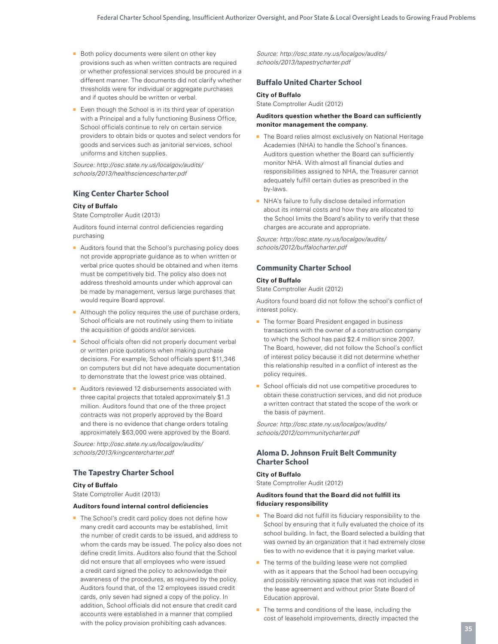- Both policy documents were silent on other key provisions such as when written contracts are required or whether professional services should be procured in a different manner. The documents did not clarify whether thresholds were for individual or aggregate purchases and if quotes should be written or verbal.
- Even though the School is in its third year of operation with a Principal and a fully functioning Business Office, School officials continue to rely on certain service providers to obtain bids or quotes and select vendors for goods and services such as janitorial services, school uniforms and kitchen supplies.

*Source: http://osc.state.ny.us/localgov/audits/ schools/2013/healthsciencescharter.pdf* 

#### **King Center Charter School**

#### **City of Buffalo**

State Comptroller Audit (2013)

Auditors found internal control deficiencies regarding purchasing

- Auditors found that the School's purchasing policy does not provide appropriate guidance as to when written or verbal price quotes should be obtained and when items must be competitively bid. The policy also does not address threshold amounts under which approval can be made by management, versus large purchases that would require Board approval.
- Although the policy requires the use of purchase orders, School officials are not routinely using them to initiate the acquisition of goods and/or services.
- School officials often did not properly document verbal or written price quotations when making purchase decisions. For example, School officials spent \$11,346 on computers but did not have adequate documentation to demonstrate that the lowest price was obtained.
- Auditors reviewed 12 disbursements associated with three capital projects that totaled approximately \$1.3 million. Auditors found that one of the three project contracts was not properly approved by the Board and there is no evidence that change orders totaling approximately \$63,000 were approved by the Board.

*Source: http://osc.state.ny.us/localgov/audits/ schools/2013/kingcentercharter.pdf*

#### **The Tapestry Charter School**

#### **City of Buffalo**

State Comptroller Audit (2013)

#### **Auditors found internal control deficiencies**

■ The School's credit card policy does not define how many credit card accounts may be established, limit the number of credit cards to be issued, and address to whom the cards may be issued. The policy also does not define credit limits. Auditors also found that the School did not ensure that all employees who were issued a credit card signed the policy to acknowledge their awareness of the procedures, as required by the policy. Auditors found that, of the 12 employees issued credit cards, only seven had signed a copy of the policy. In addition, School officials did not ensure that credit card accounts were established in a manner that complied with the policy provision prohibiting cash advances.

*Source: http://osc.state.ny.us/localgov/audits/ schools/2013/tapestrycharter.pdf*

#### **Buffalo United Charter School**

#### **City of Buffalo**

State Comptroller Audit (2012)

#### **Auditors question whether the Board can sufficiently monitor management the company.**

- The Board relies almost exclusively on National Heritage Academies (NHA) to handle the School's finances. Auditors question whether the Board can sufficiently monitor NHA. With almost all financial duties and responsibilities assigned to NHA, the Treasurer cannot adequately fulfill certain duties as prescribed in the by-laws.
- NHA's failure to fully disclose detailed information about its internal costs and how they are allocated to the School limits the Board's ability to verify that these charges are accurate and appropriate.

*Source: http://osc.state.ny.us/localgov/audits/ schools/2012/buffalocharter.pdf* 

#### **Community Charter School**

#### **City of Buffalo**

State Comptroller Audit (2012)

Auditors found board did not follow the school's conflict of interest policy.

- The former Board President engaged in business transactions with the owner of a construction company to which the School has paid \$2.4 million since 2007. The Board, however, did not follow the School's conflict of interest policy because it did not determine whether this relationship resulted in a conflict of interest as the policy requires.
- School officials did not use competitive procedures to obtain these construction services, and did not produce a written contract that stated the scope of the work or the basis of payment.

*Source: http://osc.state.ny.us/localgov/audits/ schools/2012/communitycharter.pdf* 

#### **Aloma D. Johnson Fruit Belt Community Charter School**

#### **City of Buffalo**

State Comptroller Audit (2012)

#### **Auditors found that the Board did not fulfill its fiduciary responsibility**

- The Board did not fulfill its fiduciary responsibility to the School by ensuring that it fully evaluated the choice of its school building. In fact, the Board selected a building that was owned by an organization that it had extremely close ties to with no evidence that it is paying market value.
- The terms of the building lease were not complied with as it appears that the School had been occupying and possibly renovating space that was not included in the lease agreement and without prior State Board of Education approval.
- The terms and conditions of the lease, including the cost of leasehold improvements, directly impacted the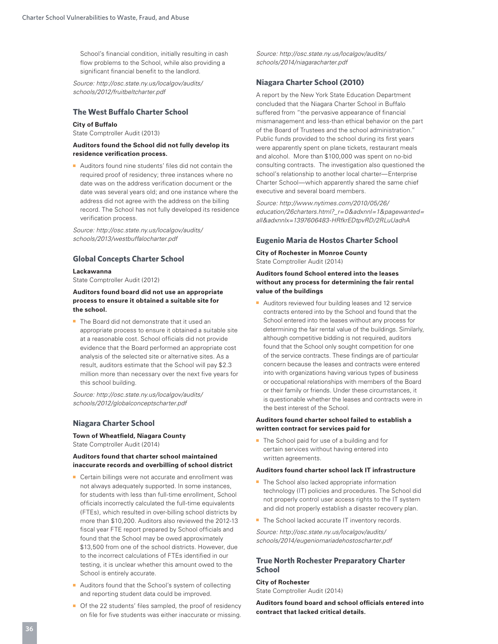School's financial condition, initially resulting in cash flow problems to the School, while also providing a significant financial benefit to the landlord.

*Source: http://osc.state.ny.us/localgov/audits/ schools/2012/fruitbeltcharter.pdf* 

# **The West Buffalo Charter School**

#### **City of Buffalo**

State Comptroller Audit (2013)

#### **Auditors found the School did not fully develop its residence verification process.**

■ Auditors found nine students' files did not contain the required proof of residency; three instances where no date was on the address verification document or the date was several years old; and one instance where the address did not agree with the address on the billing record. The School has not fully developed its residence verification process.

*Source: http://osc.state.ny.us/localgov/audits/ schools/2013/westbuffalocharter.pdf* 

#### **Global Concepts Charter School**

#### **Lackawanna**

State Comptroller Audit (2012)

#### **Auditors found board did not use an appropriate process to ensure it obtained a suitable site for the school.**

■ The Board did not demonstrate that it used an appropriate process to ensure it obtained a suitable site at a reasonable cost. School officials did not provide evidence that the Board performed an appropriate cost analysis of the selected site or alternative sites. As a result, auditors estimate that the School will pay \$2.3 million more than necessary over the next five years for this school building.

*Source: http://osc.state.ny.us/localgov/audits/ schools/2012/globalconceptscharter.pdf* 

#### **Niagara Charter School**

# **Town of Wheatfield, Niagara County**

State Comptroller Audit (2014)

#### **Auditors found that charter school maintained inaccurate records and overbilling of school district**

- Certain billings were not accurate and enrollment was not always adequately supported. In some instances, for students with less than full-time enrollment, School officials incorrectly calculated the full-time equivalents (FTEs), which resulted in over-billing school districts by more than \$10,200. Auditors also reviewed the 2012-13 fiscal year FTE report prepared by School officials and found that the School may be owed approximately \$13,500 from one of the school districts. However, due to the incorrect calculations of FTEs identified in our testing, it is unclear whether this amount owed to the School is entirely accurate.
- Auditors found that the School's system of collecting and reporting student data could be improved.
- Of the 22 students' files sampled, the proof of residency on file for five students was either inaccurate or missing.

*Source: http://osc.state.ny.us/localgov/audits/ schools/2014/niagaracharter.pdf* 

#### **Niagara Charter School (2010)**

A report by the New York State Education Department concluded that the Niagara Charter School in Buffalo suffered from "the pervasive appearance of financial mismanagement and less-than ethical behavior on the part of the Board of Trustees and the school administration." Public funds provided to the school during its first years were apparently spent on plane tickets, restaurant meals and alcohol. More than \$100,000 was spent on no-bid consulting contracts. The investigation also questioned the school's relationship to another local charter—Enterprise Charter School—which apparently shared the same chief executive and several board members.

*Source: http://www.nytimes.com/2010/05/26/ education/26charters.html?\_r=0&adxnnl=1&pagewanted= all&adxnnlx=1397606483-HRfkrEDtpvRD/2RLuUadhA* 

#### **Eugenio Maria de Hostos Charter School**

**City of Rochester in Monroe County**

State Comptroller Audit (2014)

#### **Auditors found School entered into the leases without any process for determining the fair rental value of the buildings**

■ Auditors reviewed four building leases and 12 service contracts entered into by the School and found that the School entered into the leases without any process for determining the fair rental value of the buildings. Similarly, although competitive bidding is not required, auditors found that the School only sought competition for one of the service contracts. These findings are of particular concern because the leases and contracts were entered into with organizations having various types of business or occupational relationships with members of the Board or their family or friends. Under these circumstances, it is questionable whether the leases and contracts were in the best interest of the School.

#### **Auditors found charter school failed to establish a written contract for services paid for**

■ The School paid for use of a building and for certain services without having entered into written agreements.

#### **Auditors found charter school lack IT infrastructure**

- The School also lacked appropriate information technology (IT) policies and procedures. The School did not properly control user access rights to the IT system and did not properly establish a disaster recovery plan.
- The School lacked accurate IT inventory records.

*Source: http://osc.state.ny.us/localgov/audits/ schools/2014/eugeniomariadehostoscharter.pdf*

#### **True North Rochester Preparatory Charter School**

#### **City of Rochester** State Comptroller Audit (2014)

**Auditors found board and school officials entered into contract that lacked critical details.**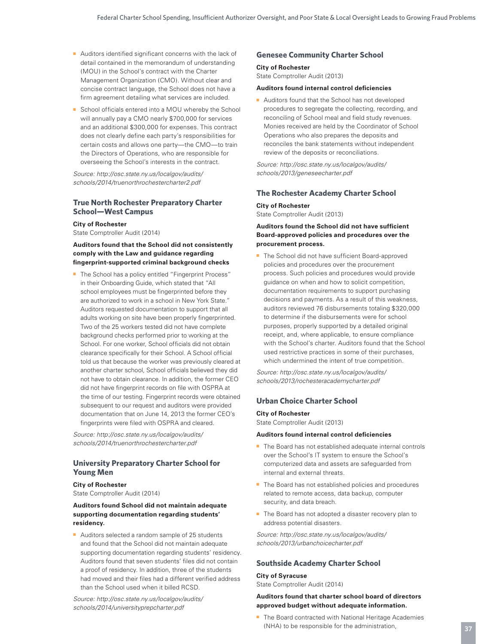- Auditors identified significant concerns with the lack of detail contained in the memorandum of understanding (MOU) in the School's contract with the Charter Management Organization (CMO). Without clear and concise contract language, the School does not have a firm agreement detailing what services are included.
- School officials entered into a MOU whereby the School will annually pay a CMO nearly \$700,000 for services and an additional \$300,000 for expenses. This contract does not clearly define each party's responsibilities for certain costs and allows one party—the CMO—to train the Directors of Operations, who are responsible for overseeing the School's interests in the contract.

*Source: http://osc.state.ny.us/localgov/audits/ schools/2014/truenorthrochestercharter2.pdf* 

#### **True North Rochester Preparatory Charter School—West Campus**

**City of Rochester** State Comptroller Audit (2014)

#### **Auditors found that the School did not consistently comply with the Law and guidance regarding fingerprint-supported criminal background checks**

■ The School has a policy entitled "Fingerprint Process" in their Onboarding Guide, which stated that "All school employees must be fingerprinted before they are authorized to work in a school in New York State." Auditors requested documentation to support that all adults working on site have been properly fingerprinted. Two of the 25 workers tested did not have complete background checks performed prior to working at the School. For one worker, School officials did not obtain clearance specifically for their School. A School official told us that because the worker was previously cleared at another charter school, School officials believed they did not have to obtain clearance. In addition, the former CEO did not have fingerprint records on file with OSPRA at the time of our testing. Fingerprint records were obtained subsequent to our request and auditors were provided documentation that on June 14, 2013 the former CEO's fingerprints were filed with OSPRA and cleared.

*Source: http://osc.state.ny.us/localgov/audits/ schools/2014/truenorthrochestercharter.pdf* 

#### **University Preparatory Charter School for Young Men**

#### **City of Rochester**

State Comptroller Audit (2014)

#### **Auditors found School did not maintain adequate supporting documentation regarding students' residency.**

■ Auditors selected a random sample of 25 students and found that the School did not maintain adequate supporting documentation regarding students' residency. Auditors found that seven students' files did not contain a proof of residency. In addition, three of the students had moved and their files had a different verified address than the School used when it billed RCSD.

*Source: http://osc.state.ny.us/localgov/audits/ schools/2014/universityprepcharter.pdf* 

#### **Genesee Community Charter School**

#### **City of Rochester** State Comptroller Audit (2013)

#### **Auditors found internal control deficiencies**

■ Auditors found that the School has not developed procedures to segregate the collecting, recording, and reconciling of School meal and field study revenues. Monies received are held by the Coordinator of School Operations who also prepares the deposits and reconciles the bank statements without independent review of the deposits or reconciliations.

*Source: http://osc.state.ny.us/localgov/audits/ schools/2013/geneseecharter.pdf* 

#### **The Rochester Academy Charter School**

#### **City of Rochester**

State Comptroller Audit (2013)

#### **Auditors found the School did not have sufficient Board-approved policies and procedures over the procurement process.**

■ The School did not have sufficient Board-approved policies and procedures over the procurement process. Such policies and procedures would provide guidance on when and how to solicit competition, documentation requirements to support purchasing decisions and payments. As a result of this weakness, auditors reviewed 76 disbursements totaling \$320,000 to determine if the disbursements were for school purposes, properly supported by a detailed original receipt, and, where applicable, to ensure compliance with the School's charter. Auditors found that the School used restrictive practices in some of their purchases, which undermined the intent of true competition.

*Source: http://osc.state.ny.us/localgov/audits/ schools/2013/rochesteracademycharter.pdf* 

#### **Urban Choice Charter School**

#### **City of Rochester**

State Comptroller Audit (2013)

#### **Auditors found internal control deficiencies**

- The Board has not established adequate internal controls over the School's IT system to ensure the School's computerized data and assets are safeguarded from internal and external threats.
- The Board has not established policies and procedures related to remote access, data backup, computer security, and data breach.
- The Board has not adopted a disaster recovery plan to address potential disasters.

*Source: http://osc.state.ny.us/localgov/audits/ schools/2013/urbanchoicecharter.pdf*

#### **Southside Academy Charter School**

#### **City of Syracuse** State Comptroller Audit (2014)

#### **Auditors found that charter school board of directors approved budget without adequate information.**

■ The Board contracted with National Heritage Academies (NHA) to be responsible for the administration,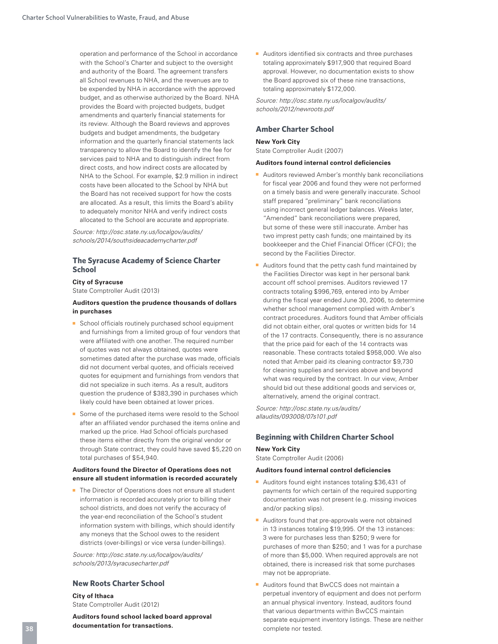operation and performance of the School in accordance with the School's Charter and subject to the oversight and authority of the Board. The agreement transfers all School revenues to NHA, and the revenues are to be expended by NHA in accordance with the approved budget, and as otherwise authorized by the Board. NHA provides the Board with projected budgets, budget amendments and quarterly financial statements for its review. Although the Board reviews and approves budgets and budget amendments, the budgetary information and the quarterly financial statements lack transparency to allow the Board to identify the fee for services paid to NHA and to distinguish indirect from direct costs, and how indirect costs are allocated by NHA to the School. For example, \$2.9 million in indirect costs have been allocated to the School by NHA but the Board has not received support for how the costs are allocated. As a result, this limits the Board's ability to adequately monitor NHA and verify indirect costs allocated to the School are accurate and appropriate.

*Source: http://osc.state.ny.us/localgov/audits/ schools/2014/southsideacademycharter.pdf* 

#### **The Syracuse Academy of Science Charter School**

#### **City of Syracuse**

State Comptroller Audit (2013)

#### **Auditors question the prudence thousands of dollars in purchases**

- School officials routinely purchased school equipment and furnishings from a limited group of four vendors that were affiliated with one another. The required number of quotes was not always obtained, quotes were sometimes dated after the purchase was made, officials did not document verbal quotes, and officials received quotes for equipment and furnishings from vendors that did not specialize in such items. As a result, auditors question the prudence of \$383,390 in purchases which likely could have been obtained at lower prices.
- Some of the purchased items were resold to the School after an affiliated vendor purchased the items online and marked up the price. Had School officials purchased these items either directly from the original vendor or through State contract, they could have saved \$5,220 on total purchases of \$54,940.

#### **Auditors found the Director of Operations does not ensure all student information is recorded accurately**

■ The Director of Operations does not ensure all student information is recorded accurately prior to billing their school districts, and does not verify the accuracy of the year-end reconciliation of the School's student information system with billings, which should identify any moneys that the School owes to the resident districts (over-billings) or vice versa (under-billings).

*Source: http://osc.state.ny.us/localgov/audits/ schools/2013/syracusecharter.pdf* 

#### **New Roots Charter School**

**City of Ithaca** State Comptroller Audit (2012)

**Auditors found school lacked board approval documentation for transactions.**

■ Auditors identified six contracts and three purchases totaling approximately \$917,900 that required Board approval. However, no documentation exists to show the Board approved six of these nine transactions, totaling approximately \$172,000.

*Source: http://osc.state.ny.us/localgov/audits/ schools/2012/newroots.pdf*

#### **Amber Charter School**

#### **New York City**

State Comptroller Audit (2007)

#### **Auditors found internal control deficiencies**

- Auditors reviewed Amber's monthly bank reconciliations for fiscal year 2006 and found they were not performed on a timely basis and were generally inaccurate. School staff prepared "preliminary" bank reconciliations using incorrect general ledger balances. Weeks later, "Amended" bank reconciliations were prepared, but some of these were still inaccurate. Amber has two imprest petty cash funds; one maintained by its bookkeeper and the Chief Financial Officer (CFO); the second by the Facilities Director.
- Auditors found that the petty cash fund maintained by the Facilities Director was kept in her personal bank account off school premises. Auditors reviewed 17 contracts totaling \$996,769, entered into by Amber during the fiscal year ended June 30, 2006, to determine whether school management complied with Amber's contract procedures. Auditors found that Amber officials did not obtain either, oral quotes or written bids for 14 of the 17 contracts. Consequently, there is no assurance that the price paid for each of the 14 contracts was reasonable. These contracts totaled \$958,000. We also noted that Amber paid its cleaning contractor \$9,730 for cleaning supplies and services above and beyond what was required by the contract. In our view, Amber should bid out these additional goods and services or, alternatively, amend the original contract.

*Source: http://osc.state.ny.us/audits/ allaudits/093008/07s101.pdf* 

#### **Beginning with Children Charter School**

#### **New York City**

State Comptroller Audit (2006)

#### **Auditors found internal control deficiencies**

- Auditors found eight instances totaling \$36,431 of payments for which certain of the required supporting documentation was not present (e.g. missing invoices and/or packing slips).
- Auditors found that pre-approvals were not obtained in 13 instances totaling \$19,995. Of the 13 instances: 3 were for purchases less than \$250; 9 were for purchases of more than \$250; and 1 was for a purchase of more than \$5,000. When required approvals are not obtained, there is increased risk that some purchases may not be appropriate.
- Auditors found that BwCCS does not maintain a perpetual inventory of equipment and does not perform an annual physical inventory. Instead, auditors found that various departments within BwCCS maintain separate equipment inventory listings. These are neither complete nor tested.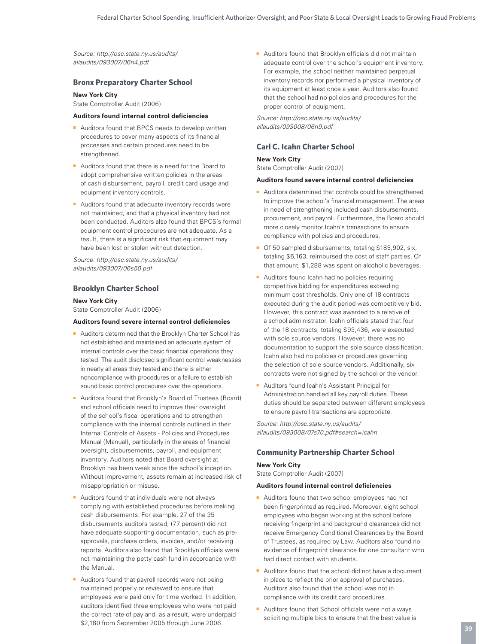*Source: http://osc.state.ny.us/audits/ allaudits/093007/06n4.pdf* 

#### **Bronx Preparatory Charter School**

#### **New York City**

State Comptroller Audit (2006)

#### **Auditors found internal control deficiencies**

- Auditors found that BPCS needs to develop written procedures to cover many aspects of its financial processes and certain procedures need to be strengthened.
- Auditors found that there is a need for the Board to adopt comprehensive written policies in the areas of cash disbursement, payroll, credit card usage and equipment inventory controls.
- Auditors found that adequate inventory records were not maintained, and that a physical inventory had not been conducted. Auditors also found that BPCS's formal equipment control procedures are not adequate. As a result, there is a significant risk that equipment may have been lost or stolen without detection.

*Source: http://osc.state.ny.us/audits/ allaudits/093007/06s50.pdf* 

#### **Brooklyn Charter School**

#### **New York City**

State Comptroller Audit (2006)

#### **Auditors found severe internal control deficiencies**

- Auditors determined that the Brooklyn Charter School has not established and maintained an adequate system of internal controls over the basic financial operations they tested. The audit disclosed significant control weaknesses in nearly all areas they tested and there is either noncompliance with procedures or a failure to establish sound basic control procedures over the operations.
- Auditors found that Brooklyn's Board of Trustees (Board) and school officials need to improve their oversight of the school's fiscal operations and to strengthen compliance with the internal controls outlined in their Internal Controls of Assets - Policies and Procedures Manual (Manual), particularly in the areas of financial oversight, disbursements, payroll, and equipment inventory. Auditors noted that Board oversight at Brooklyn has been weak since the school's inception. Without improvement, assets remain at increased risk of misappropriation or misuse.
- Auditors found that individuals were not always complying with established procedures before making cash disbursements. For example, 27 of the 35 disbursements auditors tested, (77 percent) did not have adequate supporting documentation, such as preapprovals, purchase orders, invoices, and/or receiving reports. Auditors also found that Brooklyn officials were not maintaining the petty cash fund in accordance with the Manual.
- Auditors found that payroll records were not being maintained properly or reviewed to ensure that employees were paid only for time worked. In addition, auditors identified three employees who were not paid the correct rate of pay and, as a result, were underpaid \$2,160 from September 2005 through June 2006.

■ Auditors found that Brooklyn officials did not maintain adequate control over the school's equipment inventory. For example, the school neither maintained perpetual inventory records nor performed a physical inventory of its equipment at least once a year. Auditors also found that the school had no policies and procedures for the proper control of equipment.

*Source: http://osc.state.ny.us/audits/ allaudits/093008/06n9.pdf* 

#### **Carl C. Icahn Charter School**

#### **New York City**

State Comptroller Audit (2007)

#### **Auditors found severe internal control deficiencies**

- Auditors determined that controls could be strengthened to improve the school's financial management. The areas in need of strengthening included cash disbursements, procurement, and payroll. Furthermore, the Board should more closely monitor Icahn's transactions to ensure compliance with policies and procedures.
- Of 50 sampled disbursements, totaling \$185,902, six, totaling \$6,163, reimbursed the cost of staff parties. Of that amount, \$1,288 was spent on alcoholic beverages.
- Auditors found Icahn had no policies requiring competitive bidding for expenditures exceeding minimum cost thresholds. Only one of 18 contracts executed during the audit period was competitively bid. However, this contract was awarded to a relative of a school administrator. Icahn officials stated that four of the 18 contracts, totaling \$93,436, were executed with sole source vendors. However, there was no documentation to support the sole source classification. Icahn also had no policies or procedures governing the selection of sole source vendors. Additionally, six contracts were not signed by the school or the vendor.
- Auditors found Icahn's Assistant Principal for Administration handled all key payroll duties. These duties should be separated between different employees to ensure payroll transactions are appropriate.

*Source: http://osc.state.ny.us/audits/ allaudits/093008/07s70.pdf#search=icahn* 

#### **Community Partnership Charter School**

#### **New York City**

State Comptroller Audit (2007)

#### **Auditors found internal control deficiencies**

- Auditors found that two school employees had not been fingerprinted as required. Moreover, eight school employees who began working at the school before receiving fingerprint and background clearances did not receive Emergency Conditional Clearances by the Board of Trustees, as required by Law. Auditors also found no evidence of fingerprint clearance for one consultant who had direct contact with students.
- Auditors found that the school did not have a document in place to reflect the prior approval of purchases. Auditors also found that the school was not in compliance with its credit card procedures.
- Auditors found that School officials were not always soliciting multiple bids to ensure that the best value is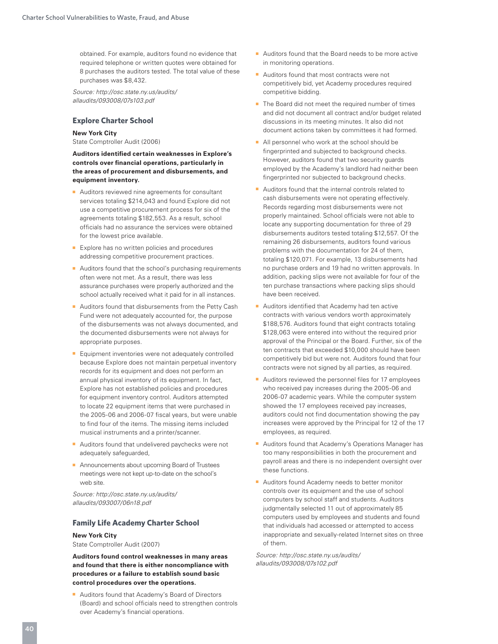obtained. For example, auditors found no evidence that required telephone or written quotes were obtained for 8 purchases the auditors tested. The total value of these purchases was \$8,432.

*Source: http://osc.state.ny.us/audits/ allaudits/093008/07s103.pdf* 

#### **Explore Charter School**

#### **New York City**

State Comptroller Audit (2006)

**Auditors identified certain weaknesses in Explore's controls over financial operations, particularly in the areas of procurement and disbursements, and equipment inventory.** 

- Auditors reviewed nine agreements for consultant services totaling \$214,043 and found Explore did not use a competitive procurement process for six of the agreements totaling \$182,553. As a result, school officials had no assurance the services were obtained for the lowest price available.
- Explore has no written policies and procedures addressing competitive procurement practices.
- Auditors found that the school's purchasing requirements often were not met. As a result, there was less assurance purchases were properly authorized and the school actually received what it paid for in all instances.
- Auditors found that disbursements from the Petty Cash Fund were not adequately accounted for, the purpose of the disbursements was not always documented, and the documented disbursements were not always for appropriate purposes.
- Equipment inventories were not adequately controlled because Explore does not maintain perpetual inventory records for its equipment and does not perform an annual physical inventory of its equipment. In fact, Explore has not established policies and procedures for equipment inventory control. Auditors attempted to locate 22 equipment items that were purchased in the 2005-06 and 2006-07 fiscal years, but were unable to find four of the items. The missing items included musical instruments and a printer/scanner.
- Auditors found that undelivered paychecks were not adequately safeguarded,
- Announcements about upcoming Board of Trustees meetings were not kept up-to-date on the school's web site.

*Source: http://osc.state.ny.us/audits/ allaudits/093007/06n18.pdf* 

#### **Family Life Academy Charter School**

# **New York City**

State Comptroller Audit (2007)

**Auditors found control weaknesses in many areas and found that there is either noncompliance with procedures or a failure to establish sound basic control procedures over the operations.** 

■ Auditors found that Academy's Board of Directors (Board) and school officials need to strengthen controls over Academy's financial operations.

- Auditors found that the Board needs to be more active in monitoring operations.
- Auditors found that most contracts were not competitively bid, yet Academy procedures required competitive bidding.
- The Board did not meet the required number of times and did not document all contract and/or budget related discussions in its meeting minutes. It also did not document actions taken by committees it had formed.
- All personnel who work at the school should be fingerprinted and subjected to background checks. However, auditors found that two security guards employed by the Academy's landlord had neither been fingerprinted nor subjected to background checks.
- Auditors found that the internal controls related to cash disbursements were not operating effectively. Records regarding most disbursements were not properly maintained. School officials were not able to locate any supporting documentation for three of 29 disbursements auditors tested totaling \$12,557. Of the remaining 26 disbursements, auditors found various problems with the documentation for 24 of them, totaling \$120,071. For example, 13 disbursements had no purchase orders and 19 had no written approvals. In addition, packing slips were not available for four of the ten purchase transactions where packing slips should have been received.
- Auditors identified that Academy had ten active contracts with various vendors worth approximately \$188,576. Auditors found that eight contracts totaling \$128,063 were entered into without the required prior approval of the Principal or the Board. Further, six of the ten contracts that exceeded \$10,000 should have been competitively bid but were not. Auditors found that four contracts were not signed by all parties, as required.
- Auditors reviewed the personnel files for 17 employees who received pay increases during the 2005-06 and 2006-07 academic years. While the computer system showed the 17 employees received pay increases, auditors could not find documentation showing the pay increases were approved by the Principal for 12 of the 17 employees, as required.
- Auditors found that Academy's Operations Manager has too many responsibilities in both the procurement and payroll areas and there is no independent oversight over these functions.
- Auditors found Academy needs to better monitor controls over its equipment and the use of school computers by school staff and students. Auditors judgmentally selected 11 out of approximately 85 computers used by employees and students and found that individuals had accessed or attempted to access inappropriate and sexually-related Internet sites on three of them.

*Source: http://osc.state.ny.us/audits/ allaudits/093008/07s102.pdf*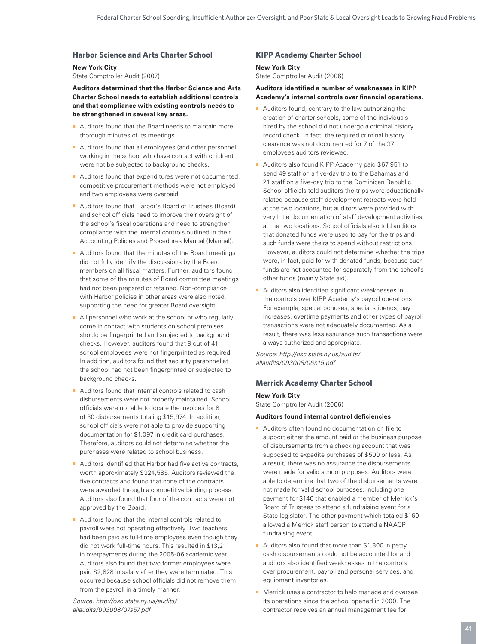#### **Harbor Science and Arts Charter School**

#### **New York City**

State Comptroller Audit (2007)

**Auditors determined that the Harbor Science and Arts Charter School needs to establish additional controls and that compliance with existing controls needs to be strengthened in several key areas.** 

- Auditors found that the Board needs to maintain more thorough minutes of its meetings
- Auditors found that all employees (and other personnel working in the school who have contact with children) were not be subjected to background checks.
- Auditors found that expenditures were not documented. competitive procurement methods were not employed and two employees were overpaid.
- Auditors found that Harbor's Board of Trustees (Board) and school officials need to improve their oversight of the school's fiscal operations and need to strengthen compliance with the internal controls outlined in their Accounting Policies and Procedures Manual (Manual).
- Auditors found that the minutes of the Board meetings did not fully identify the discussions by the Board members on all fiscal matters. Further, auditors found that some of the minutes of Board committee meetings had not been prepared or retained. Non-compliance with Harbor policies in other areas were also noted, supporting the need for greater Board oversight.
- All personnel who work at the school or who regularly come in contact with students on school premises should be fingerprinted and subjected to background checks. However, auditors found that 9 out of 41 school employees were not fingerprinted as required. In addition, auditors found that security personnel at the school had not been fingerprinted or subjected to background checks.
- Auditors found that internal controls related to cash disbursements were not properly maintained. School officials were not able to locate the invoices for 8 of 30 disbursements totaling \$15,974. In addition, school officials were not able to provide supporting documentation for \$1,097 in credit card purchases. Therefore, auditors could not determine whether the purchases were related to school business.
- Auditors identified that Harbor had five active contracts, worth approximately \$324,585. Auditors reviewed the five contracts and found that none of the contracts were awarded through a competitive bidding process. Auditors also found that four of the contracts were not approved by the Board.
- Auditors found that the internal controls related to payroll were not operating effectively. Two teachers had been paid as full-time employees even though they did not work full-time hours. This resulted in \$13,211 in overpayments during the 2005-06 academic year. Auditors also found that two former employees were paid \$2,828 in salary after they were terminated. This occurred because school officials did not remove them from the payroll in a timely manner.

*Source: http://osc.state.ny.us/audits/ allaudits/093008/07s57.pdf* 

### **KIPP Academy Charter School**

# **New York City**

State Comptroller Audit (2006)

#### **Auditors identified a number of weaknesses in KIPP Academy's internal controls over financial operations.**

- Auditors found, contrary to the law authorizing the creation of charter schools, some of the individuals hired by the school did not undergo a criminal history record check. In fact, the required criminal history clearance was not documented for 7 of the 37 employees auditors reviewed.
- Auditors also found KIPP Academy paid \$67,951 to send 49 staff on a five-day trip to the Bahamas and 21 staff on a five-day trip to the Dominican Republic. School officials told auditors the trips were educationally related because staff development retreats were held at the two locations, but auditors were provided with very little documentation of staff development activities at the two locations. School officials also told auditors that donated funds were used to pay for the trips and such funds were theirs to spend without restrictions. However, auditors could not determine whether the trips were, in fact, paid for with donated funds, because such funds are not accounted for separately from the school's other funds (mainly State aid).
- Auditors also identified significant weaknesses in the controls over KIPP Academy's payroll operations. For example, special bonuses, special stipends, pay increases, overtime payments and other types of payroll transactions were not adequately documented. As a result, there was less assurance such transactions were always authorized and appropriate.

*Source: http://osc.state.ny.us/audits/ allaudits/093008/06n15.pdf* 

#### **Merrick Academy Charter School**

#### **New York City**

State Comptroller Audit (2006)

#### **Auditors found internal control deficiencies**

- Auditors often found no documentation on file to support either the amount paid or the business purpose of disbursements from a checking account that was supposed to expedite purchases of \$500 or less. As a result, there was no assurance the disbursements were made for valid school purposes. Auditors were able to determine that two of the disbursements were not made for valid school purposes, including one payment for \$140 that enabled a member of Merrick's Board of Trustees to attend a fundraising event for a State legislator. The other payment which totaled \$160 allowed a Merrick staff person to attend a NAACP fundraising event.
- Auditors also found that more than \$1,800 in petty cash disbursements could not be accounted for and auditors also identified weaknesses in the controls over procurement, payroll and personal services, and equipment inventories.
- Merrick uses a contractor to help manage and oversee its operations since the school opened in 2000. The contractor receives an annual management fee for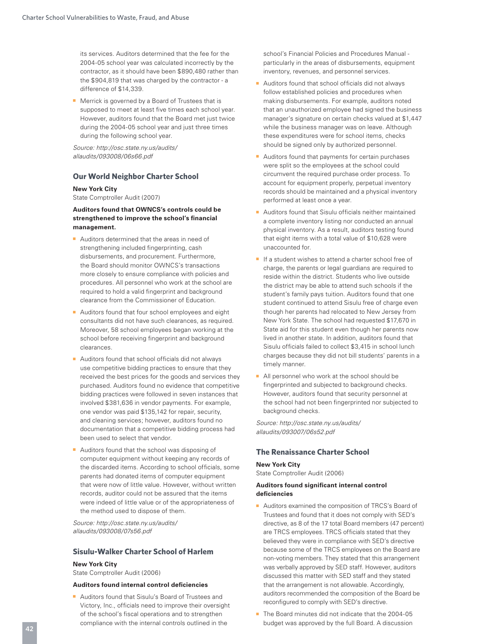its services. Auditors determined that the fee for the 2004-05 school year was calculated incorrectly by the contractor, as it should have been \$890,480 rather than the \$904,819 that was charged by the contractor - a difference of \$14,339.

■ Merrick is governed by a Board of Trustees that is supposed to meet at least five times each school year. However, auditors found that the Board met just twice during the 2004-05 school year and just three times during the following school year.

*Source: http://osc.state.ny.us/audits/ allaudits/093008/06s66.pdf* 

#### **Our World Neighbor Charter School**

#### **New York City**

State Comptroller Audit (2007)

#### **Auditors found that OWNCS's controls could be strengthened to improve the school's financial management.**

- Auditors determined that the areas in need of strengthening included fingerprinting, cash disbursements, and procurement. Furthermore, the Board should monitor OWNCS's transactions more closely to ensure compliance with policies and procedures. All personnel who work at the school are required to hold a valid fingerprint and background clearance from the Commissioner of Education.
- Auditors found that four school employees and eight consultants did not have such clearances, as required. Moreover, 58 school employees began working at the school before receiving fingerprint and background clearances.
- Auditors found that school officials did not always use competitive bidding practices to ensure that they received the best prices for the goods and services they purchased. Auditors found no evidence that competitive bidding practices were followed in seven instances that involved \$381,636 in vendor payments. For example, one vendor was paid \$135,142 for repair, security, and cleaning services; however, auditors found no documentation that a competitive bidding process had been used to select that vendor.
- Auditors found that the school was disposing of computer equipment without keeping any records of the discarded items. According to school officials, some parents had donated items of computer equipment that were now of little value. However, without written records, auditor could not be assured that the items were indeed of little value or of the appropriateness of the method used to dispose of them.

*Source: http://osc.state.ny.us/audits/ allaudits/093008/07s56.pdf* 

#### **Sisulu-Walker Charter School of Harlem**

# **New York City**

State Comptroller Audit (2006)

#### **Auditors found internal control deficiencies**

■ Auditors found that Sisulu's Board of Trustees and Victory, Inc., officials need to improve their oversight of the school's fiscal operations and to strengthen compliance with the internal controls outlined in the

school's Financial Policies and Procedures Manual particularly in the areas of disbursements, equipment inventory, revenues, and personnel services.

- Auditors found that school officials did not always follow established policies and procedures when making disbursements. For example, auditors noted that an unauthorized employee had signed the business manager's signature on certain checks valued at \$1,447 while the business manager was on leave. Although these expenditures were for school items, checks should be signed only by authorized personnel.
- Auditors found that payments for certain purchases were split so the employees at the school could circumvent the required purchase order process. To account for equipment properly, perpetual inventory records should be maintained and a physical inventory performed at least once a year.
- Auditors found that Sisulu officials neither maintained a complete inventory listing nor conducted an annual physical inventory. As a result, auditors testing found that eight items with a total value of \$10,628 were unaccounted for.
- If a student wishes to attend a charter school free of charge, the parents or legal guardians are required to reside within the district. Students who live outside the district may be able to attend such schools if the student's family pays tuition. Auditors found that one student continued to attend Sisulu free of charge even though her parents had relocated to New Jersey from New York State. The school had requested \$17,670 in State aid for this student even though her parents now lived in another state. In addition, auditors found that Sisulu officials failed to collect \$3,415 in school lunch charges because they did not bill students' parents in a timely manner.
- All personnel who work at the school should be fingerprinted and subjected to background checks. However, auditors found that security personnel at the school had not been fingerprinted nor subjected to background checks.

*Source: http://osc.state.ny.us/audits/ allaudits/093007/06s52.pdf* 

#### **The Renaissance Charter School**

#### **New York City**

State Comptroller Audit (2006)

#### **Auditors found significant internal control deficiencies**

- Auditors examined the composition of TRCS's Board of Trustees and found that it does not comply with SED's directive, as 8 of the 17 total Board members (47 percent) are TRCS employees. TRCS officials stated that they believed they were in compliance with SED's directive because some of the TRCS employees on the Board are non-voting members. They stated that this arrangement was verbally approved by SED staff. However, auditors discussed this matter with SED staff and they stated that the arrangement is not allowable. Accordingly, auditors recommended the composition of the Board be reconfigured to comply with SED's directive.
- The Board minutes did not indicate that the 2004-05 budget was approved by the full Board. A discussion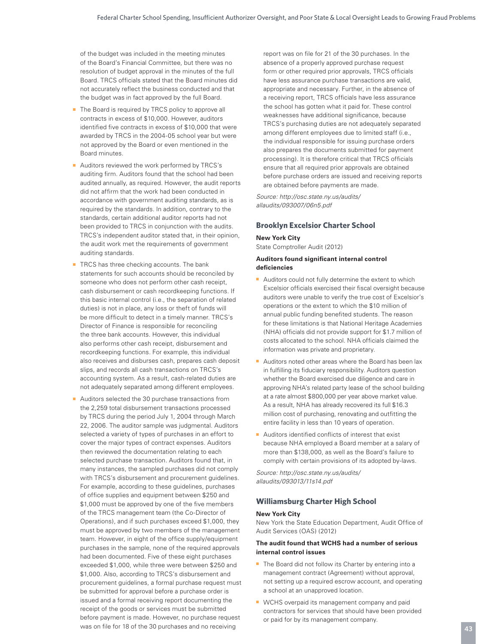of the budget was included in the meeting minutes of the Board's Financial Committee, but there was no resolution of budget approval in the minutes of the full Board. TRCS officials stated that the Board minutes did not accurately reflect the business conducted and that the budget was in fact approved by the full Board.

- The Board is required by TRCS policy to approve all contracts in excess of \$10,000. However, auditors identified five contracts in excess of \$10,000 that were awarded by TRCS in the 2004-05 school year but were not approved by the Board or even mentioned in the Board minutes.
- Auditors reviewed the work performed by TRCS's auditing firm. Auditors found that the school had been audited annually, as required. However, the audit reports did not affirm that the work had been conducted in accordance with government auditing standards, as is required by the standards. In addition, contrary to the standards, certain additional auditor reports had not been provided to TRCS in conjunction with the audits. TRCS's independent auditor stated that, in their opinion, the audit work met the requirements of government auditing standards.
- TRCS has three checking accounts. The bank statements for such accounts should be reconciled by someone who does not perform other cash receipt, cash disbursement or cash recordkeeping functions. If this basic internal control (i.e., the separation of related duties) is not in place, any loss or theft of funds will be more difficult to detect in a timely manner. TRCS's Director of Finance is responsible for reconciling the three bank accounts. However, this individual also performs other cash receipt, disbursement and recordkeeping functions. For example, this individual also receives and disburses cash, prepares cash deposit slips, and records all cash transactions on TRCS's accounting system. As a result, cash-related duties are not adequately separated among different employees.
- Auditors selected the 30 purchase transactions from the 2,259 total disbursement transactions processed by TRCS during the period July 1, 2004 through March 22, 2006. The auditor sample was judgmental. Auditors selected a variety of types of purchases in an effort to cover the major types of contract expenses. Auditors then reviewed the documentation relating to each selected purchase transaction. Auditors found that, in many instances, the sampled purchases did not comply with TRCS's disbursement and procurement guidelines. For example, according to these guidelines, purchases of office supplies and equipment between \$250 and \$1,000 must be approved by one of the five members of the TRCS management team (the Co-Director of Operations), and if such purchases exceed \$1,000, they must be approved by two members of the management team. However, in eight of the office supply/equipment purchases in the sample, none of the required approvals had been documented. Five of these eight purchases exceeded \$1,000, while three were between \$250 and \$1,000. Also, according to TRCS's disbursement and procurement guidelines, a formal purchase request must be submitted for approval before a purchase order is issued and a formal receiving report documenting the receipt of the goods or services must be submitted before payment is made. However, no purchase request was on file for 18 of the 30 purchases and no receiving

report was on file for 21 of the 30 purchases. In the absence of a properly approved purchase request form or other required prior approvals, TRCS officials have less assurance purchase transactions are valid, appropriate and necessary. Further, in the absence of a receiving report, TRCS officials have less assurance the school has gotten what it paid for. These control weaknesses have additional significance, because TRCS's purchasing duties are not adequately separated among different employees due to limited staff (i.e., the individual responsible for issuing purchase orders also prepares the documents submitted for payment processing). It is therefore critical that TRCS officials ensure that all required prior approvals are obtained before purchase orders are issued and receiving reports are obtained before payments are made.

*Source: http://osc.state.ny.us/audits/ allaudits/093007/06n5.pdf* 

#### **Brooklyn Excelsior Charter School**

**New York City** State Comptroller Audit (2012)

#### **Auditors found significant internal control deficiencies**

- Auditors could not fully determine the extent to which Excelsior officials exercised their fiscal oversight because auditors were unable to verify the true cost of Excelsior's operations or the extent to which the \$10 million of annual public funding benefited students. The reason for these limitations is that National Heritage Academies (NHA) officials did not provide support for \$1.7 million of costs allocated to the school. NHA officials claimed the information was private and proprietary.
- Auditors noted other areas where the Board has been lax in fulfilling its fiduciary responsibility. Auditors question whether the Board exercised due diligence and care in approving NHA's related party lease of the school building at a rate almost \$800,000 per year above market value. As a result, NHA has already recovered its full \$16.3 million cost of purchasing, renovating and outfitting the entire facility in less than 10 years of operation.
- Auditors identified conflicts of interest that exist because NHA employed a Board member at a salary of more than \$138,000, as well as the Board's failure to comply with certain provisions of its adopted by-laws.

*Source: http://osc.state.ny.us/audits/ allaudits/093013/11s14.pdf* 

#### **Williamsburg Charter High School**

#### **New York City**

New York the State Education Department, Audit Office of Audit Services (OAS) (2012)

#### **The audit found that WCHS had a number of serious internal control issues**

- The Board did not follow its Charter by entering into a management contract (Agreement) without approval, not setting up a required escrow account, and operating a school at an unapproved location.
- WCHS overpaid its management company and paid contractors for services that should have been provided or paid for by its management company.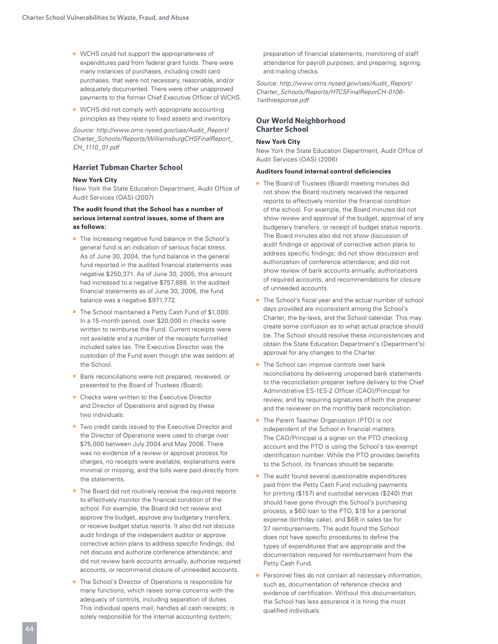- WCHS could not support the appropriateness of expenditures paid from federal grant funds. There were many instances of purchases, including credit card purchases, that were not necessary, reasonable, and/or adequately documented. There were other unapproved payments to the former Chief Executive Officer of WCHS.
- WCHS did not comply with appropriate accounting principles as they relate to fixed assets and inventory

*Source: http://www.oms.nysed.gov/oas/Audit\_Report/ Charter\_Schools/Reports/WilliamsburgCHSFinalReport\_ CH\_1110\_01.pdf* 

#### **Harriet Tubman Charter School**

#### **New York City**

New York the State Education Department, Audit Office of Audit Services (OAS) (2007)

#### **The audit found that the School has a number of serious internal control issues, some of them are as follows:**

- The increasing negative fund balance in the School's general fund is an indication of serious fiscal stress. As of June 30, 2004, the fund balance in the general fund reported in the audited financial statements was negative \$250,371. As of June 30, 2005, this amount had increased to a negative \$757,888. In the audited financial statements as of June 30, 2006, the fund balance was a negative \$971,772.
- The School maintained a Petty Cash Fund of \$1,000. In a 15-month period, over \$20,000 in checks were written to reimburse the Fund. Current receipts were not available and a number of the receipts furnished included sales tax. The Executive Director was the custodian of the Fund even though she was seldom at the School.
- Bank reconciliations were not prepared, reviewed, or presented to the Board of Trustees (Board).
- Checks were written to the Executive Director and Director of Operations and signed by these two individuals.
- Two credit cards issued to the Executive Director and the Director of Operations were used to charge over \$75,000 between July 2004 and May 2006. There was no evidence of a review or approval process for charges, no receipts were available, explanations were minimal or missing, and the bills were paid directly from the statements.
- The Board did not routinely receive the required reports to effectively monitor the financial condition of the school. For example, the Board did not review and approve the budget, approve any budgetary transfers, or receive budget status reports. It also did not discuss audit findings of the independent auditor or approve corrective action plans to address specific findings; did not discuss and authorize conference attendance; and did not review bank accounts annually, authorize required accounts, or recommend closure of unneeded accounts.
- The School's Director of Operations is responsible for many functions, which raises some concerns with the adequacy of controls, including separation of duties. This individual opens mail; handles all cash receipts; is solely responsible for the internal accounting system;

preparation of financial statements; monitoring of staff attendance for payroll purposes; and preparing, signing, and mailing checks.

*Source: http://www.oms.nysed.gov/oas/Audit\_Report/ Charter\_Schools/Reports/HTCSFinalReporCH-0106- 1withresponse.pdf* 

#### **Our World Neighborhood Charter School**

#### **New York City**

New York the State Education Department, Audit Office of Audit Services (OAS) (2006)

#### **Auditors found internal control deficiencies**

- The Board of Trustees (Board) meeting minutes did not show the Board routinely received the required reports to effectively monitor the financial condition of the school. For example, the Board minutes did not show review and approval of the budget, approval of any budgetary transfers, or receipt of budget status reports. The Board minutes also did not show discussion of audit findings or approval of corrective action plans to address specific findings; did not show discussion and authorization of conference attendance; and did not show review of bank accounts annually, authorizations of required accounts, and recommendations for closure of unneeded accounts.
- The School's fiscal year and the actual number of school days provided are inconsistent among the School's Charter, the by-laws, and the School calendar. This may create some confusion as to what actual practice should be. The School should resolve these inconsistencies and obtain the State Education Department's (Department's) approval for any changes to the Charter.
- The School can improve controls over bank reconciliations by delivering unopened bank statements to the reconciliation preparer before delivery to the Chief Administrative ES-1ES-2 Officer (CAO)/Principal for review, and by requiring signatures of both the preparer and the reviewer on the monthly bank reconciliation.
- The Parent Teacher Organization (PTO) is not independent of the School in financial matters. The CAO/Principal is a signer on the PTO checking account and the PTO is using the School's tax-exempt identification number. While the PTO provides benefits to the School, its finances should be separate.
- The audit found several questionable expenditures paid from the Petty Cash Fund including payments for printing (\$157) and custodial services (\$240) that should have gone through the School's purchasing process, a \$60 loan to the PTO, \$18 for a personal expense (birthday cake), and \$68 in sales tax for 37 reimbursements. The audit found the School does not have specific procedures to define the types of expenditures that are appropriate and the documentation required for reimbursement from the Petty Cash Fund.
- Personnel files do not contain all necessary information, such as, documentation of reference checks and evidence of certification. Without this documentation, the School has less assurance it is hiring the most qualified individuals.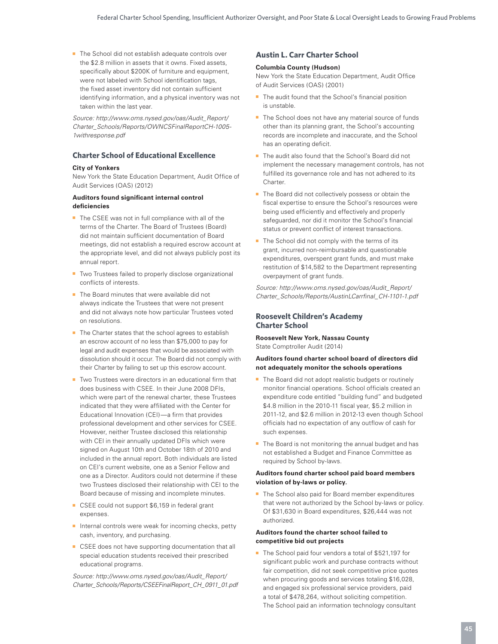■ The School did not establish adequate controls over the \$2.8 million in assets that it owns. Fixed assets, specifically about \$200K of furniture and equipment, were not labeled with School identification tags, the fixed asset inventory did not contain sufficient identifying information, and a physical inventory was not taken within the last year.

*Source: http://www.oms.nysed.gov/oas/Audit\_Report/ Charter\_Schools/Reports/OWNCSFinalReportCH-1005- 1withresponse.pdf* 

#### **Charter School of Educational Excellence**

#### **City of Yonkers**

New York the State Education Department, Audit Office of Audit Services (OAS) (2012)

#### **Auditors found significant internal control deficiencies**

- The CSEE was not in full compliance with all of the terms of the Charter. The Board of Trustees (Board) did not maintain sufficient documentation of Board meetings, did not establish a required escrow account at the appropriate level, and did not always publicly post its annual report.
- Two Trustees failed to properly disclose organizational conflicts of interests.
- The Board minutes that were available did not always indicate the Trustees that were not present and did not always note how particular Trustees voted on resolutions.
- The Charter states that the school agrees to establish an escrow account of no less than \$75,000 to pay for legal and audit expenses that would be associated with dissolution should it occur. The Board did not comply with their Charter by failing to set up this escrow account.
- Two Trustees were directors in an educational firm that does business with CSEE. In their June 2008 DFIs, which were part of the renewal charter, these Trustees indicated that they were affiliated with the Center for Educational Innovation (CEI)—a firm that provides professional development and other services for CSEE. However, neither Trustee disclosed this relationship with CEI in their annually updated DFIs which were signed on August 10th and October 18th of 2010 and included in the annual report. Both individuals are listed on CEI's current website, one as a Senior Fellow and one as a Director. Auditors could not determine if these two Trustees disclosed their relationship with CEI to the Board because of missing and incomplete minutes.
- CSEE could not support \$6,159 in federal grant expenses.
- Internal controls were weak for incoming checks, petty cash, inventory, and purchasing.
- CSEE does not have supporting documentation that all special education students received their prescribed educational programs.

*Source: http://www.oms.nysed.gov/oas/Audit\_Report/ Charter\_Schools/Reports/CSEEFinalReport\_CH\_0911\_01.pdf* 

#### **Austin L. Carr Charter School**

#### **Columbia County (Hudson)**

New York the State Education Department, Audit Office of Audit Services (OAS) (2001)

- The audit found that the School's financial position is unstable.
- The School does not have any material source of funds other than its planning grant, the School's accounting records are incomplete and inaccurate, and the School has an operating deficit.
- The audit also found that the School's Board did not implement the necessary management controls, has not fulfilled its governance role and has not adhered to its Charter.
- The Board did not collectively possess or obtain the fiscal expertise to ensure the School's resources were being used efficiently and effectively and properly safeguarded, nor did it monitor the School's financial status or prevent conflict of interest transactions.
- The School did not comply with the terms of its grant, incurred non-reimbursable and questionable expenditures, overspent grant funds, and must make restitution of \$14,582 to the Department representing overpayment of grant funds.

*Source: http://www.oms.nysed.gov/oas/Audit\_Report/ Charter\_Schools/Reports/AustinLCarrfinal\_CH-1101-1.pdf* 

#### **Roosevelt Children's Academy Charter School**

**Roosevelt New York, Nassau County** State Comptroller Audit (2014)

#### **Auditors found charter school board of directors did not adequately monitor the schools operations**

- The Board did not adopt realistic budgets or routinely monitor financial operations. School officials created an expenditure code entitled "building fund" and budgeted \$4.8 million in the 2010-11 fiscal year, \$5.2 million in 2011-12, and \$2.6 million in 2012-13 even though School officials had no expectation of any outflow of cash for such expenses.
- The Board is not monitoring the annual budget and has not established a Budget and Finance Committee as required by School by-laws.

#### **Auditors found charter school paid board members violation of by-laws or policy.**

■ The School also paid for Board member expenditures that were not authorized by the School by-laws or policy. Of \$31,630 in Board expenditures, \$26,444 was not authorized.

#### **Auditors found the charter school failed to competitive bid out projects**

■ The School paid four vendors a total of \$521,197 for significant public work and purchase contracts without fair competition, did not seek competitive price quotes when procuring goods and services totaling \$16,028, and engaged six professional service providers, paid a total of \$478,264, without soliciting competition. The School paid an information technology consultant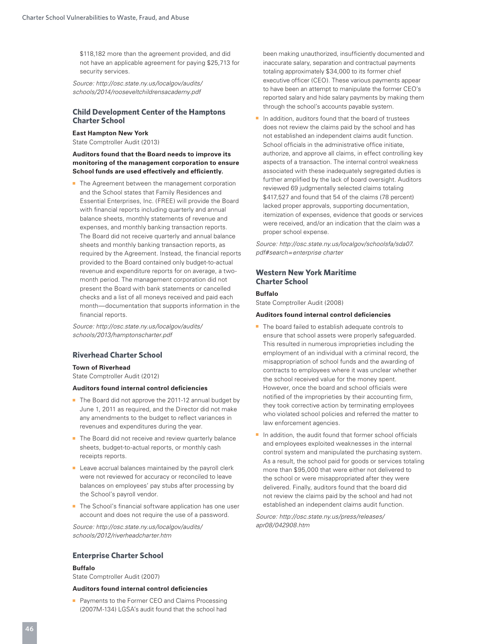\$118,182 more than the agreement provided, and did not have an applicable agreement for paying \$25,713 for security services.

*Source: http://osc.state.ny.us/localgov/audits/ schools/2014/rooseveltchildrensacademy.pdf*

#### **Child Development Center of the Hamptons Charter School**

#### **East Hampton New York**

State Comptroller Audit (2013)

#### **Auditors found that the Board needs to improve its monitoring of the management corporation to ensure School funds are used effectively and efficiently.**

■ The Agreement between the management corporation and the School states that Family Residences and Essential Enterprises, Inc. (FREE) will provide the Board with financial reports including quarterly and annual balance sheets, monthly statements of revenue and expenses, and monthly banking transaction reports. The Board did not receive quarterly and annual balance sheets and monthly banking transaction reports, as required by the Agreement. Instead, the financial reports provided to the Board contained only budget-to-actual revenue and expenditure reports for on average, a twomonth period. The management corporation did not present the Board with bank statements or cancelled checks and a list of all moneys received and paid each month—documentation that supports information in the financial reports.

*Source: http://osc.state.ny.us/localgov/audits/ schools/2013/hamptonscharter.pdf* 

#### **Riverhead Charter School**

#### **Town of Riverhead**

State Comptroller Audit (2012)

#### **Auditors found internal control deficiencies**

- The Board did not approve the 2011-12 annual budget by June 1, 2011 as required, and the Director did not make any amendments to the budget to reflect variances in revenues and expenditures during the year.
- The Board did not receive and review quarterly balance sheets, budget-to-actual reports, or monthly cash receipts reports.
- Leave accrual balances maintained by the payroll clerk were not reviewed for accuracy or reconciled to leave balances on employees' pay stubs after processing by the School's payroll vendor.
- The School's financial software application has one user account and does not require the use of a password.

*Source: http://osc.state.ny.us/localgov/audits/ schools/2012/riverheadcharter.htm* 

#### **Enterprise Charter School**

#### **Buffalo**

State Comptroller Audit (2007)

#### **Auditors found internal control deficiencies**

■ Payments to the Former CEO and Claims Processing (2007M-134) LGSA's audit found that the school had been making unauthorized, insufficiently documented and inaccurate salary, separation and contractual payments totaling approximately \$34,000 to its former chief executive officer (CEO). These various payments appear to have been an attempt to manipulate the former CEO's reported salary and hide salary payments by making them through the school's accounts payable system.

In addition, auditors found that the board of trustees does not review the claims paid by the school and has not established an independent claims audit function. School officials in the administrative office initiate, authorize, and approve all claims, in effect controlling key aspects of a transaction. The internal control weakness associated with these inadequately segregated duties is further amplified by the lack of board oversight. Auditors reviewed 69 judgmentally selected claims totaling \$417,527 and found that 54 of the claims (78 percent) lacked proper approvals, supporting documentation, itemization of expenses, evidence that goods or services were received, and/or an indication that the claim was a proper school expense.

*Source: http://osc.state.ny.us/localgov/schoolsfa/sda07. pdf#search=enterprise charter* 

#### **Western New York Maritime Charter School**

#### **Buffalo**

State Comptroller Audit (2008)

#### **Auditors found internal control deficiencies**

- The board failed to establish adequate controls to ensure that school assets were properly safeguarded. This resulted in numerous improprieties including the employment of an individual with a criminal record, the misappropriation of school funds and the awarding of contracts to employees where it was unclear whether the school received value for the money spent. However, once the board and school officials were notified of the improprieties by their accounting firm, they took corrective action by terminating employees who violated school policies and referred the matter to law enforcement agencies.
- In addition, the audit found that former school officials and employees exploited weaknesses in the internal control system and manipulated the purchasing system. As a result, the school paid for goods or services totaling more than \$95,000 that were either not delivered to the school or were misappropriated after they were delivered. Finally, auditors found that the board did not review the claims paid by the school and had not established an independent claims audit function.

*Source: http://osc.state.ny.us/press/releases/ apr08/042908.htm*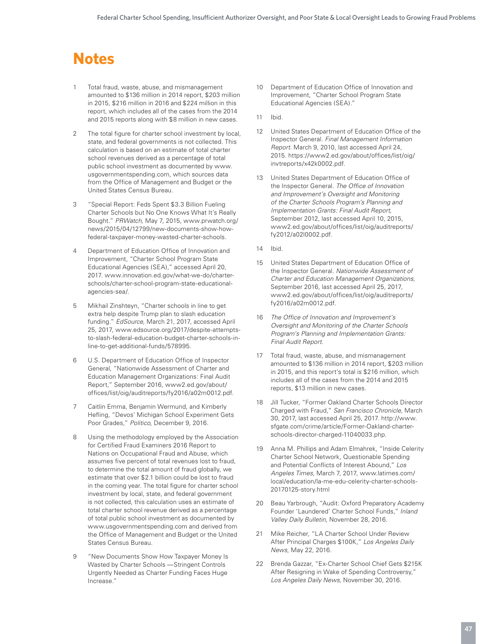# **Notes**

- 1 Total fraud, waste, abuse, and mismanagement amounted to \$136 million in 2014 report, \$203 million in 2015, \$216 million in 2016 and \$224 million in this report, which includes all of the cases from the 2014 and 2015 reports along with \$8 million in new cases.
- 2 The total figure for charter school investment by local, state, and federal governments is not collected. This calculation is based on an estimate of total charter school revenues derived as a percentage of total public school investment as documented by www. usgovernmentspending.com, which sources data from the Office of Management and Budget or the United States Census Bureau.
- 3 "Special Report: Feds Spent \$3.3 Billion Fueling Charter Schools but No One Knows What It's Really Bought." *PRWatch,* May 7, 2015, www.prwatch.org/ news/2015/04/12799/new-documents-show-howfederal-taxpayer-money-wasted-charter-schools.
- 4 Department of Education Office of Innovation and Improvement, "Charter School Program State Educational Agencies (SEA)," accessed April 20, 2017. www.innovation.ed.gov/what-we-do/charterschools/charter-school-program-state-educationalagencies-sea/.
- 5 Mikhail Zinshteyn, "Charter schools in line to get extra help despite Trump plan to slash education funding." *EdSource,* March 21, 2017, accessed April 25, 2017, www.edsource.org/2017/despite-attemptsto-slash-federal-education-budget-charter-schools-inline-to-get-additional-funds/578995.
- 6 U.S. Department of Education Office of Inspector General, "Nationwide Assessment of Charter and Education Management Organizations: Final Audit Report," September 2016, www2.ed.gov/about/ offices/list/oig/auditreports/fy2016/a02m0012.pdf.
- 7 Caitlin Emma, Benjamin Wermund, and Kimberly Hefling, "Devos' Michigan School Experiment Gets Poor Grades," *Politico,* December 9, 2016.
- 8 Using the methodology employed by the Association for Certified Fraud Examiners 2016 Report to Nations on Occupational Fraud and Abuse, which assumes five percent of total revenues lost to fraud, to determine the total amount of fraud globally, we estimate that over \$2.1 billion could be lost to fraud in the coming year. The total figure for charter school investment by local, state, and federal government is not collected, this calculation uses an estimate of total charter school revenue derived as a percentage of total public school investment as documented by www.usgovernmentspending.com and derived from the Office of Management and Budget or the United States Census Bureau.
- 9 "New Documents Show How Taxpayer Money Is Wasted by Charter Schools —Stringent Controls Urgently Needed as Charter Funding Faces Huge Increase."
- 10 Department of Education Office of Innovation and Improvement, "Charter School Program State Educational Agencies (SEA)."
- 11 Ibid.
- 12 United States Department of Education Office of the Inspector General. *Final Management Information Report.* March 9, 2010, last accessed April 24, 2015. https://www2.ed.gov/about/offices/list/oig/ invtreports/x42k0002.pdf.
- United States Department of Education Office of the Inspector General. *The Office of Innovation and Improvement's Oversight and Monitoring of the Charter Schools Program's Planning and Implementation Grants: Final Audit Report,* September 2012, last accessed April 10, 2015, www2.ed.gov/about/offices/list/oig/auditreports/ fy2012/a02l0002.pdf.
- 14 Ibid.
- 15 United States Department of Education Office of the Inspector General. *Nationwide Assessment of Charter and Education Management Organizations,* September 2016, last accessed April 25, 2017, www2.ed.gov/about/offices/list/oig/auditreports/ fy2016/a02m0012.pdf.
- 16 *The Office of Innovation and Improvement's Oversight and Monitoring of the Charter Schools Program's Planning and Implementation Grants: Final Audit Report.*
- 17 Total fraud, waste, abuse, and mismanagement amounted to \$136 million in 2014 report, \$203 million in 2015, and this report's total is \$216 million, which includes all of the cases from the 2014 and 2015 reports, \$13 million in new cases.
- 18 Jill Tucker, "Former Oakland Charter Schools Director Charged with Fraud," *San Francisco Chronicle,* March 30, 2017, last accessed April 25, 2017. http://www. sfgate.com/crime/article/Former-Oakland-charterschools-director-charged-11040033.php.
- 19 Anna M. Phillips and Adam Elmahrek, "Inside Celerity Charter School Network, Questionable Spending and Potential Conflicts of Interest Abound," *Los Angeles Times,* March 7, 2017, www.latimes.com/ local/education/la-me-edu-celerity-charter-schools-20170125-story.html
- 20 Beau Yarbrough, "Audit: Oxford Preparatory Academy Founder 'Laundered' Charter School Funds," *Inland Valley Daily Bulletin,* November 28, 2016.
- 21 Mike Reicher, "LA Charter School Under Review After Principal Charges \$100K," *Los Angeles Daily News,* May 22, 2016.
- 22 Brenda Gazzar, "Ex-Charter School Chief Gets \$215K After Resigning in Wake of Spending Controversy," *Los Angeles Daily News,* November 30, 2016.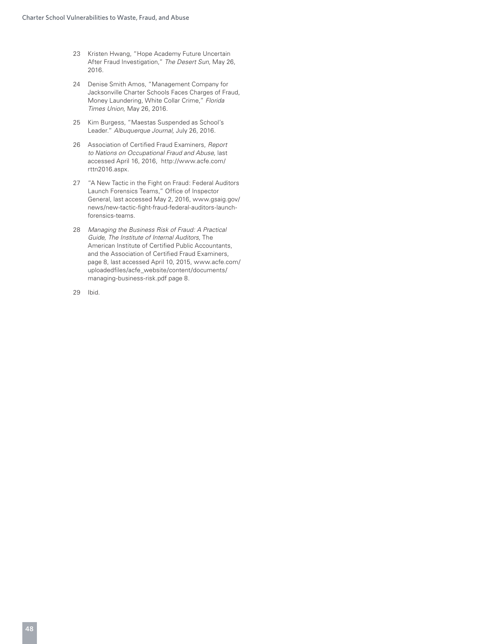- 23 Kristen Hwang, "Hope Academy Future Uncertain After Fraud Investigation," *The Desert Sun,* May 26, 2016.
- 24 Denise Smith Amos, "Management Company for Jacksonville Charter Schools Faces Charges of Fraud, Money Laundering, White Collar Crime," *Florida Times Union,* May 26, 2016.
- 25 Kim Burgess, "Maestas Suspended as School's Leader." *Albuquerque Journal,* July 26, 2016.
- 26 Association of Certified Fraud Examiners, *Report to Nations on Occupational Fraud and Abuse,* last accessed April 16, 2016, http://www.acfe.com/ rttn2016.aspx.
- 27 "A New Tactic in the Fight on Fraud: Federal Auditors Launch Forensics Teams," Office of Inspector General, last accessed May 2, 2016, www.gsaig.gov/ news/new-tactic-fight-fraud-federal-auditors-launchforensics-teams.
- 28 *Managing the Business Risk of Fraud: A Practical Guide, The Institute of Internal Auditors,* The American Institute of Certified Public Accountants, and the Association of Certified Fraud Examiners, page 8, last accessed April 10, 2015, www.acfe.com/ uploadedfiles/acfe\_website/content/documents/ managing-business-risk.pdf page 8.

29 Ibid.